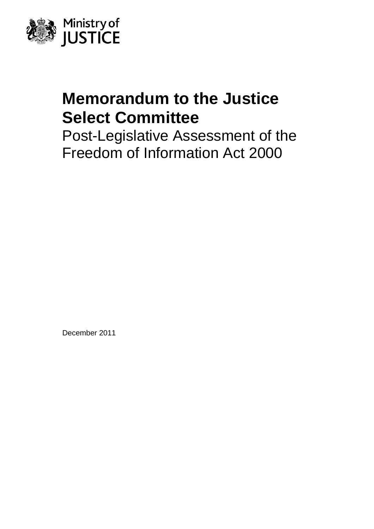

# **Memorandum to the Justice Select Committee**

Post-Legislative Assessment of the Freedom of Information Act 2000

December 2011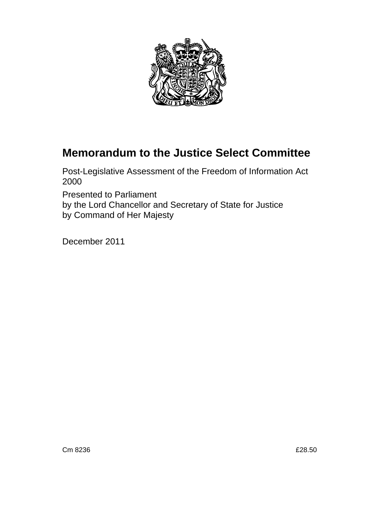

## **Memorandum to the Justice Select Committee**

Post-Legislative Assessment of the Freedom of Information Act 2000

Presented to Parliament by the Lord Chancellor and Secretary of State for Justice by Command of Her Majesty

December 2011

Cm 8236 £28.50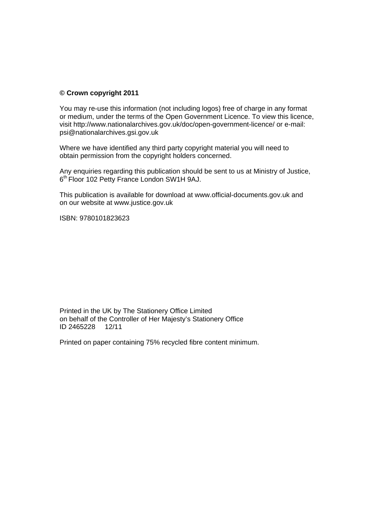#### **© Crown copyright 2011**

You may re-use this information (not including logos) free of charge in any format or medium, under the terms of the Open Government Licence. To view this licence, visit<http://www.nationalarchives.gov.uk/doc/open-government-licence/> or e-mail: [psi@nationalarchives.gsi.gov.uk](mailto:psi@nationalarchives.gsi.gov.uk) 

Where we have identified any third party copyright material you will need to obtain permission from the copyright holders concerned.

Any enquiries regarding this publication should be sent to us at Ministry of Justice, 6<sup>th</sup> Floor 102 Petty France London SW1H 9AJ.

This publication is available for download at [www.official-documents.gov.uk](http://www.official-documents.gov.uk/) and on our website at [www.justice.gov.uk](http://www.justice.gov.uk/) 

ISBN: 9780101823623

Printed in the UK by The Stationery Office Limited on behalf of the Controller of Her Majesty's Stationery Office<br>ID 2465228 12/11 ID 2465228

Printed on paper containing 75% recycled fibre content minimum.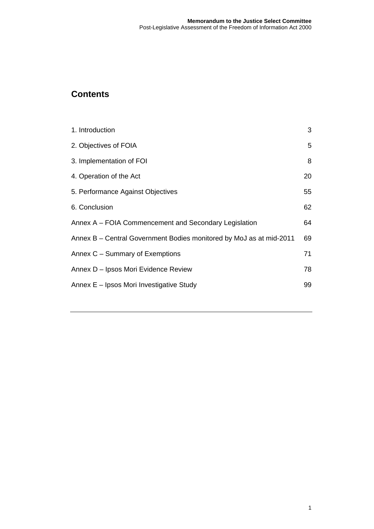### **Contents**

| 1. Introduction                                                     | 3  |
|---------------------------------------------------------------------|----|
| 2. Objectives of FOIA                                               | 5  |
| 3. Implementation of FOI                                            | 8  |
| 4. Operation of the Act                                             | 20 |
| 5. Performance Against Objectives                                   | 55 |
| 6. Conclusion                                                       | 62 |
| Annex A – FOIA Commencement and Secondary Legislation               | 64 |
| Annex B – Central Government Bodies monitored by MoJ as at mid-2011 | 69 |
| Annex C – Summary of Exemptions                                     | 71 |
| Annex D - Ipsos Mori Evidence Review                                | 78 |
| Annex E - Ipsos Mori Investigative Study                            | 99 |
|                                                                     |    |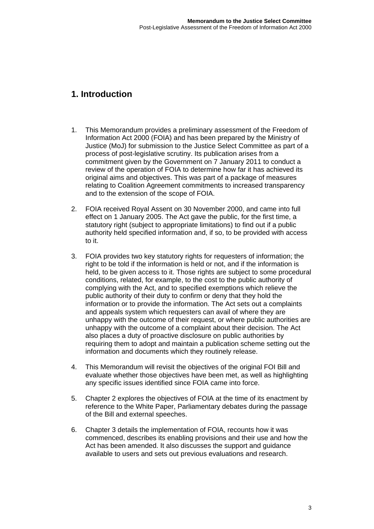### <span id="page-5-0"></span>**1. Introduction**

- 1. This Memorandum provides a preliminary assessment of the Freedom of Information Act 2000 (FOIA) and has been prepared by the Ministry of Justice (MoJ) for submission to the Justice Select Committee as part of a process of post-legislative scrutiny. Its publication arises from a commitment given by the Government on 7 January 2011 to conduct a review of the operation of FOIA to determine how far it has achieved its original aims and objectives. This was part of a package of measures relating to Coalition Agreement commitments to increased transparency and to the extension of the scope of FOIA.
- 2. FOIA received Royal Assent on 30 November 2000, and came into full effect on 1 January 2005. The Act gave the public, for the first time, a statutory right (subject to appropriate limitations) to find out if a public authority held specified information and, if so, to be provided with access to it.
- 3. FOIA provides two key statutory rights for requesters of information; the right to be told if the information is held or not, and if the information is held, to be given access to it. Those rights are subject to some procedural conditions, related, for example, to the cost to the public authority of complying with the Act, and to specified exemptions which relieve the public authority of their duty to confirm or deny that they hold the information or to provide the information. The Act sets out a complaints and appeals system which requesters can avail of where they are unhappy with the outcome of their request, or where public authorities are unhappy with the outcome of a complaint about their decision. The Act also places a duty of proactive disclosure on public authorities by requiring them to adopt and maintain a publication scheme setting out the information and documents which they routinely release.
- 4. This Memorandum will revisit the objectives of the original FOI Bill and evaluate whether those objectives have been met, as well as highlighting any specific issues identified since FOIA came into force.
- 5. Chapter 2 explores the objectives of FOIA at the time of its enactment by reference to the White Paper, Parliamentary debates during the passage of the Bill and external speeches.
- 6. Chapter 3 details the implementation of FOIA, recounts how it was commenced, describes its enabling provisions and their use and how the Act has been amended. It also discusses the support and guidance available to users and sets out previous evaluations and research.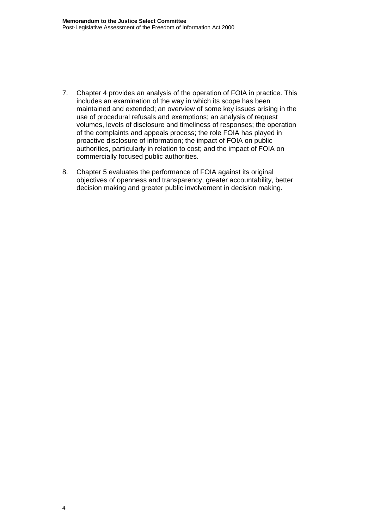- 7. Chapter 4 provides an analysis of the operation of FOIA in practice. This includes an examination of the way in which its scope has been maintained and extended; an overview of some key issues arising in the use of procedural refusals and exemptions; an analysis of request volumes, levels of disclosure and timeliness of responses; the operation of the complaints and appeals process; the role FOIA has played in proactive disclosure of information; the impact of FOIA on public authorities, particularly in relation to cost; and the impact of FOIA on commercially focused public authorities.
- 8. Chapter 5 evaluates the performance of FOIA against its original objectives of openness and transparency, greater accountability, better decision making and greater public involvement in decision making.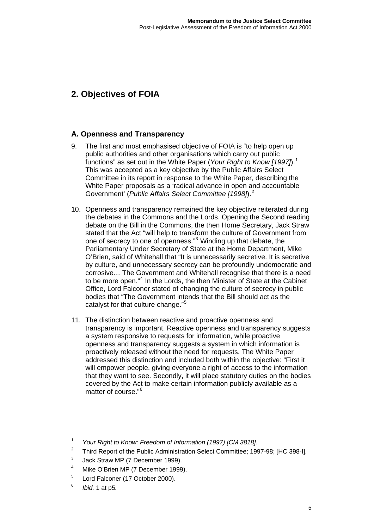### <span id="page-7-0"></span>**2. Objectives of FOIA**

### **A. Openness and Transparency**

- 9. The first and most emphasised objective of FOIA is "to help open up public authorities and other organisations which carry out public functions" as set out in the White Paper (*Your Right to Know [1997]*).[1](#page-7-1) This was accepted as a key objective by the Public Affairs Select Committee in its report in response to the White Paper, describing the White Paper proposals as a 'radical advance in open and accountable Government' (*Public Affairs Select Committee [1998]*).[2](#page-7-2)
- 10. Openness and transparency remained the key objective reiterated during the debates in the Commons and the Lords. Opening the Second reading debate on the Bill in the Commons, the then Home Secretary, Jack Straw stated that the Act "will help to transform the culture of Government from one of secrecy to one of openness."<sup>[3](#page-7-3)</sup> Winding up that debate, the Parliamentary Under Secretary of State at the Home Department, Mike O'Brien, said of Whitehall that "It is unnecessarily secretive. It is secretive by culture, and unnecessary secrecy can be profoundly undemocratic and corrosive… The Government and Whitehall recognise that there is a need to be more open."<sup>[4](#page-7-4)</sup> In the Lords, the then Minister of State at the Cabinet Office, Lord Falconer stated of changing the culture of secrecy in public bodies that "The Government intends that the Bill should act as the catalyst for that culture change."[5](#page-7-5)
- 11. The distinction between reactive and proactive openness and transparency is important. Reactive openness and transparency suggests a system responsive to requests for information, while proactive openness and transparency suggests a system in which information is proactively released without the need for requests. The White Paper addressed this distinction and included both within the objective: "First it will empower people, giving everyone a right of access to the information that they want to see. Secondly, it will place statutory duties on the bodies covered by the Act to make certain information publicly available as a matter of course."[6](#page-7-6)

<span id="page-7-1"></span><sup>1</sup>  *Your Right to Know: Freedom of Information (1997) [CM 3818].* 

<span id="page-7-2"></span><sup>2</sup> Third Report of the Public Administration Select Committee; 1997-98; [HC 398-I].

<span id="page-7-3"></span><sup>3</sup> Jack Straw MP (7 December 1999).

<span id="page-7-4"></span><sup>4</sup> Mike O'Brien MP (7 December 1999).

<span id="page-7-5"></span><sup>5</sup> Lord Falconer (17 October 2000).

<span id="page-7-6"></span><sup>6</sup> *Ibid.* 1 at p5*.*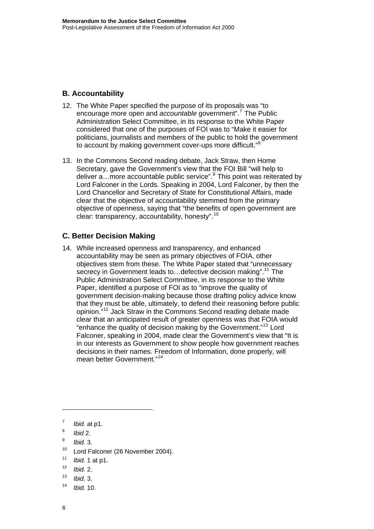### **B. Accountability**

- 12. The White Paper specified the purpose of its proposals was "to encourage more open and *accountable* government".<sup>[7](#page-8-0)</sup> The Public Administration Select Committee, in its response to the White Paper considered that one of the purposes of FOI was to "Make it easier for politicians, journalists and members of the public to hold the government to account by making government cover-ups more difficult."<sup>[8](#page-8-1)</sup>
- 13. In the Commons Second reading debate, Jack Straw, then Home Secretary, gave the Government's view that the FOI Bill "will help to deliver a... more accountable public service".<sup>[9](#page-8-2)</sup> This point was reiterated by Lord Falconer in the Lords. Speaking in 2004, Lord Falconer, by then the Lord Chancellor and Secretary of State for Constitutional Affairs, made clear that the objective of accountability stemmed from the primary objective of openness, saying that "the benefits of open government are clear: transparency, accountability, honesty".[10](#page-8-3)

### **C. Better Decision Making**

14. While increased openness and transparency, and enhanced accountability may be seen as primary objectives of FOIA, other objectives stem from these. The White Paper stated that "unnecessary secrecy in Government leads to...defective decision making".<sup>[11](#page-8-4)</sup> The Public Administration Select Committee, in its response to the White Paper, identified a purpose of FOI as to "improve the quality of government decision-making because those drafting policy advice know that they must be able, ultimately, to defend their reasoning before public opinion."[12](#page-8-5) Jack Straw in the Commons Second reading debate made clear that an anticipated result of greater openness was that FOIA would "enhance the quality of decision making by the Government."[13](#page-8-6) Lord Falconer, speaking in 2004, made clear the Government's view that "It is in our interests as Government to show people how government reaches decisions in their names. Freedom of Information, done properly, will mean better Government."[14](#page-8-7)

 $\overline{a}$ 

- <span id="page-8-2"></span><sup>9</sup> *Ibid.* 3.
- <span id="page-8-3"></span><sup>10</sup> Lord Falconer (26 November 2004).
- <span id="page-8-4"></span><sup>11</sup> *Ibid.* 1 at p1.
- <span id="page-8-5"></span><sup>12</sup> *Ibid.* 2.
- <span id="page-8-6"></span><sup>13</sup> *Ibid.* 3.
- <span id="page-8-7"></span><sup>14</sup> *Ibid.* 10.

<span id="page-8-0"></span><sup>7</sup> *Ibid.* at p1.

<span id="page-8-1"></span><sup>8</sup> *Ibid* 2.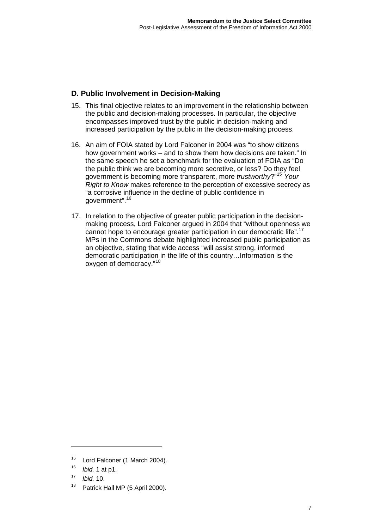### **D. Public Involvement in Decision-Making**

- 15. This final objective relates to an improvement in the relationship between the public and decision-making processes. In particular, the objective encompasses improved trust by the public in decision-making and increased participation by the public in the decision-making process.
- 16. An aim of FOIA stated by Lord Falconer in 2004 was "to show citizens how government works – and to show them how decisions are taken." In the same speech he set a benchmark for the evaluation of FOIA as "Do the public think we are becoming more secretive, or less? Do they feel government is becoming more transparent, more *trustworthy*?"[15](#page-9-0) *Your Right to Know* makes reference to the perception of excessive secrecy as "a corrosive influence in the decline of public confidence in government".[16](#page-9-1)
- 17. In relation to the objective of greater public participation in the decisionmaking process, Lord Falconer argued in 2004 that "without openness we cannot hope to encourage greater participation in our democratic life".<sup>[17](#page-9-2)</sup> MPs in the Commons debate highlighted increased public participation as an objective, stating that wide access "will assist strong, informed democratic participation in the life of this country…Information is the oxygen of democracy."[18](#page-9-3)

<span id="page-9-0"></span><sup>&</sup>lt;sup>15</sup> Lord Falconer (1 March 2004).

<sup>16</sup> *Ibid.* 1 at p1.

<span id="page-9-2"></span><span id="page-9-1"></span><sup>17</sup> *Ibid.* 10.

<span id="page-9-3"></span><sup>&</sup>lt;sup>18</sup> Patrick Hall MP (5 April 2000).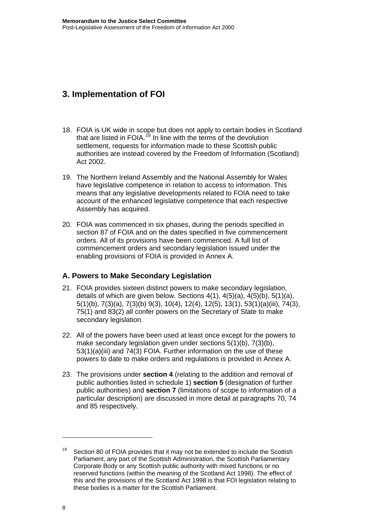### <span id="page-10-0"></span>**3. Implementation of FOI**

- 18. FOIA is UK wide in scope but does not apply to certain bodies in Scotland that are listed in FOIA.<sup>[19](#page-10-1)</sup> In line with the terms of the devolution settlement, requests for information made to these Scottish public authorities are instead covered by the Freedom of Information (Scotland) Act 2002.
- 19. The Northern Ireland Assembly and the National Assembly for Wales have legislative competence in relation to access to information. This means that any legislative developments related to FOIA need to take account of the enhanced legislative competence that each respective Assembly has acquired.
- 20. FOIA was commenced in six phases, during the periods specified in section 87 of FOIA and on the dates specified in five commencement orders. All of its provisions have been commenced. A full list of commencement orders and secondary legislation issued under the enabling provisions of FOIA is provided in [Annex A](#page-66-0).

### **A. Powers to Make Secondary Legislation**

- 21. FOIA provides sixteen distinct powers to make secondary legislation, details of which are given below. Sections 4(1), 4(5)(a), 4(5)(b), 5(1)(a), 5(1)(b), 7(3)(a), 7(3)(b) 9(3), 10(4), 12(4), 12(5), 13(1), 53(1)(a)(iii), 74(3), 75(1) and 83(2) all confer powers on the Secretary of State to make secondary legislation.
- 22. All of the powers have been used at least once except for the powers to make secondary legislation given under sections 5(1)(b), 7(3)(b), 53(1)(a)(iii) and 74(3) FOIA. Further information on the use of these powers to date to make orders and regulations is provided in [Annex A](#page-66-0).
- 23. The provisions under **section 4** (relating to the addition and removal of public authorities listed in schedule 1) **section 5** (designation of further public authorities) and **section 7** (limitations of scope to information of a particular description) are discussed in more detail at paragraphs 70, 74 and 85 respectively.

<span id="page-10-1"></span>Section 80 of FOIA provides that it may not be extended to include the Scottish Parliament, any part of the Scottish Administration, the Scottish Parliamentary Corporate Body or any Scottish public authority with mixed functions or no reserved functions (within the meaning of the Scotland Act 1998). The effect of this and the provisions of the Scotland Act 1998 is that FOI legislation relating to these bodies is a matter for the Scottish Parliament.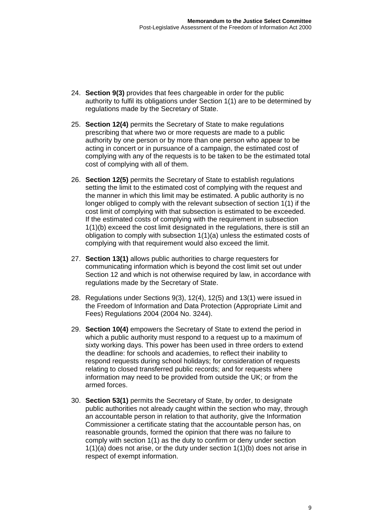- 24. **Section 9(3)** provides that fees chargeable in order for the public authority to fulfil its obligations under Section 1(1) are to be determined by regulations made by the Secretary of State.
- 25. **Section 12(4)** permits the Secretary of State to make regulations prescribing that where two or more requests are made to a public authority by one person or by more than one person who appear to be acting in concert or in pursuance of a campaign, the estimated cost of complying with any of the requests is to be taken to be the estimated total cost of complying with all of them.
- 26. **Section 12(5)** permits the Secretary of State to establish regulations setting the limit to the estimated cost of complying with the request and the manner in which this limit may be estimated. A public authority is no longer obliged to comply with the relevant subsection of section 1(1) if the cost limit of complying with that subsection is estimated to be exceeded. If the estimated costs of complying with the requirement in subsection 1(1)(b) exceed the cost limit designated in the regulations, there is still an obligation to comply with subsection 1(1)(a) unless the estimated costs of complying with that requirement would also exceed the limit.
- 27. **Section 13(1)** allows public authorities to charge requesters for communicating information which is beyond the cost limit set out under Section 12 and which is not otherwise required by law, in accordance with regulations made by the Secretary of State.
- 28. Regulations under Sections 9(3), 12(4), 12(5) and 13(1) were issued in the Freedom of Information and Data Protection (Appropriate Limit and Fees) Regulations 2004 (2004 No. 3244).
- 29. **Section 10(4)** empowers the Secretary of State to extend the period in which a public authority must respond to a request up to a maximum of sixty working days. This power has been used in three orders to extend the deadline: for schools and academies, to reflect their inability to respond requests during school holidays; for consideration of requests relating to closed transferred public records; and for requests where information may need to be provided from outside the UK; or from the armed forces.
- 30. **Section 53(1)** permits the Secretary of State, by order, to designate public authorities not already caught within the section who may, through an accountable person in relation to that authority, give the Information Commissioner a certificate stating that the accountable person has, on reasonable grounds, formed the opinion that there was no failure to comply with section 1(1) as the duty to confirm or deny under section 1(1)(a) does not arise, or the duty under section 1(1)(b) does not arise in respect of exempt information.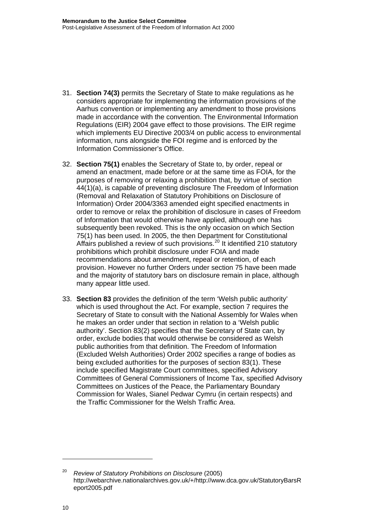- 31. **Section 74(3)** permits the Secretary of State to make regulations as he considers appropriate for implementing the information provisions of the Aarhus convention or implementing any amendment to those provisions made in accordance with the convention. The Environmental Information Regulations (EIR) 2004 gave effect to those provisions. The EIR regime which implements EU Directive 2003/4 on public access to environmental information, runs alongside the FOI regime and is enforced by the Information Commissioner's Office.
- 32. **Section 75(1)** enables the Secretary of State to, by order, repeal or amend an enactment, made before or at the same time as FOIA, for the purposes of removing or relaxing a prohibition that, by virtue of section 44(1)(a), is capable of preventing disclosure The Freedom of Information (Removal and Relaxation of Statutory Prohibitions on Disclosure of Information) Order 2004/3363 amended eight specified enactments in order to remove or relax the prohibition of disclosure in cases of Freedom of Information that would otherwise have applied, although one has subsequently been revoked. This is the only occasion on which Section 75(1) has been used. In 2005, the then Department for Constitutional Affairs published a review of such provisions.<sup>[20](#page-12-0)</sup> It identified 210 statutory prohibitions which prohibit disclosure under FOIA and made recommendations about amendment, repeal or retention, of each provision. However no further Orders under section 75 have been made and the majority of statutory bars on disclosure remain in place, although many appear little used.
- 33. **Section 83** provides the definition of the term 'Welsh public authority' which is used throughout the Act. For example, section 7 requires the Secretary of State to consult with the National Assembly for Wales when he makes an order under that section in relation to a 'Welsh public authority'. Section 83(2) specifies that the Secretary of State can, by order, exclude bodies that would otherwise be considered as Welsh public authorities from that definition. The Freedom of Information (Excluded Welsh Authorities) Order 2002 specifies a range of bodies as being excluded authorities for the purposes of section 83(1). These include specified Magistrate Court committees, specified Advisory Committees of General Commissioners of Income Tax, specified Advisory Committees on Justices of the Peace, the Parliamentary Boundary Commission for Wales, Sianel Pedwar Cymru (in certain respects) and the Traffic Commissioner for the Welsh Traffic Area.

<span id="page-12-0"></span><sup>20</sup> *Review of Statutory Prohibitions on Disclosure* (2005) http://webarchive.nationalarchives.gov.uk/+/http://www.dca.gov.uk/StatutoryBarsR eport2005.pdf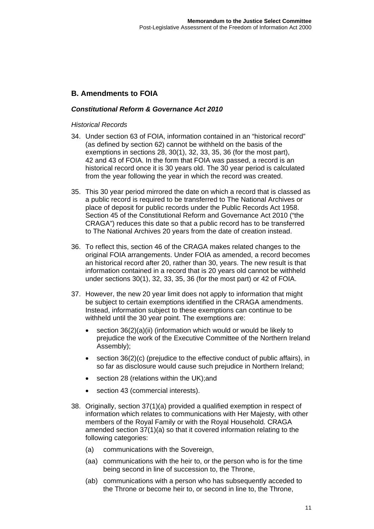### **B. Amendments to FOIA**

### *Constitutional Reform & Governance Act 2010*

#### *Historical Records*

- 34. Under section 63 of FOIA, information contained in an "historical record" (as defined by section 62) cannot be withheld on the basis of the exemptions in sections 28, 30(1), 32, 33, 35, 36 (for the most part), 42 and 43 of FOIA. In the form that FOIA was passed, a record is an historical record once it is 30 years old. The 30 year period is calculated from the year following the year in which the record was created.
- 35. This 30 year period mirrored the date on which a record that is classed as a public record is required to be transferred to The National Archives or place of deposit for public records under the Public Records Act 1958. Section 45 of the Constitutional Reform and Governance Act 2010 ("the CRAGA") reduces this date so that a public record has to be transferred to The National Archives 20 years from the date of creation instead.
- 36. To reflect this, section 46 of the CRAGA makes related changes to the original FOIA arrangements. Under FOIA as amended, a record becomes an historical record after 20, rather than 30, years. The new result is that information contained in a record that is 20 years old cannot be withheld under sections 30(1), 32, 33, 35, 36 (for the most part) or 42 of FOIA.
- 37. However, the new 20 year limit does not apply to information that might be subject to certain exemptions identified in the CRAGA amendments. Instead, information subject to these exemptions can continue to be withheld until the 30 year point. The exemptions are:
	- section 36(2)(a)(ii) (information which would or would be likely to prejudice the work of the Executive Committee of the Northern Ireland Assembly);
	- section 36(2)(c) (prejudice to the effective conduct of public affairs), in so far as disclosure would cause such prejudice in Northern Ireland;
	- section 28 (relations within the UK); and
	- section 43 (commercial interests).
- 38. Originally, section 37(1)(a) provided a qualified exemption in respect of information which relates to communications with Her Majesty, with other members of the Royal Family or with the Royal Household. CRAGA amended section 37(1)(a) so that it covered information relating to the following categories:
	- (a) communications with the Sovereign,
	- (aa) communications with the heir to, or the person who is for the time being second in line of succession to, the Throne,
	- (ab) communications with a person who has subsequently acceded to the Throne or become heir to, or second in line to, the Throne,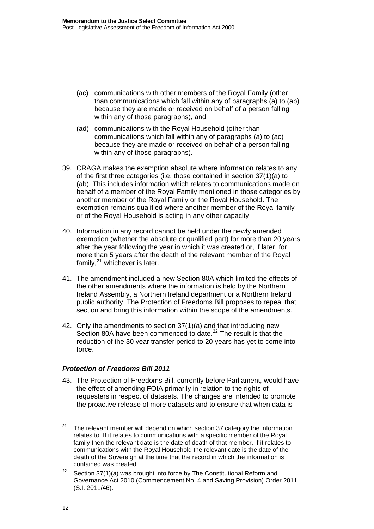- (ac) communications with other members of the Royal Family (other than communications which fall within any of paragraphs (a) to (ab) because they are made or received on behalf of a person falling within any of those paragraphs), and
- (ad) communications with the Royal Household (other than communications which fall within any of paragraphs (a) to (ac) because they are made or received on behalf of a person falling within any of those paragraphs).
- 39. CRAGA makes the exemption absolute where information relates to any of the first three categories (i.e. those contained in section 37(1)(a) to (ab). This includes information which relates to communications made on behalf of a member of the Royal Family mentioned in those categories by another member of the Royal Family or the Royal Household. The exemption remains qualified where another member of the Royal family or of the Royal Household is acting in any other capacity.
- 40. Information in any record cannot be held under the newly amended exemption (whether the absolute or qualified part) for more than 20 years after the year following the year in which it was created or, if later, for more than 5 years after the death of the relevant member of the Royal family, $^{21}$  $^{21}$  $^{21}$  whichever is later.
- 41. The amendment included a new Section 80A which limited the effects of the other amendments where the information is held by the Northern Ireland Assembly, a Northern Ireland department or a Northern Ireland public authority. The Protection of Freedoms Bill proposes to repeal that section and bring this information within the scope of the amendments.
- 42. Only the amendments to section 37(1)(a) and that introducing new Section 80A have been commenced to date.<sup>[22](#page-14-1)</sup> The result is that the reduction of the 30 year transfer period to 20 years has yet to come into force.

### *Protection of Freedoms Bill 2011*

43. The Protection of Freedoms Bill, currently before Parliament, would have the effect of amending FOIA primarily in relation to the rights of requesters in respect of datasets. The changes are intended to promote the proactive release of more datasets and to ensure that when data is

<span id="page-14-0"></span><sup>&</sup>lt;sup>21</sup> The relevant member will depend on which section 37 category the information relates to. If it relates to communications with a specific member of the Royal family then the relevant date is the date of death of that member. If it relates to communications with the Royal Household the relevant date is the date of the death of the Sovereign at the time that the record in which the information is contained was created.

<span id="page-14-1"></span><sup>&</sup>lt;sup>22</sup> Section 37(1)(a) was brought into force by The Constitutional Reform and Governance Act 2010 (Commencement No. 4 and Saving Provision) Order 2011 (S.I. 2011/46).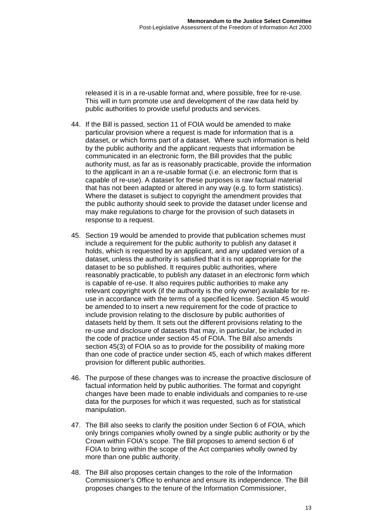released it is in a re-usable format and, where possible, free for re-use. This will in turn promote use and development of the raw data held by public authorities to provide useful products and services.

- 44. If the Bill is passed, section 11 of FOIA would be amended to make particular provision where a request is made for information that is a dataset, or which forms part of a dataset. Where such information is held by the public authority and the applicant requests that information be communicated in an electronic form, the Bill provides that the public authority must, as far as is reasonably practicable, provide the information to the applicant in an a re-usable format (i.e. an electronic form that is capable of re-use). A dataset for these purposes is raw factual material that has not been adapted or altered in any way (e.g. to form statistics). Where the dataset is subject to copyright the amendment provides that the public authority should seek to provide the dataset under license and may make regulations to charge for the provision of such datasets in response to a request.
- 45. Section 19 would be amended to provide that publication schemes must include a requirement for the public authority to publish any dataset it holds, which is requested by an applicant, and any updated version of a dataset, unless the authority is satisfied that it is not appropriate for the dataset to be so published. It requires public authorities, where reasonably practicable, to publish any dataset in an electronic form which is capable of re-use. It also requires public authorities to make any relevant copyright work (if the authority is the only owner) available for reuse in accordance with the terms of a specified license. Section 45 would be amended to to insert a new requirement for the code of practice to include provision relating to the disclosure by public authorities of datasets held by them. It sets out the different provisions relating to the re-use and disclosure of datasets that may, in particular, be included in the code of practice under section 45 of FOIA. The Bill also amends section 45(3) of FOIA so as to provide for the possibility of making more than one code of practice under section 45, each of which makes different provision for different public authorities.
- 46. The purpose of these changes was to increase the proactive disclosure of factual information held by public authorities. The format and copyright changes have been made to enable individuals and companies to re-use data for the purposes for which it was requested, such as for statistical manipulation.
- 47. The Bill also seeks to clarify the position under Section 6 of FOIA, which only brings companies wholly owned by a single public authority or by the Crown within FOIA's scope. The Bill proposes to amend section 6 of FOIA to bring within the scope of the Act companies wholly owned by more than one public authority.
- 48. The Bill also proposes certain changes to the role of the Information Commissioner's Office to enhance and ensure its independence. The Bill proposes changes to the tenure of the Information Commissioner,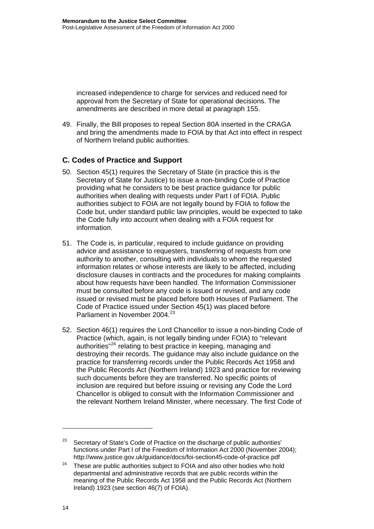increased independence to charge for services and reduced need for approval from the Secretary of State for operational decisions. The amendments are described in more detail at paragraph 155.

49. Finally, the Bill proposes to repeal Section 80A inserted in the CRAGA and bring the amendments made to FOIA by that Act into effect in respect of Northern Ireland public authorities.

### **C. Codes of Practice and Support**

- 50. Section 45(1) requires the Secretary of State (in practice this is the Secretary of State for Justice) to issue a non-binding Code of Practice providing what he considers to be best practice guidance for public authorities when dealing with requests under Part I of FOIA. Public authorities subject to FOIA are not legally bound by FOIA to follow the Code but, under standard public law principles, would be expected to take the Code fully into account when dealing with a FOIA request for information.
- 51. The Code is, in particular, required to include guidance on providing advice and assistance to requesters, transferring of requests from one authority to another, consulting with individuals to whom the requested information relates or whose interests are likely to be affected, including disclosure clauses in contracts and the procedures for making complaints about how requests have been handled. The Information Commissioner must be consulted before any code is issued or revised, and any code issued or revised must be placed before both Houses of Parliament. The Code of Practice issued under Section 45(1) was placed before Parliament in November 2004.<sup>[23](#page-16-0)</sup>
- 52. Section 46(1) requires the Lord Chancellor to issue a non-binding Code of Practice (which, again, is not legally binding under FOIA) to "relevant authorities"<sup>[24](#page-16-1)</sup> relating to best practice in keeping, managing and destroying their records. The guidance may also include guidance on the practice for transferring records under the Public Records Act 1958 and the Public Records Act (Northern Ireland) 1923 and practice for reviewing such documents before they are transferred. No specific points of inclusion are required but before issuing or revising any Code the Lord Chancellor is obliged to consult with the Information Commissioner and the relevant Northern Ireland Minister, where necessary. The first Code of

<span id="page-16-0"></span>Secretary of State's Code of Practice on the discharge of public authorities' functions under Part I of the Freedom of Information Act 2000 (November 2004); http://www.justice.gov.uk/guidance/docs/foi-section45-code-of-practice.pdf

<span id="page-16-1"></span> $24$  These are public authorities subject to FOIA and also other bodies who hold departmental and administrative records that are public records within the meaning of the Public Records Act 1958 and the Public Records Act (Northern Ireland) 1923 (see section 46(7) of FOIA).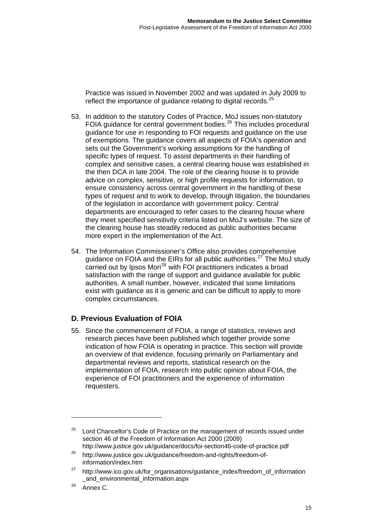Practice was issued in November 2002 and was updated in July 2009 to reflect the importance of quidance relating to digital records.<sup>25</sup>

- 53. In addition to the statutory Codes of Practice, MoJ issues non-statutory FOIA guidance for central government bodies.<sup>[26](#page-17-0)</sup> This includes procedural guidance for use in responding to FOI requests and guidance on the use of exemptions. The guidance covers all aspects of FOIA's operation and sets out the Government's working assumptions for the handling of specific types of request. To assist departments in their handling of complex and sensitive cases, a central clearing house was established in the then DCA in late 2004. The role of the clearing house is to provide advice on complex, sensitive, or high profile requests for information, to ensure consistency across central government in the handling of these types of request and to work to develop, through litigation, the boundaries of the legislation in accordance with government policy. Central departments are encouraged to refer cases to the clearing house where they meet specified sensitivity criteria listed on MoJ's website. The size of the clearing house has steadily reduced as public authorities became more expert in the implementation of the Act.
- 54. The Information Commissioner's Office also provides comprehensive guidance on FOIA and the EIRs for all public authorities.<sup>[27](#page-17-1)</sup> The MoJ study carried out by Ipsos Mori<sup>[28](#page-17-2)</sup> with FOI practitioners indicates a broad satisfaction with the range of support and guidance available for public authorities. A small number, however, indicated that some limitations exist with guidance as it is generic and can be difficult to apply to more complex circumstances.

### **D. Previous Evaluation of FOIA**

55. Since the commencement of FOIA, a range of statistics, reviews and research pieces have been published which together provide some indication of how FOIA is operating in practice. This section will provide an overview of that evidence, focusing primarily on Parliamentary and departmental reviews and reports, statistical research on the implementation of FOIA, research into public opinion about FOIA, the experience of FOI practitioners and the experience of information requesters.

 $\overline{a}$ 

 $25$  Lord Chancellor's Code of Practice on the management of records issued under section 46 of the Freedom of Information Act 2000 (2009) http://www.justice.gov.uk/guidance/docs/foi-section46-code-of-practice.pdf

<span id="page-17-0"></span><sup>26</sup> http://www.justice.gov.uk/guidance/freedom-and-rights/freedom-ofinformation/index.htm

<span id="page-17-1"></span><sup>&</sup>lt;sup>27</sup> http://www.ico.gov.uk/for\_organisations/guidance\_index/freedom\_of\_information [\\_and\\_environmental\\_information.aspx](http://www.ico.gov.uk/for_organisations/guidance_index/freedom_of_information%0B_and_environmental_information.aspx) 

<span id="page-17-2"></span><sup>&</sup>lt;sup>28</sup> Annex C.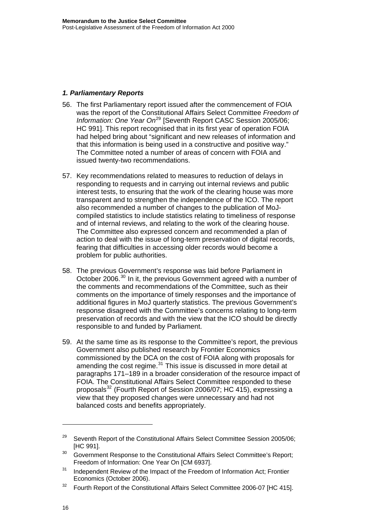### *1. Parliamentary Reports*

- 56. The first Parliamentary report issued after the commencement of FOIA was the report of the Constitutional Affairs Select Committee *Freedom of Information: One Year On*<sup>[29](#page-18-0)</sup> [Seventh Report CASC Session 2005/06; HC 991]. This report recognised that in its first year of operation FOIA had helped bring about "significant and new releases of information and that this information is being used in a constructive and positive way." The Committee noted a number of areas of concern with FOIA and issued twenty-two recommendations.
- 57. Key recommendations related to measures to reduction of delays in responding to requests and in carrying out internal reviews and public interest tests, to ensuring that the work of the clearing house was more transparent and to strengthen the independence of the ICO. The report also recommended a number of changes to the publication of MoJcompiled statistics to include statistics relating to timeliness of response and of internal reviews, and relating to the work of the clearing house. The Committee also expressed concern and recommended a plan of action to deal with the issue of long-term preservation of digital records, fearing that difficulties in accessing older records would become a problem for public authorities.
- 58. The previous Government's response was laid before Parliament in October 2006.[30](#page-18-1) In it, the previous Government agreed with a number of the comments and recommendations of the Committee, such as their comments on the importance of timely responses and the importance of additional figures in MoJ quarterly statistics. The previous Government's response disagreed with the Committee's concerns relating to long-term preservation of records and with the view that the ICO should be directly responsible to and funded by Parliament.
- 59. At the same time as its response to the Committee's report, the previous Government also published research by Frontier Economics commissioned by the DCA on the cost of FOIA along with proposals for amending the cost regime.<sup>[31](#page-18-2)</sup> This issue is discussed in more detail at paragraphs 171–189 in a broader consideration of the resource impact of FOIA. The Constitutional Affairs Select Committee responded to these proposals<sup>[32](#page-18-3)</sup> (Fourth Report of Session 2006/07; HC 415), expressing a view that they proposed changes were unnecessary and had not balanced costs and benefits appropriately.

<span id="page-18-0"></span> $29$  Seventh Report of the Constitutional Affairs Select Committee Session 2005/06; [HC 991].

<span id="page-18-1"></span><sup>&</sup>lt;sup>30</sup> Government Response to the Constitutional Affairs Select Committee's Report; Freedom of Information: One Year On [CM 6937].

<span id="page-18-2"></span><sup>&</sup>lt;sup>31</sup> Independent Review of the Impact of the Freedom of Information Act; Frontier Economics (October 2006).

<span id="page-18-3"></span><sup>&</sup>lt;sup>32</sup> Fourth Report of the Constitutional Affairs Select Committee 2006-07 [HC 415].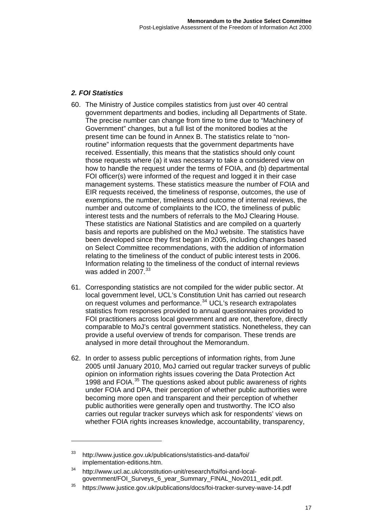### *2. FOI Statistics*

- 60. The Ministry of Justice compiles statistics from just over 40 central government departments and bodies, including all Departments of State. The precise number can change from time to time due to "Machinery of Government" changes, but a full list of the monitored bodies at the present time can be found in Annex B. The statistics relate to "nonroutine" information requests that the government departments have received. Essentially, this means that the statistics should only count those requests where (a) it was necessary to take a considered view on how to handle the request under the terms of FOIA, and (b) departmental FOI officer(s) were informed of the request and logged it in their case management systems. These statistics measure the number of FOIA and EIR requests received, the timeliness of response, outcomes, the use of exemptions, the number, timeliness and outcome of internal reviews, the number and outcome of complaints to the ICO, the timeliness of public interest tests and the numbers of referrals to the MoJ Clearing House. These statistics are National Statistics and are compiled on a quarterly basis and reports are published on the MoJ website. The statistics have been developed since they first began in 2005, including changes based on Select Committee recommendations, with the addition of information relating to the timeliness of the conduct of public interest tests in 2006. Information relating to the timeliness of the conduct of internal reviews was added in 2007.<sup>[33](#page-19-0)</sup>
- 61. Corresponding statistics are not compiled for the wider public sector. At local government level, UCL's Constitution Unit has carried out research on request volumes and performance.[34](#page-19-1) UCL's research extrapolates statistics from responses provided to annual questionnaires provided to FOI practitioners across local government and are not, therefore, directly comparable to MoJ's central government statistics. Nonetheless, they can provide a useful overview of trends for comparison. These trends are analysed in more detail throughout the Memorandum.
- 62. In order to assess public perceptions of information rights, from June 2005 until January 2010, MoJ carried out regular tracker surveys of public opinion on information rights issues covering the Data Protection Act 1998 and FOIA.<sup>[35](#page-19-2)</sup> The questions asked about public awareness of rights under FOIA and DPA, their perception of whether public authorities were becoming more open and transparent and their perception of whether public authorities were generally open and trustworthy. The ICO also carries out regular tracker surveys which ask for respondents' views on whether FOIA rights increases knowledge, accountability, transparency,

 $\overline{a}$ 

<span id="page-19-0"></span><sup>33</sup> http://www.justice.gov.uk/publications/statistics-and-data/foi/ implementation-editions.htm.

<span id="page-19-1"></span><sup>34</sup> http://www.ucl.ac.uk/constitution-unit/research/foi/foi-and-localgovernment/FOI\_Surveys\_6\_year\_Summary\_FINAL\_Nov2011\_edit.pdf.

<span id="page-19-2"></span><sup>35</sup> https://www.justice.gov.uk/publications/docs/foi-tracker-survey-wave-14.pdf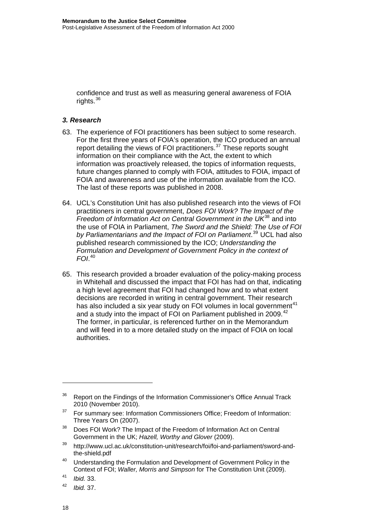confidence and trust as well as measuring general awareness of FOIA rights. $36$ 

### *3. Research*

- 63. The experience of FOI practitioners has been subject to some research. For the first three years of FOIA's operation, the ICO produced an annual report detailing the views of FOI practitioners.<sup>[37](#page-20-0)</sup> These reports sought information on their compliance with the Act, the extent to which information was proactively released, the topics of information requests, future changes planned to comply with FOIA, attitudes to FOIA, impact of FOIA and awareness and use of the information available from the ICO. The last of these reports was published in 2008.
- 64. UCL's Constitution Unit has also published research into the views of FOI practitioners in central government, *Does FOI Work? The Impact of the Freedom of Information Act on Central Government in the UK*[38](#page-20-1) and into the use of FOIA in Parliament, *The Sword and the Shield: The Use of FOI by Parliamentarians and the Impact of FOI on Parliament*. [39](#page-20-2) UCL had also published research commissioned by the ICO; *Understanding the Formulation and Development of Government Policy in the context of FOI*. [40](#page-20-3)
- 65. This research provided a broader evaluation of the policy-making process in Whitehall and discussed the impact that FOI has had on that, indicating a high level agreement that FOI had changed how and to what extent decisions are recorded in writing in central government. Their research has also included a six year study on FOI volumes in local government<sup>[41](#page-20-4)</sup> and a study into the impact of FOI on Parliament published in 2009.<sup>[42](#page-20-5)</sup> The former, in particular, is referenced further on in the Memorandum and will feed in to a more detailed study on the impact of FOIA on local authorities.

<sup>&</sup>lt;sup>36</sup> Report on the Findings of the Information Commissioner's Office Annual Track 2010 (November 2010).

<span id="page-20-0"></span><sup>&</sup>lt;sup>37</sup> For summary see: Information Commissioners Office; Freedom of Information: Three Years On (2007).

<span id="page-20-1"></span><sup>&</sup>lt;sup>38</sup> Does FOI Work? The Impact of the Freedom of Information Act on Central Government in the UK; *Hazell, Worthy and Glover* (2009).

<span id="page-20-2"></span><sup>39</sup> http://www.ucl.ac.uk/constitution-unit/research/foi/foi-and-parliament/sword-andthe-shield.pdf

<span id="page-20-3"></span> $40$  Understanding the Formulation and Development of Government Policy in the Context of FOI; *Waller, Morris and Simpson* for The Constitution Unit (2009).

<span id="page-20-4"></span><sup>41</sup> *Ibid.* 33.

<span id="page-20-5"></span><sup>42</sup> *Ibid.* 37.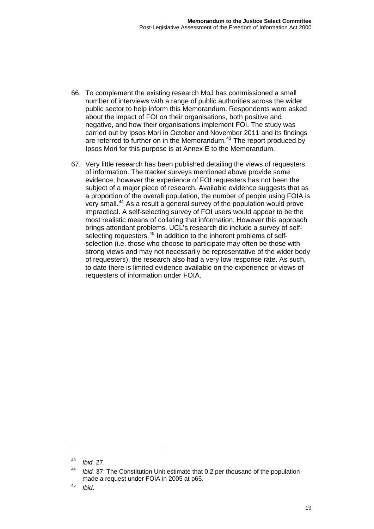- 66. To complement the existing research MoJ has commissioned a small number of interviews with a range of public authorities across the wider public sector to help inform this Memorandum. Respondents were asked about the impact of FOI on their organisations, both positive and negative, and how their organisations implement FOI. The study was carried out by Ipsos Mori in October and November 2011 and its findings are referred to further on in the Memorandum.<sup>[43](#page-21-0)</sup> The report produced by Ipsos Mori for this purpose is at Annex E to the Memorandum.
- 67. Very little research has been published detailing the views of requesters of information. The tracker surveys mentioned above provide some evidence, however the experience of FOI requesters has not been the subject of a major piece of research. Available evidence suggests that as a proportion of the overall population, the number of people using FOIA is very small.[44](#page-21-1) As a result a general survey of the population would prove impractical. A self-selecting survey of FOI users would appear to be the most realistic means of collating that information. However this approach brings attendant problems. UCL's research did include a survey of self-selecting requesters.<sup>[45](#page-21-2)</sup> In addition to the inherent problems of selfselection (i.e. those who choose to participate may often be those with strong views and may not necessarily be representative of the wider body of requesters), the research also had a very low response rate. As such, to date there is limited evidence available on the experience or views of requesters of information under FOIA.

<span id="page-21-0"></span><sup>43</sup> *Ibid.* 27.

<span id="page-21-1"></span>*Ibid.* 37; The Constitution Unit estimate that 0.2 per thousand of the population made a request under FOIA in 2005 at p65.

<span id="page-21-2"></span><sup>45</sup> *Ibid*.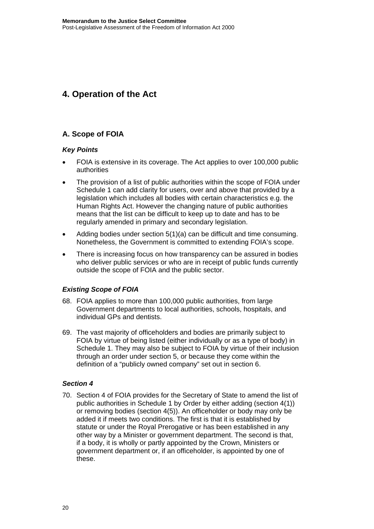### <span id="page-22-0"></span>**4. Operation of the Act**

### **A. Scope of FOIA**

### *Key Points*

- FOIA is extensive in its coverage. The Act applies to over 100,000 public authorities
- The provision of a list of public authorities within the scope of FOIA under Schedule 1 can add clarity for users, over and above that provided by a legislation which includes all bodies with certain characteristics e.g. the Human Rights Act. However the changing nature of public authorities means that the list can be difficult to keep up to date and has to be regularly amended in primary and secondary legislation.
- Adding bodies under section 5(1)(a) can be difficult and time consuming. Nonetheless, the Government is committed to extending FOIA's scope.
- There is increasing focus on how transparency can be assured in bodies who deliver public services or who are in receipt of public funds currently outside the scope of FOIA and the public sector.

### *Existing Scope of FOIA*

- 68. FOIA applies to more than 100,000 public authorities, from large Government departments to local authorities, schools, hospitals, and individual GPs and dentists.
- 69. The vast majority of officeholders and bodies are primarily subject to FOIA by virtue of being listed (either individually or as a type of body) in Schedule 1. They may also be subject to FOIA by virtue of their inclusion through an order under section 5, or because they come within the definition of a "publicly owned company" set out in section 6.

### *Section 4*

70. Section 4 of FOIA provides for the Secretary of State to amend the list of public authorities in Schedule 1 by Order by either adding (section 4(1)) or removing bodies (section 4(5)). An officeholder or body may only be added it if meets two conditions. The first is that it is established by statute or under the Royal Prerogative or has been established in any other way by a Minister or government department. The second is that, if a body, it is wholly or partly appointed by the Crown, Ministers or government department or, if an officeholder, is appointed by one of these.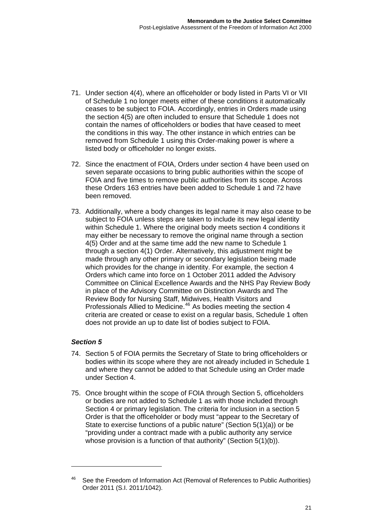- 71. Under section 4(4), where an officeholder or body listed in Parts VI or VII of Schedule 1 no longer meets either of these conditions it automatically ceases to be subject to FOIA. Accordingly, entries in Orders made using the section 4(5) are often included to ensure that Schedule 1 does not contain the names of officeholders or bodies that have ceased to meet the conditions in this way. The other instance in which entries can be removed from Schedule 1 using this Order-making power is where a listed body or officeholder no longer exists.
- 72. Since the enactment of FOIA, Orders under section 4 have been used on seven separate occasions to bring public authorities within the scope of FOIA and five times to remove public authorities from its scope. Across these Orders 163 entries have been added to Schedule 1 and 72 have been removed.
- 73. Additionally, where a body changes its legal name it may also cease to be subject to FOIA unless steps are taken to include its new legal identity within Schedule 1. Where the original body meets section 4 conditions it may either be necessary to remove the original name through a section 4(5) Order and at the same time add the new name to Schedule 1 through a section 4(1) Order. Alternatively, this adjustment might be made through any other primary or secondary legislation being made which provides for the change in identity. For example, the section 4 Orders which came into force on 1 October 2011 added the Advisory Committee on Clinical Excellence Awards and the NHS Pay Review Body in place of the Advisory Committee on Distinction Awards and The Review Body for Nursing Staff, Midwives, Health Visitors and Professionals Allied to Medicine.[46](#page-23-0) As bodies meeting the section 4 criteria are created or cease to exist on a regular basis, Schedule 1 often does not provide an up to date list of bodies subject to FOIA.

### *Section 5*

 $\overline{a}$ 

- 74. Section 5 of FOIA permits the Secretary of State to bring officeholders or bodies within its scope where they are not already included in Schedule 1 and where they cannot be added to that Schedule using an Order made under Section 4.
- 75. Once brought within the scope of FOIA through Section 5, officeholders or bodies are not added to Schedule 1 as with those included through Section 4 or primary legislation. The criteria for inclusion in a section 5 Order is that the officeholder or body must "appear to the Secretary of State to exercise functions of a public nature" (Section 5(1)(a)) or be "providing under a contract made with a public authority any service whose provision is a function of that authority" (Section 5(1)(b)).

<span id="page-23-0"></span><sup>&</sup>lt;sup>46</sup> See the Freedom of Information Act (Removal of References to Public Authorities) Order 2011 (S.I. 2011/1042).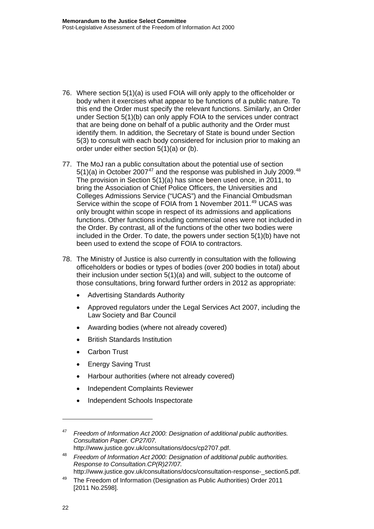- 76. Where section 5(1)(a) is used FOIA will only apply to the officeholder or body when it exercises what appear to be functions of a public nature. To this end the Order must specify the relevant functions. Similarly, an Order under Section 5(1)(b) can only apply FOIA to the services under contract that are being done on behalf of a public authority and the Order must identify them. In addition, the Secretary of State is bound under Section 5(3) to consult with each body considered for inclusion prior to making an order under either section 5(1)(a) or (b).
- 77. The MoJ ran a public consultation about the potential use of section  $5(1)(a)$  in October 2007<sup>[47](#page-24-0)</sup> and the response was published in July 2009.<sup>[48](#page-24-1)</sup> The provision in Section 5(1)(a) has since been used once, in 2011, to bring the Association of Chief Police Officers, the Universities and Colleges Admissions Service ("UCAS") and the Financial Ombudsman Service within the scope of FOIA from 1 November 2011.<sup>[49](#page-24-2)</sup> UCAS was only brought within scope in respect of its admissions and applications functions. Other functions including commercial ones were not included in the Order. By contrast, all of the functions of the other two bodies were included in the Order. To date, the powers under section 5(1)(b) have not been used to extend the scope of FOIA to contractors.
- 78. The Ministry of Justice is also currently in consultation with the following officeholders or bodies or types of bodies (over 200 bodies in total) about their inclusion under section 5(1)(a) and will, subject to the outcome of those consultations, bring forward further orders in 2012 as appropriate:
	- Advertising Standards Authority
	- Approved regulators under the Legal Services Act 2007, including the Law Society and Bar Council
	- Awarding bodies (where not already covered)
	- British Standards Institution
	- Carbon Trust
	- Energy Saving Trust
	- Harbour authorities (where not already covered)
	- Independent Complaints Reviewer
	- Independent Schools Inspectorate

 $\overline{a}$ 

<span id="page-24-0"></span><sup>47</sup> *Freedom of Information Act 2000: Designation of additional public authorities. Consultation Paper. CP27/07.*  http://www.justice.gov.uk/consultations/docs/cp2707.pdf.

<span id="page-24-1"></span><sup>48</sup> *Freedom of Information Act 2000: Designation of additional public authorities. Response to Consultation.CP(R)27/07.* 

<span id="page-24-2"></span>[http://www.justice.gov.uk/consultations/docs/consultation-response-\\_section5.pdf.](http://www.justice.gov.uk/consultations/docs/consultation-response-_section5.pdf)<br><sup>49</sup> [The Freedom of Information \(Designation as Public Authorities\) Order 2011](http://www.legislation.gov.uk/uksi/2011/2598/contents/made)

<sup>[2011</sup> No.2598].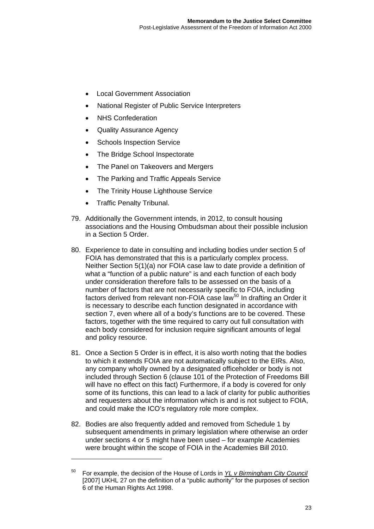- Local Government Association
- National Register of Public Service Interpreters
- NHS Confederation
- Quality Assurance Agency
- Schools Inspection Service
- The Bridge School Inspectorate
- The Panel on Takeovers and Mergers
- The Parking and Traffic Appeals Service
- The Trinity House Lighthouse Service
- Traffic Penalty Tribunal.

- 79. Additionally the Government intends, in 2012, to consult housing associations and the Housing Ombudsman about their possible inclusion in a Section 5 Order.
- 80. Experience to date in consulting and including bodies under section 5 of FOIA has demonstrated that this is a particularly complex process. Neither Section 5(1)(a) nor FOIA case law to date provide a definition of what a "function of a public nature" is and each function of each body under consideration therefore falls to be assessed on the basis of a number of factors that are not necessarily specific to FOIA, including factors derived from relevant non-FOIA case law<sup>[50](#page-25-0)</sup> In drafting an Order it is necessary to describe each function designated in accordance with section 7, even where all of a body's functions are to be covered. These factors, together with the time required to carry out full consultation with each body considered for inclusion require significant amounts of legal and policy resource.
- 81. Once a Section 5 Order is in effect, it is also worth noting that the bodies to which it extends FOIA are not automatically subject to the EIRs. Also, any company wholly owned by a designated officeholder or body is not included through Section 6 (clause 101 of the Protection of Freedoms Bill will have no effect on this fact) Furthermore, if a body is covered for only some of its functions, this can lead to a lack of clarity for public authorities and requesters about the information which is and is not subject to FOIA, and could make the ICO's regulatory role more complex.
- 82. Bodies are also frequently added and removed from Schedule 1 by subsequent amendments in primary legislation where otherwise an order under sections 4 or 5 might have been used – for example Academies were brought within the scope of FOIA in the Academies Bill 2010.

<span id="page-25-0"></span><sup>50</sup> For example, the decision of the House of Lords in *YL v Birmingham City Council* [2007] UKHL 27 on the definition of a "public authority" for the purposes of section 6 of the Human Rights Act 1998.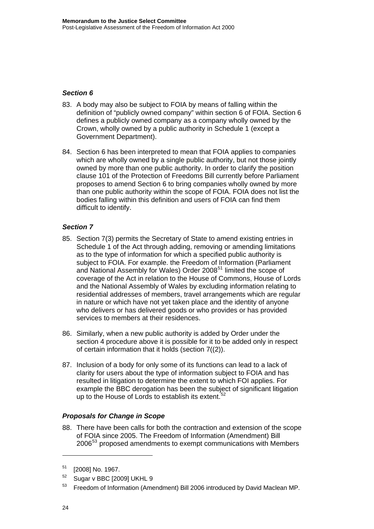### *Section 6*

- 83. A body may also be subject to FOIA by means of falling within the definition of "publicly owned company" within section 6 of FOIA. Section 6 defines a publicly owned company as a company wholly owned by the Crown, wholly owned by a public authority in Schedule 1 (except a Government Department).
- 84. Section 6 has been interpreted to mean that FOIA applies to companies which are wholly owned by a single public authority, but not those jointly owned by more than one public authority. In order to clarify the position clause 101 of the Protection of Freedoms Bill currently before Parliament proposes to amend Section 6 to bring companies wholly owned by more than one public authority within the scope of FOIA. FOIA does not list the bodies falling within this definition and users of FOIA can find them difficult to identify.

### *Section 7*

- 85. Section 7(3) permits the Secretary of State to amend existing entries in Schedule 1 of the Act through adding, removing or amending limitations as to the type of information for which a specified public authority is subject to FOIA. For example. the Freedom of Information (Parliament and National Assembly for Wales) Order 2008<sup>[51](#page-26-0)</sup> limited the scope of coverage of the Act in relation to the House of Commons, House of Lords and the National Assembly of Wales by excluding information relating to residential addresses of members, travel arrangements which are regular in nature or which have not yet taken place and the identity of anyone who delivers or has delivered goods or who provides or has provided services to members at their residences.
- 86. Similarly, when a new public authority is added by Order under the section 4 procedure above it is possible for it to be added only in respect of certain information that it holds (section 7((2)).
- 87. Inclusion of a body for only some of its functions can lead to a lack of clarity for users about the type of information subject to FOIA and has resulted in litigation to determine the extent to which FOI applies. For example the BBC derogation has been the subject of significant litigation up to the House of Lords to establish its extent.<sup>[52](#page-26-1)</sup>

### *Proposals for Change in Scope*

88. There have been calls for both the contraction and extension of the scope of FOIA since 2005. The Freedom of Information (Amendment) Bill 2006[53](#page-26-2) proposed amendments to exempt communications with Members

<span id="page-26-0"></span><sup>51 [2008]</sup> No. 1967.

<span id="page-26-1"></span> $52$  Sugar v BBC [2009] UKHL 9

<span id="page-26-2"></span><sup>53</sup> Freedom of Information (Amendment) Bill 2006 introduced by David Maclean MP.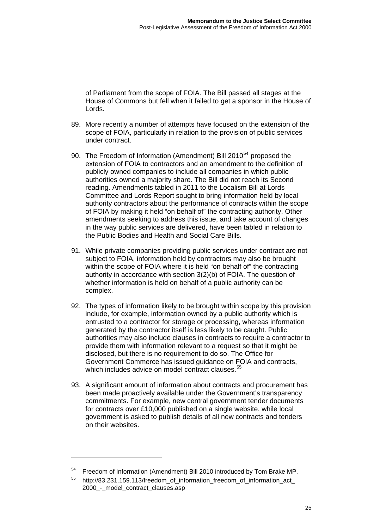of Parliament from the scope of FOIA. The Bill passed all stages at th e House of Commons but fell when it failed to get a sponsor in the House of Lords.

- 89. More recently a number of attempts have focused on the extension of the scope of FOIA, particularly in relation to the provision of public services under contract.
- 90. The Freedom of Information (Amendment) Bill 2010<sup>[54](#page-27-0)</sup> proposed the extension of FOIA to contractors and an amendment to the definition of publicly owned companies to include all companies in which public authorities owned a majority share. The Bill did not reach its Second reading. Amendments tabled in 2011 to the Localism Bill at Lords Committee and Lords Report sought to bring information held by local authority contractors about the performance of contracts within the scope of FOIA by making it held "on behalf of" the contracting authority. Other amendments seeking to address this issue, and take account of changes in the way public services are delivered, have been tabled in relation to the Public Bodies and Health and Social Care Bills.
- 91. While private companies providing public services under contract are not subject to FOIA, information held by contractors may also be brought within the scope of FOIA where it is held "on behalf of" the contracting authority in accordance with section 3(2)(b) of FOIA. The question of whether information is held on behalf of a public authority can be complex.
- 92. The types of information likely to be brought within scope by this provision include, for example, information owned by a public authority which is entrusted to a contractor for storage or processing, whereas information generated by the contractor itself is less likely to be caught. Public authorities may also include clauses in contracts to require a contractor to provide them with information relevant to a request so that it might be disclosed, but there is no requirement to do so. The Office for Government Commerce has issued guidance on FOIA and contracts, which includes advice on model contract clauses.<sup>[55](#page-27-1)</sup>
- 93. A significant amount of information about contracts and procurement has been made proactively available under the Government's transparency commitments. For example, new central government tender documents for contracts over £10,000 published on a single website, while local government is asked to publish details of all new contracts and tenders on their websites.

<span id="page-27-0"></span><sup>&</sup>lt;sup>54</sup> Freedom of Information (Amendment) Bill 2010 introduced by Tom Brake MP.

<span id="page-27-1"></span><sup>&</sup>lt;sup>55</sup> http://83.231.159.113/freedom of information freedom of information act 2000\_-\_model\_contract\_clauses.asp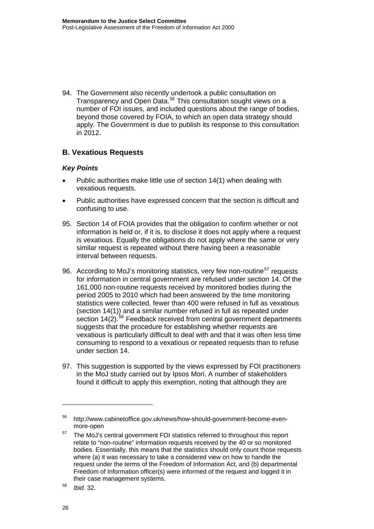94. The Government also recently undertook a public consultation on Transparency and Open Data.<sup>[56](#page-28-0)</sup> This consultation sought views on a number of FOI issues, and included questions about the range of bodies, beyond those covered by FOIA, to which an open data strategy should apply. The Government is due to publish its response to this consultation in 2012.

### **B. Vexatious Requests**

### *Key Points*

- Public authorities make little use of section 14(1) when dealing with vexatious requests.
- Public authorities have expressed concern that the section is difficult and confusing to use.
- 95. Section 14 of FOIA provides that the obligation to confirm whether or not information is held or, if it is, to disclose it does not apply where a request is vexatious. Equally the obligations do not apply where the same or very similar request is repeated without there having been a reasonable interval between requests.
- 96. According to MoJ's monitoring statistics, very few non-routine<sup>[57](#page-28-1)</sup> requests for information in central government are refused under section 14. Of the 161,000 non-routine requests received by monitored bodies during the period 2005 to 2010 which had been answered by the time monitoring statistics were collected, fewer than 400 were refused in full as vexatious (section 14(1)) and a similar number refused in full as repeated under section  $14(2)$ .<sup>[58](#page-28-2)</sup> Feedback received from central government departments suggests that the procedure for establishing whether requests are vexatious is particularly difficult to deal with and that it was often less time consuming to respond to a vexatious or repeated requests than to refuse under section 14.
- 97. This suggestion is supported by the views expressed by FOI practitioners in the MoJ study carried out by Ipsos Mori. A number of stakeholders found it difficult to apply this exemption, noting that although they are

<span id="page-28-0"></span><sup>56</sup> http://www.cabinetoffice.gov.uk/news/how-should-government-become-evenmore-open

<span id="page-28-1"></span> $57$  The MoJ's central government FOI statistics referred to throughout this report relate to "non-routine" information requests received by the 40 or so monitored bodies. Essentially, this means that the statistics should only count those requests where (a) it was necessary to take a considered view on how to handle the request under the terms of the Freedom of Information Act, and (b) departmental Freedom of Information officer(s) were informed of the request and logged it in their case management systems.

<span id="page-28-2"></span><sup>58</sup> *Ibid.* 32.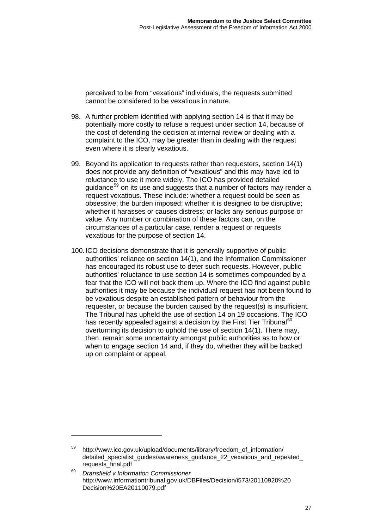perceived to be from "vexatious" individuals, the requests submitted cannot be considered to be vexatious in nature.

- 98. A further problem identified with applying section 14 is that it may be potentially more costly to refuse a request under section 14, because of the cost of defending the decision at internal review or dealing with a complaint to the ICO, may be greater than in dealing with the request even where it is clearly vexatious.
- 99. Beyond its application to requests rather than requesters, section 14(1) does not provide any definition of "vexatious" and this may have led to reluctance to use it more widely. The ICO has provided detailed guidance<sup>[59](#page-29-0)</sup> on its use and suggests that a number of factors may render a request vexatious. These include: whether a request could be seen as obsessive; the burden imposed; whether it is designed to be disruptive; whether it harasses or causes distress; or lacks any serious purpose or value. Any number or combination of these factors can, on the circumstances of a particular case, render a request or requests vexatious for the purpose of section 14.
- 100. ICO decisions demonstrate that it is generally supportive of public authorities' reliance on section 14(1), and the Information Commissioner has encouraged its robust use to deter such requests. However, public authorities' reluctance to use section 14 is sometimes compounded by a fear that the ICO will not back them up. Where the ICO find against public authorities it may be because the individual request has not been found to be vexatious despite an established pattern of behaviour from the requester, or because the burden caused by the request(s) is insufficient. The Tribunal has upheld the use of section 14 on 19 occasions. The ICO has recently appealed against a decision by the First Tier Tribunal<sup>[60](#page-29-1)</sup> overturning its decision to uphold the use of section 14(1). There may, then, remain some uncertainty amongst public authorities as to how or when to engage section 14 and, if they do, whether they will be backed up on complaint or appeal.

<span id="page-29-0"></span>http://www.ico.gov.uk/upload/documents/library/freedom\_of\_information/ detailed\_specialist\_guides/awareness\_guidance\_22\_vexatious\_and\_repeated\_ requests\_final.pdf

<span id="page-29-1"></span><sup>60</sup> *Dransfield v Information Commissioner* [http://www.informationtribunal.gov.uk/DBFiles/Decision/i573/20110920%20](http://www.informationtribunal.gov.uk/DBFiles/Decision/i573/20110920) Decision%20EA20110079.pdf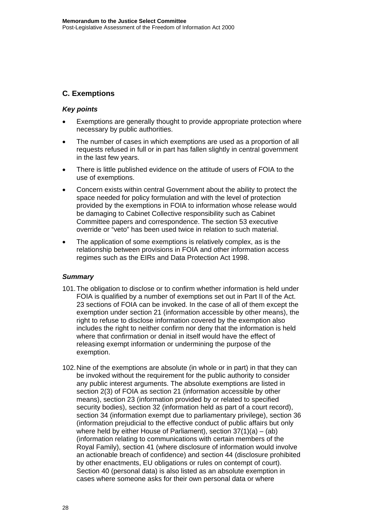### **C. Exemptions**

### *Key points*

- Exemptions are generally thought to provide appropriate protection where necessary by public authorities.
- The number of cases in which exemptions are used as a proportion of all requests refused in full or in part has fallen slightly in central government in the last few years.
- There is little published evidence on the attitude of users of FOIA to the use of exemptions.
- Concern exists within central Government about the ability to protect the space needed for policy formulation and with the level of protection provided by the exemptions in FOIA to information whose release would be damaging to Cabinet Collective responsibility such as Cabinet Committee papers and correspondence. The section 53 executive override or "veto" has been used twice in relation to such material.
- The application of some exemptions is relatively complex, as is the relationship between provisions in FOIA and other information access regimes such as the EIRs and Data Protection Act 1998.

#### *Summary*

- 101. The obligation to disclose or to confirm whether information is held under FOIA is qualified by a number of exemptions set out in Part II of the Act. 23 sections of FOIA can be invoked. In the case of all of them except the exemption under section 21 (information accessible by other means), the right to refuse to disclose information covered by the exemption also includes the right to neither confirm nor deny that the information is held where that confirmation or denial in itself would have the effect of releasing exempt information or undermining the purpose of the exemption.
- 102. Nine of the exemptions are absolute (in whole or in part) in that they can be invoked without the requirement for the public authority to consider any public interest arguments. The absolute exemptions are listed in section 2(3) of FOIA as section 21 (information accessible by other means), section 23 (information provided by or related to specified security bodies), section 32 (information held as part of a court record), section 34 (information exempt due to parliamentary privilege), section 36 (information prejudicial to the effective conduct of public affairs but only where held by either House of Parliament), section  $37(1)(a) - (ab)$ (information relating to communications with certain members of the Royal Family), section 41 (where disclosure of information would involve an actionable breach of confidence) and section 44 (disclosure prohibited by other enactments, EU obligations or rules on contempt of court). Section 40 (personal data) is also listed as an absolute exemption in cases where someone asks for their own personal data or where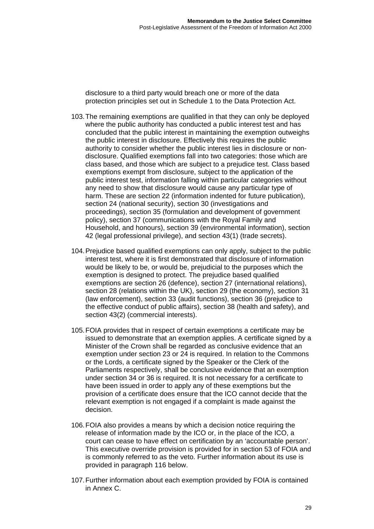disclosure to a third party would breach one or more of the data protection principles set out in Schedule 1 to the Data Protection Act.

- 103. The remaining exemptions are qualified in that they can only be deployed where the public authority has conducted a public interest test and has concluded that the public interest in maintaining the exemption outweighs the public interest in disclosure. Effectively this requires the public authority to consider whether the public interest lies in disclosure or nondisclosure. Qualified exemptions fall into two categories: those which are class based, and those which are subject to a prejudice test. Class based exemptions exempt from disclosure, subject to the application of the public interest test, information falling within particular categories without any need to show that disclosure would cause any particular type of harm. These are section 22 (information indented for future publication), section 24 (national security), section 30 (investigations and proceedings), section 35 (formulation and development of government policy), section 37 (communications with the Royal Family and Household, and honours), section 39 (environmental information), section 42 (legal professional privilege), and section 43(1) (trade secrets).
- 104. Prejudice based qualified exemptions can only apply, subject to the public interest test, where it is first demonstrated that disclosure of information would be likely to be, or would be, prejudicial to the purposes which the exemption is designed to protect. The prejudice based qualified exemptions are section 26 (defence), section 27 (international relations), section 28 (relations within the UK), section 29 (the economy), section 31 (law enforcement), section 33 (audit functions), section 36 (prejudice to the effective conduct of public affairs), section 38 (health and safety), and section 43(2) (commercial interests).
- 105. FOIA provides that in respect of certain exemptions a certificate may be issued to demonstrate that an exemption applies. A certificate signed by a Minister of the Crown shall be regarded as conclusive evidence that an exemption under section 23 or 24 is required. In relation to the Commons or the Lords, a certificate signed by the Speaker or the Clerk of the Parliaments respectively, shall be conclusive evidence that an exemption under section 34 or 36 is required. It is not necessary for a certificate to have been issued in order to apply any of these exemptions but the provision of a certificate does ensure that the ICO cannot decide that the relevant exemption is not engaged if a complaint is made against the decision.
- 106. FOIA also provides a means by which a decision notice requiring the release of information made by the ICO or, in the place of the ICO, a court can cease to have effect on certification by an 'accountable person'. This executive override provision is provided for in section 53 of FOIA and is commonly referred to as the veto. Further information about its use is provided in paragraph 116 below.
- 107. Further information about each exemption provided by FOIA is contained in Annex C.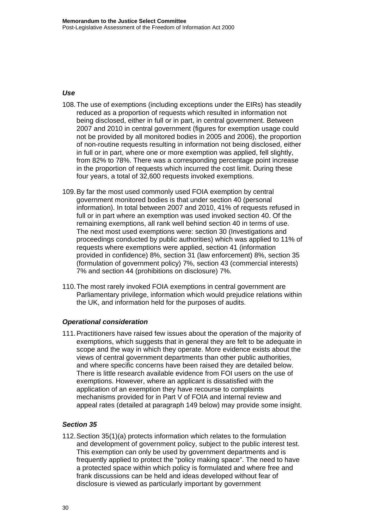### *Use*

- 108. The use of exemptions (including exceptions under the EIRs) has steadily reduced as a proportion of requests which resulted in information not being disclosed, either in full or in part, in central government. Between 2007 and 2010 in central government (figures for exemption usage could not be provided by all monitored bodies in 2005 and 2006), the proportion of non-routine requests resulting in information not being disclosed, either in full or in part, where one or more exemption was applied, fell slightly, from 82% to 78%. There was a corresponding percentage point increase in the proportion of requests which incurred the cost limit. During these four years, a total of 32,600 requests invoked exemptions.
- 109. By far the most used commonly used FOIA exemption by central government monitored bodies is that under section 40 (personal information). In total between 2007 and 2010, 41% of requests refused in full or in part where an exemption was used invoked section 40. Of the remaining exemptions, all rank well behind section 40 in terms of use. The next most used exemptions were: section 30 (Investigations and proceedings conducted by public authorities) which was applied to 11% of requests where exemptions were applied, section 41 (information provided in confidence) 8%, section 31 (law enforcement) 8%, section 35 (formulation of government policy) 7%, section 43 (commercial interests) 7% and section 44 (prohibitions on disclosure) 7%.
- 110. The most rarely invoked FOIA exemptions in central government are Parliamentary privilege, information which would prejudice relations within the UK, and information held for the purposes of audits.

### *Operational consideration*

111. Practitioners have raised few issues about the operation of the majority of exemptions, which suggests that in general they are felt to be adequate in scope and the way in which they operate. More evidence exists about the views of central government departments than other public authorities, and where specific concerns have been raised they are detailed below. There is little research available evidence from FOI users on the use of exemptions. However, where an applicant is dissatisfied with the application of an exemption they have recourse to complaints mechanisms provided for in Part V of FOIA and internal review and appeal rates (detailed at paragraph 149 below) may provide some insight.

#### *Section 35*

112. Section 35(1)(a) protects information which relates to the formulation and development of government policy, subject to the public interest test. This exemption can only be used by government departments and is frequently applied to protect the "policy making space". The need to have a protected space within which policy is formulated and where free and frank discussions can be held and ideas developed without fear of disclosure is viewed as particularly important by government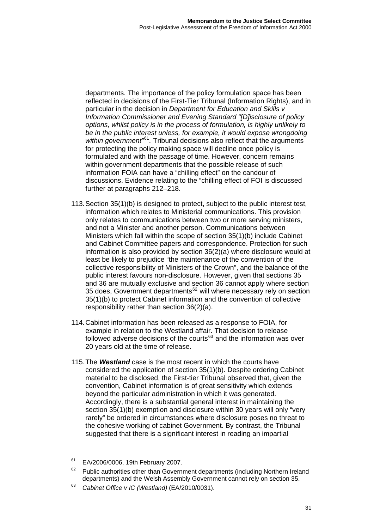departments. The importance of the policy formulation space has been reflected in decisions of the First-Tier Tribunal (Information Rights), and in particular in the decision in *Department for Education and Skills v Information Commissioner and Evening Standard "[D]isclosure of policy options, whilst policy is in the process of formulation, is highly unlikely to*  be in the public interest unless, for example, it would expose wrongdoing *within government"*[61](#page-33-0)*.* Tribunal decisions also reflect that the arguments for protecting the policy making space will decline once policy is formulated and with the passage of time. However, concern remains within government departments that the possible release of such information FOIA can have a "chilling effect" on the candour of discussions. Evidence relating to the "chilling effect of FOI is discussed further at paragraphs 212–218.

- 113. Section 35(1)(b) is designed to protect, subject to the public interest test, information which relates to Ministerial communications. This provision only relates to communications between two or more serving ministers, and not a Minister and another person. Communications between Ministers which fall within the scope of section 35(1)(b) include Cabinet and Cabinet Committee papers and correspondence. Protection for such information is also provided by section 36(2)(a) where disclosure would at least be likely to prejudice "the maintenance of the convention of the collective responsibility of Ministers of the Crown", and the balance of the public interest favours non-disclosure. However, given that sections 35 and 36 are mutually exclusive and section 36 cannot apply where section 35 does, Government departments<sup>[62](#page-33-1)</sup> will where necessary rely on section 35(1)(b) to protect Cabinet information and the convention of collective responsibility rather than section 36(2)(a).
- 114. Cabinet information has been released as a response to FOIA, for example in relation to the Westland affair. That decision to release followed adverse decisions of the courts<sup>[63](#page-33-2)</sup> and the information was over 20 years old at the time of release.
- 115. The *Westland* case is the most recent in which the courts have considered the application of section 35(1)(b). Despite ordering Cabinet material to be disclosed, the First-tier Tribunal observed that, given the convention, Cabinet information is of great sensitivity which extends beyond the particular administration in which it was generated. Accordingly, there is a substantial general interest in maintaining the section  $35(1)(b)$  exemption and disclosure within 30 years will only "very rarely" be ordered in circumstances where disclosure poses no threat to the cohesive working of cabinet Government. By contrast, the Tribunal suggested that there is a significant interest in reading an impartial

<span id="page-33-0"></span><sup>&</sup>lt;sup>61</sup> EA/2006/0006, 19th February 2007.

<span id="page-33-1"></span> $62$  Public authorities other than Government departments (including Northern Ireland departments) and the Welsh Assembly Government cannot rely on section 35.

<span id="page-33-2"></span><sup>63</sup> *Cabinet Office v IC (Westland)* (EA/2010/0031).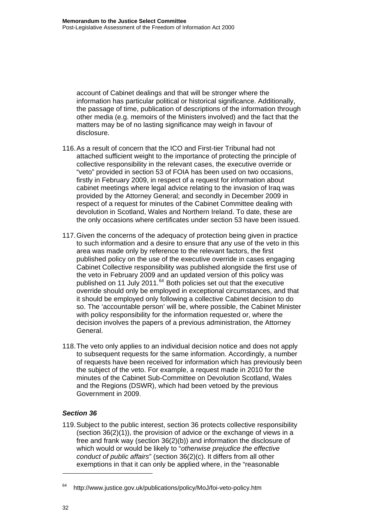account of Cabinet dealings and that will be stronger where the information has particular political or historical significance. Additionally, the passage of time, publication of descriptions of the information through other media (e.g. memoirs of the Ministers involved) and the fact that the matters may be of no lasting significance may weigh in favour of disclosure.

- 116. As a result of concern that the ICO and First-tier Tribunal had not attached sufficient weight to the importance of protecting the principle of collective responsibility in the relevant cases, the executive override or "veto" provided in section 53 of FOIA has been used on two occasions, firstly in February 2009, in respect of a request for information about cabinet meetings where legal advice relating to the invasion of Iraq was provided by the Attorney General; and secondly in December 2009 in respect of a request for minutes of the Cabinet Committee dealing with devolution in Scotland, Wales and Northern Ireland. To date, these are the only occasions where certificates under section 53 have been issued.
- 117. Given the concerns of the adequacy of protection being given in practice to such information and a desire to ensure that any use of the veto in this area was made only by reference to the relevant factors, the first published policy on the use of the executive override in cases engaging Cabinet Collective responsibility was published alongside the first use of the veto in February 2009 and an updated version of this policy was published on 11 July 2011.<sup>[64](#page-34-0)</sup> Both policies set out that the executive override should only be employed in exceptional circumstances, and that it should be employed only following a collective Cabinet decision to do so. The 'accountable person' will be, where possible, the Cabinet Minister with policy responsibility for the information requested or, where the decision involves the papers of a previous administration, the Attorney General.
- 118. The veto only applies to an individual decision notice and does not apply to subsequent requests for the same information. Accordingly, a number of requests have been received for information which has previously been the subject of the veto. For example, a request made in 2010 for the minutes of the Cabinet Sub-Committee on Devolution Scotland, Wales and the Regions (DSWR), which had been vetoed by the previous Government in 2009.

### *Section 36*

119. Subject to the public interest, section 36 protects collective responsibility (section 36(2)(1)), the provision of advice or the exchange of views in a free and frank way (section 36(2)(b)) and information the disclosure of which would or would be likely to "*otherwise prejudice the effective conduct of public affairs*" (section 36(2)(c). It differs from all other exemptions in that it can only be applied where, in the "reasonable

<span id="page-34-0"></span><sup>64</sup> <http://www.justice.gov.uk/publications/policy/MoJ/foi-veto-policy.htm>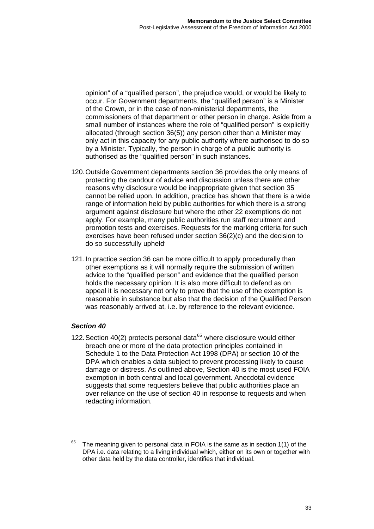opinion" of a "qualified person", the prejudice would, or would be likely to occur. For Government departments, the "qualified person" is a Minister of the Crown, or in the case of non-ministerial departments, the commissioners of that department or other person in charge. Aside from a small number of instances where the role of "qualified person" is explicitly allocated (through section 36(5)) any person other than a Minister may only act in this capacity for any public authority where authorised to do so by a Minister. Typically, the person in charge of a public authority is authorised as the "qualified person" in such instances.

- 120. Outside Government departments section 36 provides the only means of protecting the candour of advice and discussion unless there are other reasons why disclosure would be inappropriate given that section 35 cannot be relied upon. In addition, practice has shown that there is a wide range of information held by public authorities for which there is a strong argument against disclosure but where the other 22 exemptions do not apply. For example, many public authorities run staff recruitment and promotion tests and exercises. Requests for the marking criteria for such exercises have been refused under section 36(2)(c) and the decision to do so successfully upheld.
- 121. In practice section 36 can be more difficult to apply procedurally than other exemptions as it will normally require the submission of written advice to the "qualified person" and evidence that the qualified person holds the necessary opinion. It is also more difficult to defend as on appeal it is necessary not only to prove that the use of the exemption is reasonable in substance but also that the decision of the Qualified Person was reasonably arrived at, i.e. by reference to the relevant evidence.

### *Section 40*

122. Section 40(2) protects personal data $^{65}$  $^{65}$  $^{65}$  where disclosure would either breach one or more of the data protection principles contained in Schedule 1 to the Data Protection Act 1998 (DPA) or section 10 of the DPA which enables a data subject to prevent processing likely to cause damage or distress. As outlined above, Section 40 is the most used FOIA exemption in both central and local government. Anecdotal evidence suggests that some requesters believe that public authorities place an over reliance on the use of section 40 in response to requests and when redacting information.

<span id="page-35-0"></span> $65$  The meaning given to personal data in FOIA is the same as in section 1(1) of the DPA i.e. data relating to a living individual which, either on its own or together with other data held by the data controller, identifies that individual.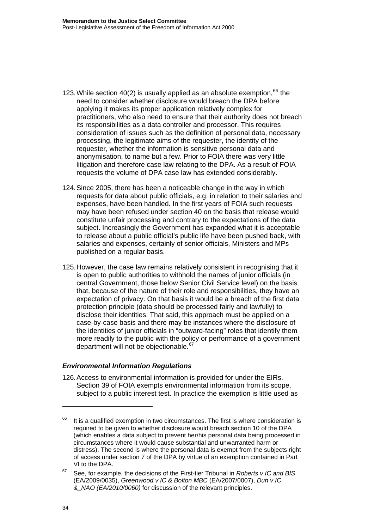- 123. While section 40(2) is usually applied as an absolute exemption,  $66$  the need to consider whether disclosure would breach the DPA before applying it makes its proper application relatively complex for practitioners, who also need to ensure that their authority does not breach its responsibilities as a data controller and processor. This requires consideration of issues such as the definition of personal data, necessary processing, the legitimate aims of the requester, the identity of the requester, whether the information is sensitive personal data and anonymisation, to name but a few. Prior to FOIA there was very little litigation and therefore case law relating to the DPA. As a result of FOIA requests the volume of DPA case law has extended considerably.
- 124. Since 2005, there has been a noticeable change in the way in which requests for data about public officials, e.g. in relation to their salaries and expenses, have been handled. In the first years of FOIA such requests may have been refused under section 40 on the basis that release would constitute unfair processing and contrary to the expectations of the data subject. Increasingly the Government has expanded what it is acceptable to release about a public official's public life have been pushed back, with salaries and expenses, certainly of senior officials, Ministers and MPs published on a regular basis.
- 125. However, the case law remains relatively consistent in recognising that it is open to public authorities to withhold the names of junior officials (in central Government, those below Senior Civil Service level) on the basis that, because of the nature of their role and responsibilities, they have an expectation of privacy. On that basis it would be a breach of the first data protection principle (data should be processed fairly and lawfully) to disclose their identities. That said, this approach must be applied on a case-by-case basis and there may be instances where the disclosure of the identities of junior officials in "outward-facing" roles that identify them more readily to the public with the policy or performance of a government department will not be objectionable.<sup>[67](#page-36-1)</sup>

#### *Environmental Information Regulations*

126. Access to environmental information is provided for under the EIRs. Section 39 of FOIA exempts environmental information from its scope, subject to a public interest test. In practice the exemption is little used as

<span id="page-36-0"></span> $66$  It is a qualified exemption in two circumstances. The first is where consideration is required to be given to whether disclosure would breach section 10 of the DPA (which enables a data subject to prevent her/his personal data being processed in circumstances where it would cause substantial and unwarranted harm or distress). The second is where the personal data is exempt from the subjects right of access under section 7 of the DPA by virtue of an exemption contained in Part VI to the DPA.

<span id="page-36-1"></span><sup>67</sup> See, for example, the decisions of the First-tier Tribunal in *Roberts v IC and BIS*  (EA/2009/0035), *Greenwood v IC & Bolton MBC* (EA/2007/0007), *Dun v IC &\_NAO (EA/2010/0060)* for discussion of the relevant principles.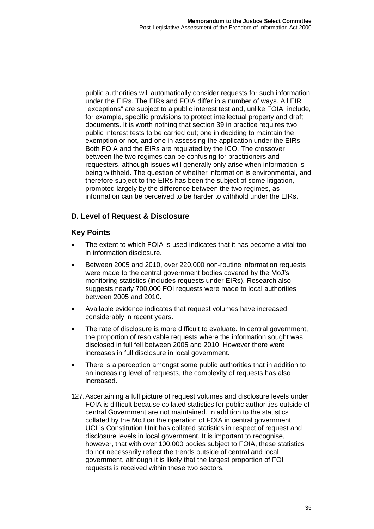public authorities will automatically consider requests for such information under the EIRs. The EIRs and FOIA differ in a number of ways. All EIR "exceptions" are subject to a public interest test and, unlike FOIA, include, for example, specific provisions to protect intellectual property and draft documents. It is worth nothing that section 39 in practice requires two public interest tests to be carried out; one in deciding to maintain the exemption or not, and one in assessing the application under the EIRs. Both FOIA and the EIRs are regulated by the ICO. The crossover between the two regimes can be confusing for practitioners and requesters, although issues will generally only arise when information is being withheld. The question of whether information is environmental, and therefore subject to the EIRs has been the subject of some litigation, prompted largely by the difference between the two regimes, as information can be perceived to be harder to withhold under the EIRs.

# **D. Level of Request & Disclosure**

## **Key Points**

- The extent to which FOIA is used indicates that it has become a vital tool in information disclosure.
- Between 2005 and 2010, over 220,000 non-routine information requests were made to the central government bodies covered by the MoJ's monitoring statistics (includes requests under EIRs). Research also suggests nearly 700,000 FOI requests were made to local authorities between 2005 and 2010.
- Available evidence indicates that request volumes have increased considerably in recent years.
- The rate of disclosure is more difficult to evaluate. In central government, the proportion of resolvable requests where the information sought was disclosed in full fell between 2005 and 2010. However there were increases in full disclosure in local government.
- There is a perception amongst some public authorities that in addition to an increasing level of requests, the complexity of requests has also increased.
- 127. Ascertaining a full picture of request volumes and disclosure levels under FOIA is difficult because collated statistics for public authorities outside of central Government are not maintained. In addition to the statistics collated by the MoJ on the operation of FOIA in central government, UCL's Constitution Unit has collated statistics in respect of request and disclosure levels in local government. It is important to recognise, however, that with over 100,000 bodies subject to FOIA, these statistics do not necessarily reflect the trends outside of central and local government, although it is likely that the largest proportion of FOI requests is received within these two sectors.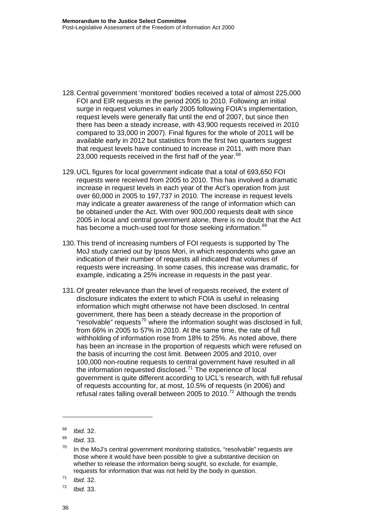- 128. Central government 'monitored' bodies received a total of almost 225,000 FOI and EIR requests in the period 2005 to 2010. Following an initial surge in request volumes in early 2005 following FOIA's implementation, request levels were generally flat until the end of 2007, but since then there has been a steady increase, with 43,900 requests received in 2010 compared to 33,000 in 2007). Final figures for the whole of 2011 will be available early in 2012 but statistics from the first two quarters suggest that request levels have continued to increase in 2011, with more than 23,000 requests received in the first half of the year. $68$
- 129. UCL figures for local government indicate that a total of 693,650 FOI requests were received from 2005 to 2010. This has involved a dramatic increase in request levels in each year of the Act's operation from just over 60,000 in 2005 to 197,737 in 2010. The increase in request levels may indicate a greater awareness of the range of information which can be obtained under the Act. With over 900,000 requests dealt with since 2005 in local and central government alone, there is no doubt that the Act has become a much-used tool for those seeking information.<sup>[69](#page-38-1)</sup>
- 130. This trend of increasing numbers of FOI requests is supported by The MoJ study carried out by Ipsos Mori, in which respondents who gave an indication of their number of requests all indicated that volumes of requests were increasing. In some cases, this increase was dramatic, for example, indicating a 25% increase in requests in the past year.
- 131. Of greater relevance than the level of requests received, the extent of disclosure indicates the extent to which FOIA is useful in releasing information which might otherwise not have been disclosed. In central government, there has been a steady decrease in the proportion of " $resolved in full$ , requests<sup>[70](#page-38-2)</sup> where the information sought was disclosed in full, from 66% in 2005 to 57% in 2010. At the same time, the rate of full withholding of information rose from 18% to 25%. As noted above, there has been an increase in the proportion of requests which were refused on the basis of incurring the cost limit. Between 2005 and 2010, over 100,000 non-routine requests to central government have resulted in all the information requested disclosed.[71](#page-38-3) The experience of local government is quite different according to UCL's research, with full refusal of requests accounting for, at most, 10.5% of requests (in 2006) and refusal rates falling overall between 2005 to 2010.<sup>[72](#page-38-4)</sup> Although the trends

<span id="page-38-0"></span><sup>68</sup> *Ibid.* 32.

<span id="page-38-1"></span><sup>69</sup> *Ibid.* 33.

<span id="page-38-2"></span> $70$  In the MoJ's central government monitoring statistics, "resolvable" requests are those where it would have been possible to give a substantive decision on whether to release the information being sought, so exclude, for example, requests for information that was not held by the body in question.

<span id="page-38-3"></span><sup>71</sup> *Ibid.* 32.

<span id="page-38-4"></span><sup>72</sup> *Ibid.* 33.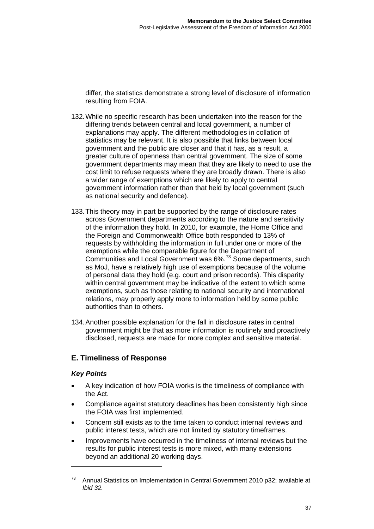differ, the statistics demonstrate a strong level of disclosure of information resulting from FOIA.

- 132. While no specific research has been undertaken into the reason for the differing trends between central and local government, a number of explanations may apply. The different methodologies in collation of statistics may be relevant. It is also possible that links between local government and the public are closer and that it has, as a result, a greater culture of openness than central government. The size of some government departments may mean that they are likely to need to use the cost limit to refuse requests where they are broadly drawn. There is also a wider range of exemptions which are likely to apply to central government information rather than that held by local government (such as national security and defence).
- 133. This theory may in part be supported by the range of disclosure rates across Government departments according to the nature and sensitivity of the information they hold. In 2010, for example, the Home Office and the Foreign and Commonwealth Office both responded to 13% of requests by withholding the information in full under one or more of the exemptions while the comparable figure for the Department of Communities and Local Government was 6%.[73](#page-39-0) Some departments, such as MoJ, have a relatively high use of exemptions because of the volume of personal data they hold (e.g. court and prison records). This disparity within central government may be indicative of the extent to which some exemptions, such as those relating to national security and international relations, may properly apply more to information held by some public authorities than to others.
- 134. Another possible explanation for the fall in disclosure rates in central government might be that as more information is routinely and proactively disclosed, requests are made for more complex and sensitive material.

## **E. Timeliness of Response**

## *Key Points*

- A key indication of how FOIA works is the timeliness of compliance with the Act.
- Compliance against statutory deadlines has been consistently high since the FOIA was first implemented.
- Concern still exists as to the time taken to conduct internal reviews and public interest tests, which are not limited by statutory timeframes.
- Improvements have occurred in the timeliness of internal reviews but the results for public interest tests is more mixed, with many extensions beyond an additional 20 working days.

<span id="page-39-0"></span> $73$  Annual Statistics on Implementation in Central Government 2010 p32; available at *Ibid 32.*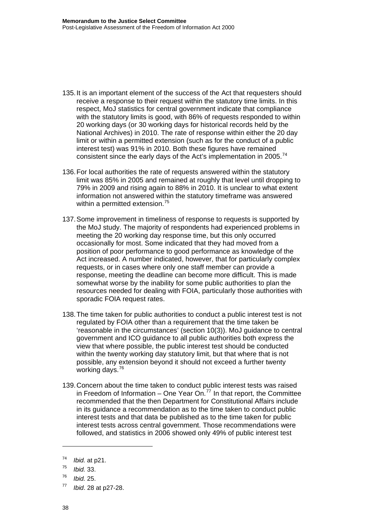- 135. It is an important element of the success of the Act that requesters should receive a response to their request within the statutory time limits. In this respect, MoJ statistics for central government indicate that compliance with the statutory limits is good, with 86% of requests responded to within 20 working days (or 30 working days for historical records held by the National Archives) in 2010. The rate of response within either the 20 day limit or within a permitted extension (such as for the conduct of a public interest test) was 91% in 2010. Both these figures have remained consistent since the early days of the Act's implementation in 2005.<sup>[74](#page-40-0)</sup>
- 136. For local authorities the rate of requests answered within the statutory limit was 85% in 2005 and remained at roughly that level until dropping to 79% in 2009 and rising again to 88% in 2010. It is unclear to what extent information not answered within the statutory timeframe was answered within a permitted extension.<sup>[75](#page-40-1)</sup>
- 137. Some improvement in timeliness of response to requests is supported by the MoJ study. The majority of respondents had experienced problems in meeting the 20 working day response time, but this only occurred occasionally for most. Some indicated that they had moved from a position of poor performance to good performance as knowledge of the Act increased. A number indicated, however, that for particularly complex requests, or in cases where only one staff member can provide a response, meeting the deadline can become more difficult. This is made somewhat worse by the inability for some public authorities to plan the resources needed for dealing with FOIA, particularly those authorities with sporadic FOIA request rates.
- 138. The time taken for public authorities to conduct a public interest test is not regulated by FOIA other than a requirement that the time taken be 'reasonable in the circumstances' (section 10(3)). MoJ guidance to central government and ICO guidance to all public authorities both express the view that where possible, the public interest test should be conducted within the twenty working day statutory limit, but that where that is not possible, any extension beyond it should not exceed a further twenty working days.[76](#page-40-2)
- 139. Concern about the time taken to conduct public interest tests was raised in Freedom of Information – One Year On.<sup>[77](#page-40-3)</sup> In that report, the Committee recommended that the then Department for Constitutional Affairs include in its guidance a recommendation as to the time taken to conduct public interest tests and that data be published as to the time taken for public interest tests across central government. Those recommendations were followed, and statistics in 2006 showed only 49% of public interest test

<span id="page-40-0"></span><sup>74</sup> *Ibid.* at p21.

<span id="page-40-1"></span><sup>75</sup> *Ibid.* 33.

<span id="page-40-3"></span><span id="page-40-2"></span>

<sup>76</sup> *Ibid.* 25. 77 *Ibid*. 28 at p27-28.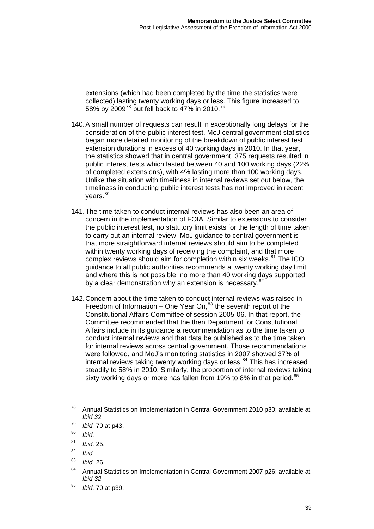extensions (which had been completed by the time the statistics were collected) lasting twenty working days or less. This figure increased to 58% by 2009<sup>78</sup> but fell back to 47% in 2010.<sup>79</sup>

- 140. A small number of requests can result in exceptionally long delays for the consideration of the public interest test. MoJ central government statistics began more detailed monitoring of the breakdown of public interest test extension durations in excess of 40 working days in 2010. In that year, the statistics showed that in central government, 375 requests resulted in public interest tests which lasted between 40 and 100 working days (22% of completed extensions), with 4% lasting more than 100 working days. Unlike the situation with timeliness in internal reviews set out below, the timeliness in conducting public interest tests has not improved in recent  $vears.<sup>80</sup>$  $vears.<sup>80</sup>$  $vears.<sup>80</sup>$
- 141. The time taken to conduct internal reviews has also been an area of concern in the implementation of FOIA. Similar to extensions to consider the public interest test, no statutory limit exists for the length of time taken to carry out an internal review. MoJ guidance to central government is that more straightforward internal reviews should aim to be completed within twenty working days of receiving the complaint, and that more complex reviews should aim for completion within six weeks.<sup>[81](#page-41-1)</sup> The ICO guidance to all public authorities recommends a twenty working day limit and where this is not possible, no more than 40 working days supported by a clear demonstration why an extension is necessary.<sup>[82](#page-41-2)</sup>
- 142. Concern about the time taken to conduct internal reviews was raised in Freedom of Information – One Year On, $83$  the seventh report of the Constitutional Affairs Committee of session 2005-06. In that report, the Committee recommended that the then Department for Constitutional Affairs include in its guidance a recommendation as to the time taken to conduct internal reviews and that data be published as to the time taken for internal reviews across central government. Those recommendations were followed, and MoJ's monitoring statistics in 2007 showed 37% of internal reviews taking twenty working days or less.<sup>[84](#page-41-4)</sup> This has increased steadily to 58% in 2010. Similarly, the proportion of internal reviews taking sixty working days or more has fallen from 19% to 8% in that period.<sup>[85](#page-41-5)</sup>

 $78$  Annual Statistics on Implementation in Central Government 2010 p30; available at *Ibid 32.* 

<sup>79</sup> *Ibid.* 70 at p43.

<span id="page-41-0"></span><sup>80</sup> *Ibid.* 

<span id="page-41-1"></span><sup>81</sup> *Ibid.* 25.

<sup>82</sup> *Ibid.* 

<span id="page-41-3"></span><span id="page-41-2"></span><sup>83</sup> *Ibid.* 26.

<span id="page-41-4"></span><sup>84</sup> Annual Statistics on Implementation in Central Government 2007 p26; available at *Ibid 32.* 

<span id="page-41-5"></span><sup>85</sup> *Ibid.* 70 at p39.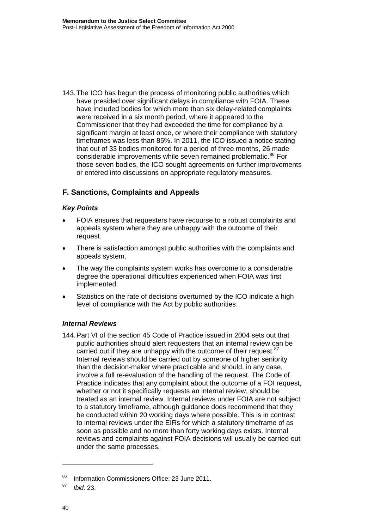143. The ICO has begun the process of monitoring public authorities which have presided over significant delays in compliance with FOIA. These have included bodies for which more than six delay-related complaints were received in a six month period, where it appeared to the Commissioner that they had exceeded the time for compliance by a significant margin at least once, or where their compliance with statutory timeframes was less than 85%. In 2011, the ICO issued a notice stating that out of 33 bodies monitored for a period of three months, 26 made considerable improvements while seven remained problematic.<sup>[86](#page-42-0)</sup> For those seven bodies, the ICO sought agreements on further improvements or entered into discussions on appropriate regulatory measures.

## **F. Sanctions, Complaints and Appeals**

#### *Key Points*

- FOIA ensures that requesters have recourse to a robust complaints and appeals system where they are unhappy with the outcome of their request.
- There is satisfaction amongst public authorities with the complaints and appeals system.
- The way the complaints system works has overcome to a considerable degree the operational difficulties experienced when FOIA was first implemented.
- Statistics on the rate of decisions overturned by the ICO indicate a high level of compliance with the Act by public authorities.

#### *Internal Reviews*

144. Part VI of the section 45 Code of Practice issued in 2004 sets out that public authorities should alert requesters that an internal review can be carried out if they are unhappy with the outcome of their request.<sup>[87](#page-42-1)</sup> Internal reviews should be carried out by someone of higher seniority than the decision-maker where practicable and should, in any case, involve a full re-evaluation of the handling of the request. The Code of Practice indicates that any complaint about the outcome of a FOI request, whether or not it specifically requests an internal review, should be treated as an internal review. Internal reviews under FOIA are not subject to a statutory timeframe, although guidance does recommend that they be conducted within 20 working days where possible. This is in contrast to internal reviews under the EIRs for which a statutory timeframe of as soon as possible and no more than forty working days exists. Internal reviews and complaints against FOIA decisions will usually be carried out under the same processes.

<span id="page-42-0"></span><sup>86</sup> Information Commissioners Office; 23 June 2011.

<span id="page-42-1"></span><sup>87</sup> *Ibid.* 23.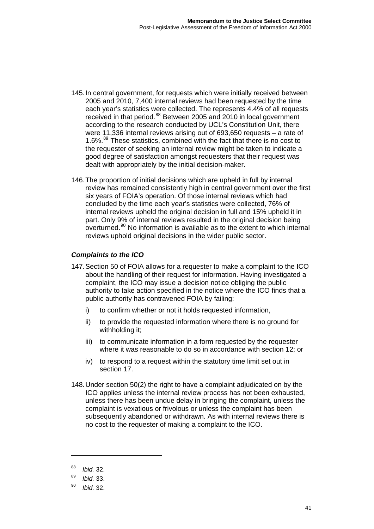- 145. In central government, for requests which were initially received between 2005 and 2010, 7,400 internal reviews had been requested by the time each year's statistics were collected. The represents 4.4% of all requests received in that period.<sup>[88](#page-43-0)</sup> Between 2005 and 2010 in local government according to the research conducted by UCL's Constitution Unit, there were 11,336 internal reviews arising out of 693,650 requests – a rate of 1.6%.<sup>[89](#page-43-1)</sup> These statistics, combined with the fact that there is no cost to the requester of seeking an internal review might be taken to indicate a good degree of satisfaction amongst requesters that their request was dealt with appropriately by the initial decision-maker.
- 146. The proportion of initial decisions which are upheld in full by internal review has remained consistently high in central government over the first six years of FOIA's operation. Of those internal reviews which had concluded by the time each year's statistics were collected, 76% of internal reviews upheld the original decision in full and 15% upheld it in part. Only 9% of internal reviews resulted in the original decision being overturned.<sup>[90](#page-43-2)</sup> No information is available as to the extent to which internal reviews uphold original decisions in the wider public sector.

#### *Complaints to the ICO*

- 147. Section 50 of FOIA allows for a requester to make a complaint to the ICO about the handling of their request for information. Having investigated a complaint, the ICO may issue a decision notice obliging the public authority to take action specified in the notice where the ICO finds that a public authority has contravened FOIA by failing:
	- i) to confirm whether or not it holds requested information,
	- ii) to provide the requested information where there is no ground for withholding it:
	- iii) to communicate information in a form requested by the requester where it was reasonable to do so in accordance with section 12; or
	- iv) to respond to a request within the statutory time limit set out in section 17.
- 148. Under section 50(2) the right to have a complaint adjudicated on by the ICO applies unless the internal review process has not been exhausted, unless there has been undue delay in bringing the complaint, unless the complaint is vexatious or frivolous or unless the complaint has been subsequently abandoned or withdrawn. As with internal reviews there is no cost to the requester of making a complaint to the ICO.

<span id="page-43-0"></span><sup>88</sup> *Ibid.* 32.

<span id="page-43-1"></span><sup>89</sup> *Ibid.* 33.

<span id="page-43-2"></span><sup>90</sup> *Ibid.* 32.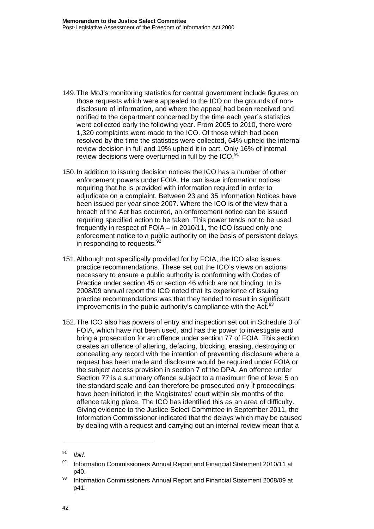- 149. The MoJ's monitoring statistics for central government include figures on those requests which were appealed to the ICO on the grounds of nondisclosure of information, and where the appeal had been received and notified to the department concerned by the time each year's statistics were collected early the following year. From 2005 to 2010, there were 1,320 complaints were made to the ICO. Of those which had been resolved by the time the statistics were collected, 64% upheld the internal review decision in full and 19% upheld it in part. Only 16% of internal review decisions were overturned in full by the ICO.<sup>9</sup>
- 150. In addition to issuing decision notices the ICO has a number of other enforcement powers under FOIA. He can issue information notices requiring that he is provided with information required in order to adjudicate on a complaint. Between 23 and 35 Information Notices have been issued per year since 2007. Where the ICO is of the view that a breach of the Act has occurred, an enforcement notice can be issued requiring specified action to be taken. This power tends not to be used frequently in respect of FOIA – in 2010/11, the ICO issued only one enforcement notice to a public authority on the basis of persistent delays in responding to requests.<sup>[92](#page-44-1)</sup>
- 151. Although not specifically provided for by FOIA, the ICO also issues practice recommendations. These set out the ICO's views on actions necessary to ensure a public authority is conforming with Codes of Practice under section 45 or section 46 which are not binding. In its 2008/09 annual report the ICO noted that its experience of issuing practice recommendations was that they tended to result in significant improvements in the public authority's compliance with the Act.<sup>[93](#page-44-2)</sup>
- 152. The ICO also has powers of entry and inspection set out in Schedule 3 of FOIA, which have not been used, and has the power to investigate and bring a prosecution for an offence under section 77 of FOIA. This section creates an offence of altering, defacing, blocking, erasing, destroying or concealing any record with the intention of preventing disclosure where a request has been made and disclosure would be required under FOIA or the subject access provision in section 7 of the DPA. An offence under Section 77 is a summary offence subject to a maximum fine of level 5 on the standard scale and can therefore be prosecuted only if proceedings have been initiated in the Magistrates' court within six months of the offence taking place. The ICO has identified this as an area of difficulty. Giving evidence to the Justice Select Committee in September 2011, the Information Commissioner indicated that the delays which may be caused by dealing with a request and carrying out an internal review mean that a

<span id="page-44-0"></span><sup>91</sup> *Ibid.* 

<span id="page-44-1"></span> $92$  Information Commissioners Annual Report and Financial Statement 2010/11 at p40.

<span id="page-44-2"></span><sup>93</sup> Information Commissioners Annual Report and Financial Statement 2008/09 at p41.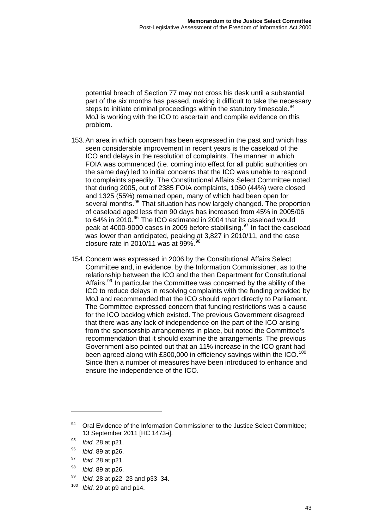potential breach of Section 77 may not cross his desk until a substantial part of the six months has passed, making it difficult to take the necessary steps to initiate criminal proceedings within the statutory timescale.<sup>94</sup> MoJ is working with the ICO to ascertain and compile evidence on this problem.

- 153. An area in which concern has been expressed in the past and which has seen considerable improvement in recent years is the caseload of the ICO and delays in the resolution of complaints. The manner in which FOIA was commenced (i.e. coming into effect for all public authorities on the same day) led to initial concerns that the ICO was unable to respond to complaints speedily. The Constitutional Affairs Select Committee noted that during 2005, out of 2385 FOIA complaints, 1060 (44%) were closed and 1325 (55%) remained open, many of which had been open for several months.<sup>[95](#page-45-0)</sup> That situation has now largely changed. The proportion of caseload aged less than 90 days has increased from 45% in 2005/06 to 64% in 2010.<sup>[96](#page-45-1)</sup> The ICO estimated in 2004 that its caseload would peak at 4000-9000 cases in 2009 before stabilising.<sup>[97](#page-45-2)</sup> In fact the caseload was lower than anticipated, peaking at 3,827 in 2010/11, and the case closure rate in 2010/11 was at 99%.  $98$
- 154. Concern was expressed in 2006 by the Constitutional Affairs Select Committee and, in evidence, by the Information Commissioner, as to the relationship between the ICO and the then Department for Constitutional Affairs.<sup>[99](#page-45-4)</sup> In particular the Committee was concerned by the ability of the ICO to reduce delays in resolving complaints with the funding provided by MoJ and recommended that the ICO should report directly to Parliament. The Committee expressed concern that funding restrictions was a cause for the ICO backlog which existed. The previous Government disagreed that there was any lack of independence on the part of the ICO arising from the sponsorship arrangements in place, but noted the Committee's recommendation that it should examine the arrangements. The previous Government also pointed out that an 11% increase in the ICO grant had been agreed along with £300,000 in efficiency savings within the ICO.<sup>[100](#page-45-5)</sup> Since then a number of measures have been introduced to enhance and ensure the independence of the ICO.

- <span id="page-45-2"></span><sup>97</sup> *Ibid.* 28 at p21.
- <span id="page-45-3"></span><sup>98</sup> *Ibid.* 89 at p26.
- <span id="page-45-4"></span><sup>99</sup> *Ibid.* 28 at p22–23 and p33–34.
- <span id="page-45-5"></span><sup>100</sup> *Ibid.* 29 at p9 and p14.

<sup>94</sup> Oral Evidence of the Information Commissioner to the Justice Select Committee; 13 September 2011 [HC 1473-i].

<span id="page-45-0"></span><sup>95</sup> *Ibid.* 28 at p21.

<span id="page-45-1"></span><sup>96</sup> *Ibid.* 89 at p26.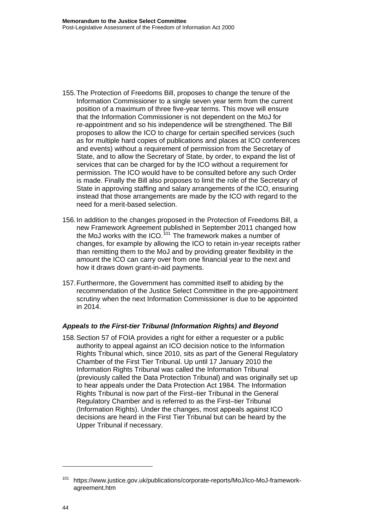- 155. The Protection of Freedoms Bill, proposes to change the tenure of the Information Commissioner to a single seven year term from the current position of a maximum of three five-year terms. This move will ensure that the Information Commissioner is not dependent on the MoJ for re-appointment and so his independence will be strengthened. The Bill proposes to allow the ICO to charge for certain specified services (such as for multiple hard copies of publications and places at ICO conferences and events) without a requirement of permission from the Secretary of State, and to allow the Secretary of State, by order, to expand the list of services that can be charged for by the ICO without a requirement for permission. The ICO would have to be consulted before any such Order is made. Finally the Bill also proposes to limit the role of the Secretary of State in approving staffing and salary arrangements of the ICO, ensuring instead that those arrangements are made by the ICO with regard to the need for a merit-based selection.
- 156. In addition to the changes proposed in the Protection of Freedoms Bill, a new Framework Agreement published in September 2011 changed how the MoJ works with the ICO.<sup>[101](#page-46-0)</sup> The framework makes a number of changes, for example by allowing the ICO to retain in-year receipts rather than remitting them to the MoJ and by providing greater flexibility in the amount the ICO can carry over from one financial year to the next and how it draws down grant-in-aid payments.
- 157. Furthermore, the Government has committed itself to abiding by the recommendation of the Justice Select Committee in the pre-appointment scrutiny when the next Information Commissioner is due to be appointed in 2014.

#### *Appeals to the First-tier Tribunal (Information Rights) and Beyond*

158. Section 57 of FOIA provides a right for either a requester or a public authority to appeal against an ICO decision notice to the Information Rights Tribunal which, since 2010, sits as part of the General Regulatory Chamber of the First Tier Tribunal. Up until 17 January 2010 the Information Rights Tribunal was called the Information Tribunal (previously called the Data Protection Tribunal) and was originally set up to hear appeals under the Data Protection Act 1984. The Information Rights Tribunal is now part of the First–tier Tribunal in the General Regulatory Chamber and is referred to as the First–tier Tribunal (Information Rights). Under the changes, most appeals against ICO decisions are heard in the First Tier Tribunal but can be heard by the Upper Tribunal if necessary.

<span id="page-46-0"></span><sup>101</sup> https://www.justice.gov.uk/publications/corporate-reports/MoJ/ico-MoJ-frameworkagreement.htm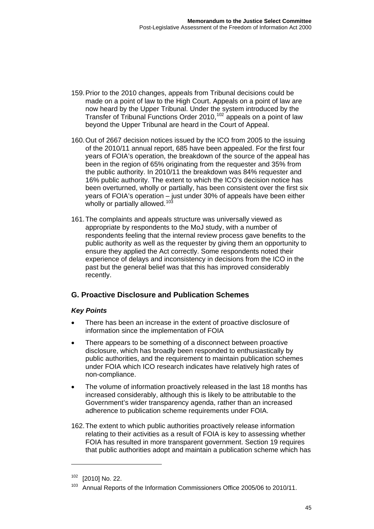- 159. Prior to the 2010 changes, appeals from Tribunal decisions could be made on a point of law to the High Court. Appeals on a point of law are now heard by the Upper Tribunal. Under the system introduced by the Transfer of Tribunal Functions Order 2010,<sup>[102](#page-47-0)</sup> appeals on a point of law beyond the Upper Tribunal are heard in the Court of Appeal.
- 160. Out of 2667 decision notices issued by the ICO from 2005 to the issuing of the 2010/11 annual report, 685 have been appealed. For the first four years of FOIA's operation, the breakdown of the source of the appeal has been in the region of 65% originating from the requester and 35% from the public authority. In 2010/11 the breakdown was 84% requester and 16% public authority. The extent to which the ICO's decision notice has been overturned, wholly or partially, has been consistent over the first six years of FOIA's operation – just under 30% of appeals have been either wholly or partially allowed.<sup>[103](#page-47-1)</sup>
- 161. The complaints and appeals structure was universally viewed as appropriate by respondents to the MoJ study, with a number of respondents feeling that the internal review process gave benefits to the public authority as well as the requester by giving them an opportunity to ensure they applied the Act correctly. Some respondents noted their experience of delays and inconsistency in decisions from the ICO in the past but the general belief was that this has improved considerably recently.

# **G. Proactive Disclosure and Publication Schemes**

## *Key Points*

- There has been an increase in the extent of proactive disclosure of information since the implementation of FOIA
- There appears to be something of a disconnect between proactive disclosure, which has broadly been responded to enthusiastically by public authorities, and the requirement to maintain publication schemes under FOIA which ICO research indicates have relatively high rates of non-compliance.
- The volume of information proactively released in the last 18 months has increased considerably, although this is likely to be attributable to the Government's wider transparency agenda, rather than an increased adherence to publication scheme requirements under FOIA.
- 162. The extent to which public authorities proactively release information relating to their activities as a result of FOIA is key to assessing whether FOIA has resulted in more transparent government. Section 19 requires that public authorities adopt and maintain a publication scheme which has

<span id="page-47-0"></span><sup>102 [2010]</sup> No. 22.

<span id="page-47-1"></span><sup>&</sup>lt;sup>103</sup> Annual Reports of the Information Commissioners Office 2005/06 to 2010/11.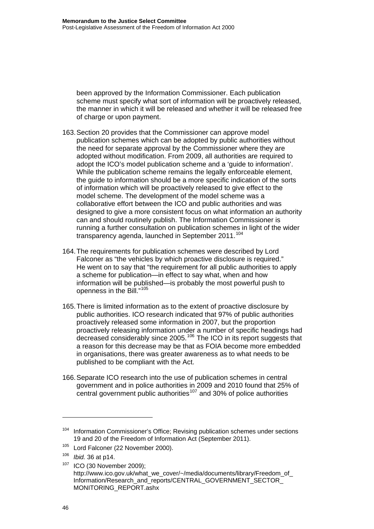been approved by the Information Commissioner. Each publication scheme must specify what sort of information will be proactively released, the manner in which it will be released and whether it will be released free of charge or upon payment.

- 163. Section 20 provides that the Commissioner can approve model publication schemes which can be adopted by public authorities without the need for separate approval by the Commissioner where they are adopted without modification. From 2009, all authorities are required to adopt the ICO's model publication scheme and a 'guide to information'. While the publication scheme remains the legally enforceable element, the guide to information should be a more specific indication of the sorts of information which will be proactively released to give effect to the model scheme. The development of the model scheme was a collaborative effort between the ICO and public authorities and was designed to give a more consistent focus on what information an authority can and should routinely publish. The Information Commissioner is running a further consultation on publication schemes in light of the wider transparency agenda, launched in September 2011.<sup>[104](#page-48-0)</sup>
- 164. The requirements for publication schemes were described by Lord Falconer as "the vehicles by which proactive disclosure is required." He went on to say that "the requirement for all public authorities to apply a scheme for publication—in effect to say what, when and how information will be published—is probably the most powerful push to openness in the Bill."<sup>[105](#page-48-1)</sup>
- 165. There is limited information as to the extent of proactive disclosure by public authorities. ICO research indicated that 97% of public authorities proactively released some information in 2007, but the proportion proactively releasing information under a number of specific headings had decreased considerably since 2005.<sup>[106](#page-48-2)</sup> The ICO in its report suggests that a reason for this decrease may be that as FOIA become more embedded in organisations, there was greater awareness as to what needs to be published to be compliant with the Act.
- 166. Separate ICO research into the use of publication schemes in central government and in police authorities in 2009 and 2010 found that 25% of central government public authorities<sup>[107](#page-48-3)</sup> and 30% of police authorities

<span id="page-48-0"></span><sup>&</sup>lt;sup>104</sup> Information Commissioner's Office; Revising publication schemes under sections 19 and 20 of the Freedom of Information Act (September 2011).

<span id="page-48-1"></span><sup>&</sup>lt;sup>105</sup> Lord Falconer (22 November 2000).

<span id="page-48-2"></span><sup>106</sup> *Ibid.* 36 at p14.

<span id="page-48-3"></span><sup>107</sup> ICO (30 November 2009); http://www.ico.gov.uk/what\_we\_cover/~/media/documents/library/Freedom\_of\_ Information/Research\_and\_reports/CENTRAL\_GOVERNMENT\_SECTOR\_ MONITORING\_REPORT.ashx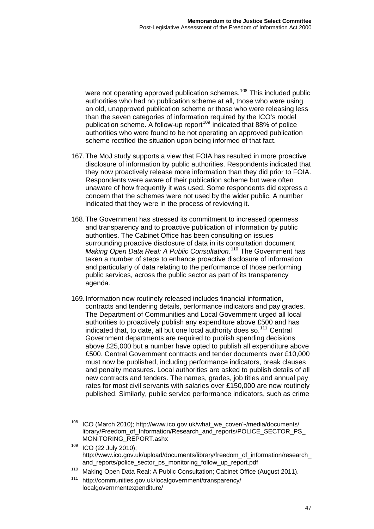were not operating approved publication schemes.<sup>108</sup> This included public authorities who had no publication scheme at all, those who were using an old, unapproved publication scheme or those who were releasing less than the seven categories of information required by the ICO's model publication scheme. A follow-up report<sup>109</sup> indicated that 88% of police authorities who were found to be not operating an approved publication scheme rectified the situation upon being informed of that fact.

- 167. The MoJ study supports a view that FOIA has resulted in more proactive disclosure of information by public authorities. Respondents indicated that they now proactively release more information than they did prior to FOIA. Respondents were aware of their publication scheme but were often unaware of how frequently it was used. Some respondents did express a concern that the schemes were not used by the wider public. A number indicated that they were in the process of reviewing it.
- 168. The Government has stressed its commitment to increased openness and transparency and to proactive publication of information by public authorities. The Cabinet Office has been consulting on issues surrounding proactive disclosure of data in its consultation document *Making Open Data Real: A Public Consultation*. [110](#page-49-0) The Government has taken a number of steps to enhance proactive disclosure of information and particularly of data relating to the performance of those performing public services, across the public sector as part of its transparency agenda.
- 169. Information now routinely released includes financial information, contracts and tendering details, performance indicators and pay grades. The Department of Communities and Local Government urged all local authorities to proactively publish any expenditure above £500 and has indicated that, to date, all but one local authority does so.<sup>[111](#page-49-1)</sup> Central Government departments are required to publish spending decisions above £25,000 but a number have opted to publish all expenditure above £500. Central Government contracts and tender documents over £10,000 must now be published, including performance indicators, break clauses and penalty measures. Local authorities are asked to publish details of all new contracts and tenders. The names, grades, job titles and annual pay rates for most civil servants with salaries over £150,000 are now routinely published. Similarly, public service performance indicators, such as crime

<sup>108</sup> ICO (March 2010); http://www.ico.gov.uk/what\_we\_cover/~/media/documents/ library/Freedom\_of\_Information/Research\_and\_reports/POLICE\_SECTOR\_PS MONITORING\_REPORT.ashx

<sup>109</sup> ICO (22 July 2010); http://www.ico.gov.uk/upload/documents/library/freedom\_of\_information/research and\_reports/police\_sector\_ps\_monitoring\_follow\_up\_report.pdf

<span id="page-49-0"></span><sup>&</sup>lt;sup>110</sup> Making Open Data Real: A Public Consultation; Cabinet Office (August 2011).

<span id="page-49-1"></span><sup>111</sup> http://communities.gov.uk/localgovernment/transparency/ localgovernmentexpenditure/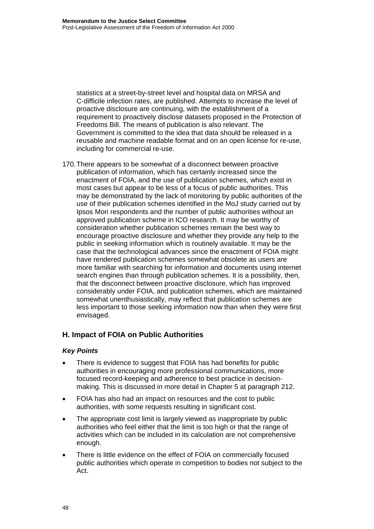statistics at a street-by-street level and hospital data on MRSA and C-difficile infection rates, are published. Attempts to increase the level of proactive disclosure are continuing, with the establishment of a requirement to proactively disclose datasets proposed in the Protection of Freedoms Bill. The means of publication is also relevant. The Government is committed to the idea that data should be released in a reusable and machine readable format and on an open license for re-use, including for commercial re-use.

170. There appears to be somewhat of a disconnect between proactive publication of information, which has certainly increased since the enactment of FOIA, and the use of publication schemes, which exist in most cases but appear to be less of a focus of public authorities. This may be demonstrated by the lack of monitoring by public authorities of the use of their publication schemes identified in the MoJ study carried out by Ipsos Mori respondents and the number of public authorities without an approved publication scheme in ICO research. It may be worthy of consideration whether publication schemes remain the best way to encourage proactive disclosure and whether they provide any help to the public in seeking information which is routinely available. It may be the case that the technological advances since the enactment of FOIA might have rendered publication schemes somewhat obsolete as users are more familiar with searching for information and documents using internet search engines than through publication schemes. It is a possibility, then, that the disconnect between proactive disclosure, which has improved considerably under FOIA, and publication schemes, which are maintained somewhat unenthusiastically, may reflect that publication schemes are less important to those seeking information now than when they were first envisaged.

## **H. Impact of FOIA on Public Authorities**

#### *Key Points*

- There is evidence to suggest that FOIA has had benefits for public authorities in encouraging more professional communications, more focused record-keeping and adherence to best practice in decisionmaking. This is discussed in more detail in Chapter 5 at paragraph 212.
- FOIA has also had an impact on resources and the cost to public authorities, with some requests resulting in significant cost.
- The appropriate cost limit is largely viewed as inappropriate by public authorities who feel either that the limit is too high or that the range of activities which can be included in its calculation are not comprehensive enough.
- There is little evidence on the effect of FOIA on commercially focused public authorities which operate in competition to bodies not subject to the Act.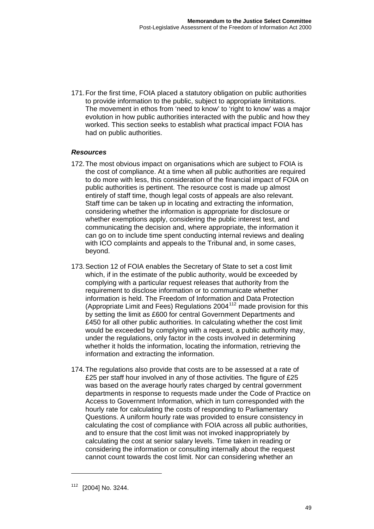171. For the first time, FOIA placed a statutory obligation on public authorities to provide information to the public, subject to appropriate limitations. The movement in ethos from 'need to know' to 'right to know' was a major evolution in how public authorities interacted with the public and how they worked. This section seeks to establish what practical impact FOIA has had on public authorities.

#### *Resources*

- 172. The most obvious impact on organisations which are subject to FOIA is the cost of compliance. At a time when all public authorities are required to do more with less, this consideration of the financial impact of FOIA on public authorities is pertinent. The resource cost is made up almost entirely of staff time, though legal costs of appeals are also relevant. Staff time can be taken up in locating and extracting the information, considering whether the information is appropriate for disclosure or whether exemptions apply, considering the public interest test, and communicating the decision and, where appropriate, the information it can go on to include time spent conducting internal reviews and dealing with ICO complaints and appeals to the Tribunal and, in some cases, beyond.
- 173. Section 12 of FOIA enables the Secretary of State to set a cost limit which, if in the estimate of the public authority, would be exceeded by complying with a particular request releases that authority from the requirement to disclose information or to communicate whether information is held. The Freedom of Information and Data Protection (Appropriate Limit and Fees) Regulations  $2004^{112}$  $2004^{112}$  $2004^{112}$  made provision for this by setting the limit as £600 for central Government Departments and £450 for all other public authorities. In calculating whether the cost limit would be exceeded by complying with a request, a public authority may, under the regulations, only factor in the costs involved in determining whether it holds the information, locating the information, retrieving the information and extracting the information.
- 174. The regulations also provide that costs are to be assessed at a rate of £25 per staff hour involved in any of those activities. The figure of £25 was based on the average hourly rates charged by central government departments in response to requests made under the Code of Practice on Access to Government Information, which in turn corresponded with the hourly rate for calculating the costs of responding to Parliamentary Questions. A uniform hourly rate was provided to ensure consistency in calculating the cost of compliance with FOIA across all public authorities, and to ensure that the cost limit was not invoked inappropriately by calculating the cost at senior salary levels. Time taken in reading or considering the information or consulting internally about the request cannot count towards the cost limit. Nor can considering whether an

<span id="page-51-0"></span><sup>112 [2004]</sup> No. 3244.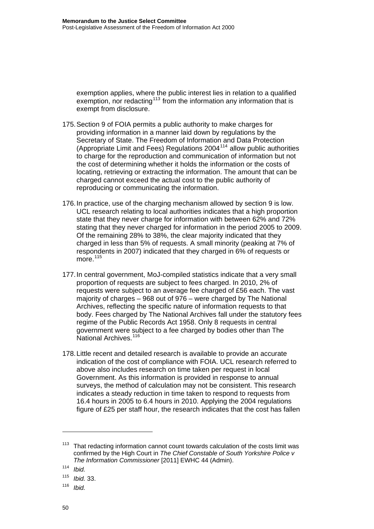exemption applies, where the public interest lies in relation to a qualified exemption, nor redacting<sup>113</sup> from the information any information that is exempt from disclosure.

- 175. Section 9 of FOIA permits a public authority to make charges for providing information in a manner laid down by regulations by the Secretary of State. The Freedom of Information and Data Protection (Appropriate Limit and Fees) Regulations 2004[114](#page-52-0) allow public authorities to charge for the reproduction and communication of information but not the cost of determining whether it holds the information or the costs of locating, retrieving or extracting the information. The amount that can be charged cannot exceed the actual cost to the public authority of reproducing or communicating the information.
- 176. In practice, use of the charging mechanism allowed by section 9 is low. UCL research relating to local authorities indicates that a high proportion state that they never charge for information with between 62% and 72% stating that they never charged for information in the period 2005 to 2009. Of the remaining 28% to 38%, the clear majority indicated that they charged in less than 5% of requests. A small minority (peaking at 7% of respondents in 2007) indicated that they charged in 6% of requests or more $115$
- 177. In central government, MoJ-compiled statistics indicate that a very small proportion of requests are subject to fees charged. In 2010, 2% of requests were subject to an average fee charged of £56 each. The vast majority of charges – 968 out of 976 – were charged by The National Archives, reflecting the specific nature of information requests to that body. Fees charged by The National Archives fall under the statutory fees regime of the Public Records Act 1958. Only 8 requests in central government were subject to a fee charged by bodies other than The National Archives.<sup>[116](#page-52-2)</sup>
- 178. Little recent and detailed research is available to provide an accurate indication of the cost of compliance with FOIA. UCL research referred to above also includes research on time taken per request in local Government. As this information is provided in response to annual surveys, the method of calculation may not be consistent. This research indicates a steady reduction in time taken to respond to requests from 16.4 hours in 2005 to 6.4 hours in 2010. Applying the 2004 regulations figure of £25 per staff hour, the research indicates that the cost has fallen

<sup>&</sup>lt;sup>113</sup> That redacting information cannot count towards calculation of the costs limit was confirmed by the High Court in *The Chief Constable of South Yorkshire Police v The Information Commissioner* [2011] EWHC 44 (Admin).

<span id="page-52-0"></span><sup>114</sup> *Ibid.*

<span id="page-52-1"></span><sup>115</sup> *Ibid.* 33.

<span id="page-52-2"></span><sup>116</sup> *Ibid.*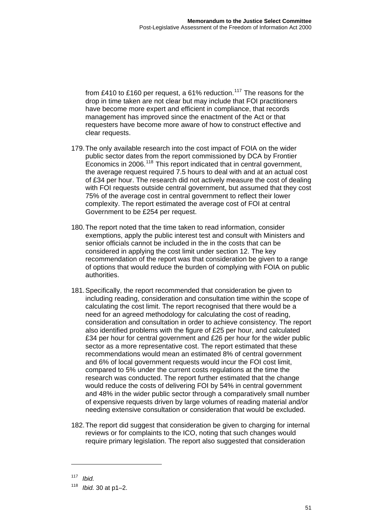from £410 to £160 per request, a 61% reduction.<sup>117</sup> The reasons for the drop in time taken are not clear but may include that FOI practitioners have become more expert and efficient in compliance, that records management has improved since the enactment of the Act or that requesters have become more aware of how to construct effective and clear requests.

- 179. The only available research into the cost impact of FOIA on the wider public sector dates from the report commissioned by DCA by Frontier Economics in 2006.<sup>[118](#page-53-0)</sup> This report indicated that in central government, the average request required 7.5 hours to deal with and at an actual cost of £34 per hour. The research did not actively measure the cost of dealing with FOI requests outside central government, but assumed that they cost 75% of the average cost in central government to reflect their lower complexity. The report estimated the average cost of FOI at central Government to be £254 per request.
- 180. The report noted that the time taken to read information, consider exemptions, apply the public interest test and consult with Ministers and senior officials cannot be included in the in the costs that can be considered in applying the cost limit under section 12. The key recommendation of the report was that consideration be given to a range of options that would reduce the burden of complying with FOIA on public authorities.
- 181. Specifically, the report recommended that consideration be given to including reading, consideration and consultation time within the scope of calculating the cost limit. The report recognised that there would be a need for an agreed methodology for calculating the cost of reading, consideration and consultation in order to achieve consistency. The report also identified problems with the figure of £25 per hour, and calculated £34 per hour for central government and £26 per hour for the wider public sector as a more representative cost. The report estimated that these recommendations would mean an estimated 8% of central government and 6% of local government requests would incur the FOI cost limit, compared to 5% under the current costs regulations at the time the research was conducted. The report further estimated that the change would reduce the costs of delivering FOI by 54% in central government and 48% in the wider public sector through a comparatively small number of expensive requests driven by large volumes of reading material and/or needing extensive consultation or consideration that would be excluded.
- 182. The report did suggest that consideration be given to charging for internal reviews or for complaints to the ICO, noting that such changes would require primary legislation. The report also suggested that consideration

<sup>117</sup> *Ibid.* 

<span id="page-53-0"></span><sup>118</sup> *Ibid.* 30 at p1–2.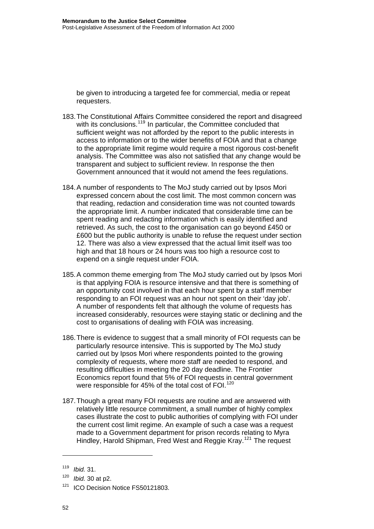be given to introducing a targeted fee for commercial, media or repeat requesters.

- 183. The Constitutional Affairs Committee considered the report and disagreed with its conclusions.<sup>[119](#page-54-0)</sup> In particular, the Committee concluded that sufficient weight was not afforded by the report to the public interests in access to information or to the wider benefits of FOIA and that a change to the appropriate limit regime would require a most rigorous cost-benefit analysis. The Committee was also not satisfied that any change would be transparent and subject to sufficient review. In response the then Government announced that it would not amend the fees regulations.
- 184. A number of respondents to The MoJ study carried out by Ipsos Mori expressed concern about the cost limit. The most common concern was that reading, redaction and consideration time was not counted towards the appropriate limit. A number indicated that considerable time can be spent reading and redacting information which is easily identified and retrieved. As such, the cost to the organisation can go beyond £450 or £600 but the public authority is unable to refuse the request under section 12. There was also a view expressed that the actual limit itself was too high and that 18 hours or 24 hours was too high a resource cost to expend on a single request under FOIA.
- 185. A common theme emerging from The MoJ study carried out by Ipsos Mori is that applying FOIA is resource intensive and that there is something of an opportunity cost involved in that each hour spent by a staff member responding to an FOI request was an hour not spent on their 'day job'. A number of respondents felt that although the volume of requests has increased considerably, resources were staying static or declining and the cost to organisations of dealing with FOIA was increasing.
- 186. There is evidence to suggest that a small minority of FOI requests can be particularly resource intensive. This is supported by The MoJ study carried out by Ipsos Mori where respondents pointed to the growing complexity of requests, where more staff are needed to respond, and resulting difficulties in meeting the 20 day deadline. The Frontier Economics report found that 5% of FOI requests in central government were responsible for 45% of the total cost of FOI.<sup>[120](#page-54-1)</sup>
- 187. Though a great many FOI requests are routine and are answered with relatively little resource commitment, a small number of highly complex cases illustrate the cost to public authorities of complying with FOI under the current cost limit regime. An example of such a case was a request made to a Government department for prison records relating to Myra Hindley, Harold Shipman, Fred West and Reggie Kray.<sup>[121](#page-54-2)</sup> The request

<span id="page-54-0"></span><sup>119</sup> *Ibid.* 31.

<span id="page-54-1"></span><sup>120</sup> *Ibid.* 30 at p2.

<span id="page-54-2"></span><sup>&</sup>lt;sup>121</sup> ICO Decision Notice FS50121803.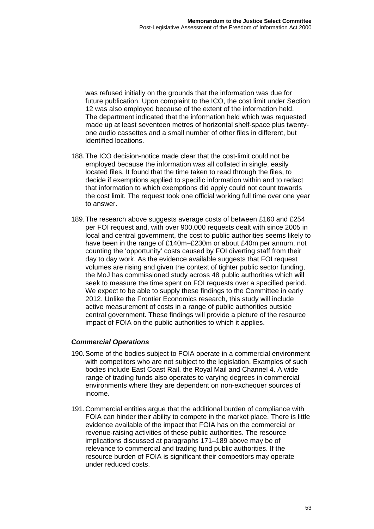was refused initially on the grounds that the information was due for future publication. Upon complaint to the ICO, the cost limit under Section 12 was also employed because of the extent of the information held. The department indicated that the information held which was requested made up at least seventeen metres of horizontal shelf-space plus twentyone audio cassettes and a small number of other files in different, but identified locations.

- 188. The ICO decision-notice made clear that the cost-limit could not be employed because the information was all collated in single, easily located files. It found that the time taken to read through the files, to decide if exemptions applied to specific information within and to redact that information to which exemptions did apply could not count towards the cost limit. The request took one official working full time over one year to answer.
- 189. The research above suggests average costs of between £160 and £254 per FOI request and, with over 900,000 requests dealt with since 2005 in local and central government, the cost to public authorities seems likely to have been in the range of £140m–£230m or about £40m per annum, not counting the 'opportunity' costs caused by FOI diverting staff from their day to day work. As the evidence available suggests that FOI request volumes are rising and given the context of tighter public sector funding, the MoJ has commissioned study across 48 public authorities which will seek to measure the time spent on FOI requests over a specified period. We expect to be able to supply these findings to the Committee in early 2012. Unlike the Frontier Economics research, this study will include active measurement of costs in a range of public authorities outside central government. These findings will provide a picture of the resource impact of FOIA on the public authorities to which it applies.

#### *Commercial Operations*

- 190. Some of the bodies subject to FOIA operate in a commercial environment with competitors who are not subject to the legislation. Examples of such bodies include East Coast Rail, the Royal Mail and Channel 4. A wide range of trading funds also operates to varying degrees in commercial environments where they are dependent on non-exchequer sources of income.
- 191. Commercial entities argue that the additional burden of compliance with FOIA can hinder their ability to compete in the market place. There is little evidence available of the impact that FOIA has on the commercial or revenue-raising activities of these public authorities. The resource implications discussed at paragraphs 171–189 above may be of relevance to commercial and trading fund public authorities. If the resource burden of FOIA is significant their competitors may operate under reduced costs.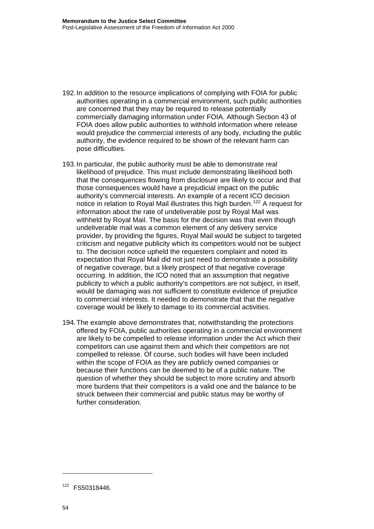- 192. In addition to the resource implications of complying with FOIA for public authorities operating in a commercial environment, such public authorities are concerned that they may be required to release potentially commercially damaging information under FOIA. Although Section 43 of FOIA does allow public authorities to withhold information where release would prejudice the commercial interests of any body, including the public authority, the evidence required to be shown of the relevant harm can pose difficulties.
- 193. In particular, the public authority must be able to demonstrate real likelihood of prejudice. This must include demonstrating likelihood both that the consequences flowing from disclosure are likely to occur and that those consequences would have a prejudicial impact on the public authority's commercial interests. An example of a recent ICO decision notice in relation to Royal Mail illustrates this high burden.[122](#page-56-0) A request for information about the rate of undeliverable post by Royal Mail was withheld by Royal Mail. The basis for the decision was that even though undeliverable mail was a common element of any delivery service provider, by providing the figures, Royal Mail would be subject to targeted criticism and negative publicity which its competitors would not be subject to. The decision notice upheld the requesters complaint and noted its expectation that Royal Mail did not just need to demonstrate a possibility of negative coverage, but a likely prospect of that negative coverage occurring. In addition, the ICO noted that an assumption that negative publicity to which a public authority's competitors are not subject, in itself, would be damaging was not sufficient to constitute evidence of prejudice to commercial interests. It needed to demonstrate that that the negative coverage would be likely to damage to its commercial activities.
- 194. The example above demonstrates that, notwithstanding the protections offered by FOIA, public authorities operating in a commercial environment are likely to be compelled to release information under the Act which their competitors can use against them and which their competitors are not compelled to release. Of course, such bodies will have been included within the scope of FOIA as they are publicly owned companies or because their functions can be deemed to be of a public nature. The question of whether they should be subject to more scrutiny and absorb more burdens that their competitors is a valid one and the balance to be struck between their commercial and public status may be worthy of further consideration.

<span id="page-56-0"></span><sup>122</sup> FS50318446.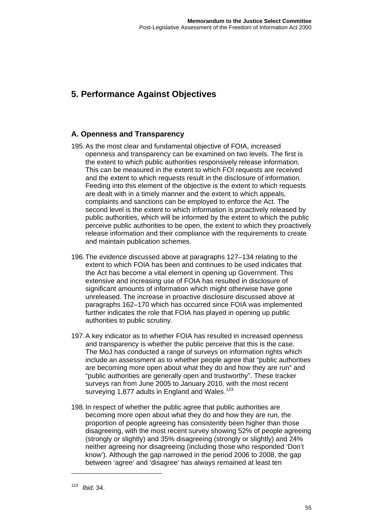# **5. Performance Against Objectives**

# **A. Openness and Transparency**

- 195. As the most clear and fundamental objective of FOIA, increased openness and transparency can be examined on two levels. The first is the extent to which public authorities responsively release information. This can be measured in the extent to which FOI requests are received and the extent to which requests result in the disclosure of information. Feeding into this element of the objective is the extent to which requests are dealt with in a timely manner and the extent to which appeals, complaints and sanctions can be employed to enforce the Act. The second level is the extent to which information is proactively released by public authorities, which will be informed by the extent to which the public perceive public authorities to be open, the extent to which they proactively release information and their compliance with the requirements to create and maintain publication schemes.
- 196. The evidence discussed above at paragraphs 127–134 relating to the extent to which FOIA has been and continues to be used indicates that the Act has become a vital element in opening up Government. This extensive and increasing use of FOIA has resulted in disclosure of significant amounts of information which might otherwise have gone unreleased. The increase in proactive disclosure discussed above at paragraphs 162–170 which has occurred since FOIA was implemented further indicates the role that FOIA has played in opening up public authorities to public scrutiny.
- 197. A key indicator as to whether FOIA has resulted in increased openness and transparency is whether the public perceive that this is the case. The MoJ has conducted a range of surveys on information rights which include an assessment as to whether people agree that "public authorities are becoming more open about what they do and how they are run" and "public authorities are generally open and trustworthy". These tracker surveys ran from June 2005 to January 2010, with the most recent surveying 1,877 adults in England and Wales.<sup>[123](#page-57-0)</sup>
- <span id="page-57-0"></span>198. In respect of whether the public agree that public authorities are becoming more open about what they do and how they are run, the proportion of people agreeing has consistently been higher than those disagreeing, with the most recent survey showing 52% of people agreeing (strongly or slightly) and 35% disagreeing (strongly or slightly) and 24% neither agreeing nor disagreeing (including those who responded 'Don't know'). Although the gap narrowed in the period 2006 to 2008, the gap between 'agree' and 'disagree' has always remained at least ten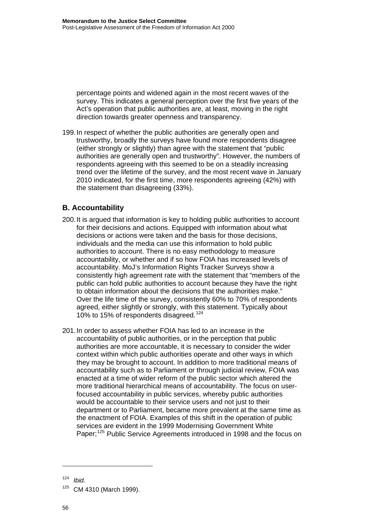percentage points and widened again in the most recent waves of the survey. This indicates a general perception over the first five years of the Act's operation that public authorities are, at least, moving in the right direction towards greater openness and transparency.

199. In respect of whether the public authorities are generally open and trustworthy, broadly the surveys have found more respondents disagree (either strongly or slightly) than agree with the statement that "public authorities are generally open and trustworthy". However, the numbers of respondents agreeing with this seemed to be on a steadily increasing trend over the lifetime of the survey, and the most recent wave in January 2010 indicated, for the first time, more respondents agreeing (42%) with the statement than disagreeing (33%).

# **B. Accountability**

- 200. It is argued that information is key to holding public authorities to account for their decisions and actions. Equipped with information about what decisions or actions were taken and the basis for those decisions, individuals and the media can use this information to hold public authorities to account. There is no easy methodology to measure accountability, or whether and if so how FOIA has increased levels of accountability. MoJ's Information Rights Tracker Surveys show a consistently high agreement rate with the statement that "members of the public can hold public authorities to account because they have the right to obtain information about the decisions that the authorities make." Over the life time of the survey, consistently 60% to 70% of respondents agreed, either slightly or strongly, with this statement. Typically about 10% to 15% of respondents disagreed.[124](#page-58-0)
- 201. In order to assess whether FOIA has led to an increase in the accountability of public authorities, or in the perception that public authorities are more accountable, it is necessary to consider the wider context within which public authorities operate and other ways in which they may be brought to account. In addition to more traditional means of accountability such as to Parliament or through judicial review, FOIA was enacted at a time of wider reform of the public sector which altered the more traditional hierarchical means of accountability. The focus on userfocused accountability in public services, whereby public authorities would be accountable to their service users and not just to their department or to Parliament, became more prevalent at the same time as the enactment of FOIA. Examples of this shift in the operation of public services are evident in the 1999 Modernising Government White Paper;<sup>[125](#page-58-1)</sup> Public Service Agreements introduced in 1998 and the focus on

<span id="page-58-0"></span><sup>124</sup> *Ibid.* 

<span id="page-58-1"></span> $125$  CM 4310 (March 1999).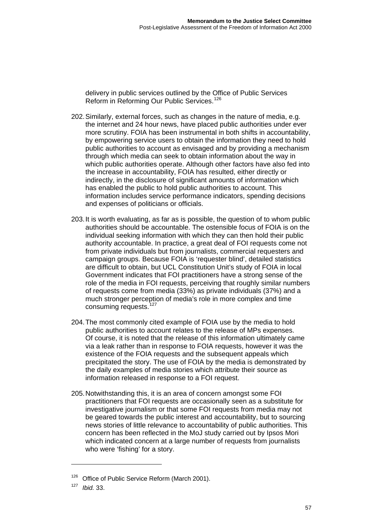delivery in public services outlined by the Office of Public Services Reform in Reforming Our Public Services.<sup>126</sup>

- 202. Similarly, external forces, such as changes in the nature of media, e.g. the internet and 24 hour news, have placed public authorities under ever more scrutiny. FOIA has been instrumental in both shifts in accountability, by empowering service users to obtain the information they need to hold public authorities to account as envisaged and by providing a mechanism through which media can seek to obtain information about the way in which public authorities operate. Although other factors have also fed into the increase in accountability, FOIA has resulted, either directly or indirectly, in the disclosure of significant amounts of information which has enabled the public to hold public authorities to account. This information includes service performance indicators, spending decisions and expenses of politicians or officials.
- 203. It is worth evaluating, as far as is possible, the question of to whom public authorities should be accountable. The ostensible focus of FOIA is on the individual seeking information with which they can then hold their public authority accountable. In practice, a great deal of FOI requests come not from private individuals but from journalists, commercial requesters and campaign groups. Because FOIA is 'requester blind', detailed statistics are difficult to obtain, but UCL Constitution Unit's study of FOIA in local Government indicates that FOI practitioners have a strong sense of the role of the media in FOI requests, perceiving that roughly similar numbers of requests come from media (33%) as private individuals (37%) and a much stronger perception of media's role in more complex and time consuming requests.<sup>[127](#page-59-0)</sup>
- 204. The most commonly cited example of FOIA use by the media to hold public authorities to account relates to the release of MPs expenses. Of course, it is noted that the release of this information ultimately came via a leak rather than in response to FOIA requests, however it was the existence of the FOIA requests and the subsequent appeals which precipitated the story. The use of FOIA by the media is demonstrated by the daily examples of media stories which attribute their source as information released in response to a FOI request.
- 205. Notwithstanding this, it is an area of concern amongst some FOI practitioners that FOI requests are occasionally seen as a substitute for investigative journalism or that some FOI requests from media may not be geared towards the public interest and accountability, but to sourcing news stories of little relevance to accountability of public authorities. This concern has been reflected in the MoJ study carried out by Ipsos Mori which indicated concern at a large number of requests from journalists who were 'fishing' for a story.

 $126$  Office of Public Service Reform (March 2001).

<span id="page-59-0"></span><sup>127</sup> *Ibid.* 33.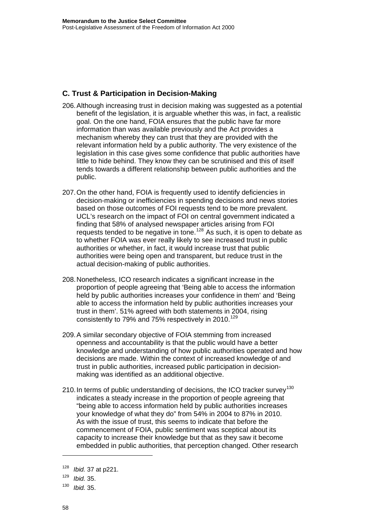## **C. Trust & Participation in Decision-Making**

- 206. Although increasing trust in decision making was suggested as a potential benefit of the legislation, it is arguable whether this was, in fact, a realistic goal. On the one hand, FOIA ensures that the public have far more information than was available previously and the Act provides a mechanism whereby they can trust that they are provided with the relevant information held by a public authority. The very existence of the legislation in this case gives some confidence that public authorities have little to hide behind. They know they can be scrutinised and this of itself tends towards a different relationship between public authorities and the public.
- 207. On the other hand, FOIA is frequently used to identify deficiencies in decision-making or inefficiencies in spending decisions and news stories based on those outcomes of FOI requests tend to be more prevalent. UCL's research on the impact of FOI on central government indicated a finding that 58% of analysed newspaper articles arising from FOI requests tended to be negative in tone.[128](#page-60-0) As such, it is open to debate as to whether FOIA was ever really likely to see increased trust in public authorities or whether, in fact, it would increase trust that public authorities were being open and transparent, but reduce trust in the actual decision-making of public authorities.
- 208. Nonetheless, ICO research indicates a significant increase in the proportion of people agreeing that 'Being able to access the information held by public authorities increases your confidence in them' and 'Being able to access the information held by public authorities increases your trust in them'. 51% agreed with both statements in 2004, rising consistently to 79% and 75% respectively in 2010.<sup>[129](#page-60-1)</sup>
- 209. A similar secondary objective of FOIA stemming from increased openness and accountability is that the public would have a better knowledge and understanding of how public authorities operated and how decisions are made. Within the context of increased knowledge of and trust in public authorities, increased public participation in decisionmaking was identified as an additional objective.
- 210. In terms of public understanding of decisions, the ICO tracker survey<sup>[130](#page-60-2)</sup> indicates a steady increase in the proportion of people agreeing that "being able to access information held by public authorities increases your knowledge of what they do" from 54% in 2004 to 87% in 2010. As with the issue of trust, this seems to indicate that before the commencement of FOIA, public sentiment was sceptical about its capacity to increase their knowledge but that as they saw it become embedded in public authorities, that perception changed. Other research

<span id="page-60-0"></span><sup>128</sup> *Ibid.* 37 at p221.

<span id="page-60-1"></span><sup>129</sup> *Ibid.* 35.

<span id="page-60-2"></span><sup>130</sup> *Ibid.* 35.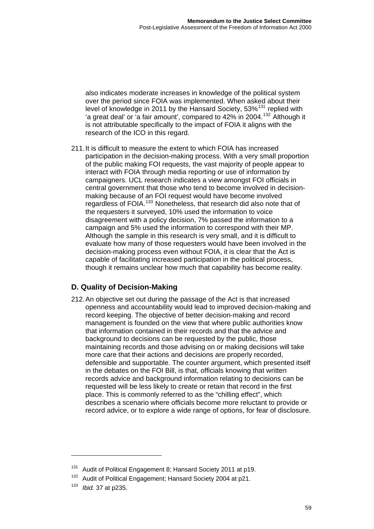also indicates moderate increases in knowledge of the political system over the period since FOIA was implemented. When asked about their level of knowledge in 2011 by the Hansard Society, 53%<sup>131</sup> replied with 'a great deal' or 'a fair amount', compared to 42% in 2004.132 Although it is not attributable specifically to the impact of FOIA it aligns with the research of the ICO in this regard.

211. It is difficult to measure the extent to which FOIA has increased participation in the decision-making process. With a very small proportion of the public making FOI requests, the vast majority of people appear to interact with FOIA through media reporting or use of information by campaigners. UCL research indicates a view amongst FOI officials in central government that those who tend to become involved in decisionmaking because of an FOI request would have become involved regardless of FOIA.[133](#page-61-0) Nonetheless, that research did also note that of the requesters it surveyed, 10% used the information to voice disagreement with a policy decision, 7% passed the information to a campaign and 5% used the information to correspond with their MP. Although the sample in this research is very small, and it is difficult to evaluate how many of those requesters would have been involved in the decision-making process even without FOIA, it is clear that the Act is capable of facilitating increased participation in the political process, though it remains unclear how much that capa bility has become reality.

# **D. Quality of Decision-Making**

212. An objective set out during the passage of the Act is that increased openness and accountability would lead to improved decision-making and record keeping. The objective of better decision-making and record management is founded on the view that where public authorities know that information contained in their records and that the advice and background to decisions can be requested by the public, those maintaining records and those advising on or making decisions will take more care that their actions and decisions are properly recorded, defensible and supportable. The counter argument, which presented itself in the debates on the FOI Bill, is that, officials knowing that written records advice and background information relating to decisions can be requested will be less likely to create or retain that record in the first place. This is commonly referred to as the "chilling effect", which describes a scenario where officials become more reluctant to provide or record advice, or to explore a wide range of options, for fear of disclosure.

<sup>&</sup>lt;sup>131</sup> Audit of Political Engagement 8; Hansard Society 2011 at p19.

Audit of Political Engagement; Hansard Society 2004 at p21.

<span id="page-61-0"></span><sup>133</sup> *Ibid.* 37 at p235.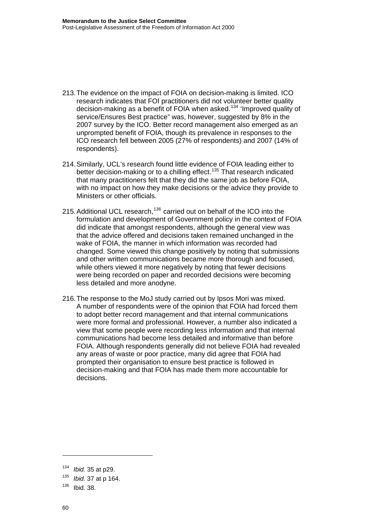- 213. The evidence on the impact of FOIA on decision-making is limited. ICO research indicates that FOI practitioners did not volunteer better quality decision-making as a benefit of FOIA when asked.<sup>[134](#page-62-0)</sup> 'Improved quality of service/Ensures Best practice" was, however, suggested by 8% in the 2007 survey by the ICO. Better record management also emerged as an unprompted benefit of FOIA, though its prevalence in responses to the ICO research fell between 2005 (27% of respondents) and 2007 (14% of respondents).
- 214. Similarly, UCL's research found little evidence of FOIA leading either to better decision-making or to a chilling effect.<sup>[135](#page-62-1)</sup> That research indicated that many practitioners felt that they did the same job as before FOIA, with no impact on how they make decisions or the advice they provide to Ministers or other officials.
- 215. Additional UCL research,<sup>[136](#page-62-2)</sup> carried out on behalf of the ICO into the formulation and development of Government policy in the context of FOIA did indicate that amongst respondents, although the general view was that the advice offered and decisions taken remained unchanged in the wake of FOIA, the manner in which information was recorded had changed. Some viewed this change positively by noting that submissions and other written communications became more thorough and focused, while others viewed it more negatively by noting that fewer decisions were being recorded on paper and recorded decisions were becoming less detailed and more anodyne.
- 216. The response to the MoJ study carried out by Ipsos Mori was mixed. A number of respondents were of the opinion that FOIA had forced them to adopt better record management and that internal communications were more formal and professional. However, a number also indicated a view that some people were recording less information and that internal communications had become less detailed and informative than before FOIA. Although respondents generally did not believe FOIA had revealed any areas of waste or poor practice, many did agree that FOIA had prompted their organisation to ensure best practice is followed in decision-making and that FOIA has made them more accountable for decisions.

<span id="page-62-0"></span><sup>134</sup> *Ibid.* 35 at p29.

<span id="page-62-1"></span><sup>135</sup> *Ibid.* 37 at p 164.

<span id="page-62-2"></span><sup>136</sup> Ibid. 38.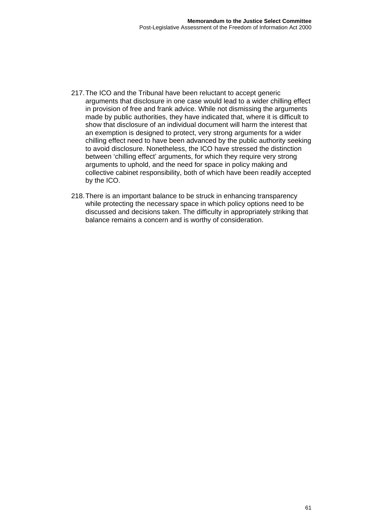- 217. The ICO and the Tribunal have been reluctant to accept generic arguments that disclosure in one case would lead to a wider chilling effect in provision of free and frank advice. While not dismissing the arguments made by public authorities, they have indicated that, where it is difficult to show that disclosure of an individual document will harm the interest that an exemption is designed to protect, very strong arguments for a wider chilling effect need to have been advanced by the public authority seeking to avoid disclosure. Nonetheless, the ICO have stressed the distinction between 'chilling effect' arguments, for which they require very strong arguments to uphold, and the need for space in policy making and collective cabinet responsibility, both of which have been readily accepted by the ICO.
- 218. There is an important balance to be struck in enhancing transparency while protecting the necessary space in which policy options need to be discussed and decisions taken. The difficulty in appropriately striking that balance remains a concern and is worthy of consideration.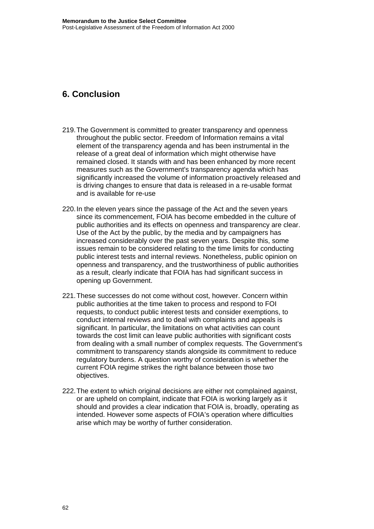# **6. Conclusion**

- 219. The Government is committed to greater transparency and openness throughout the public sector. Freedom of Information remains a vital element of the transparency agenda and has been instrumental in the release of a great deal of information which might otherwise have remained closed. It stands with and has been enhanced by more recent measures such as the Government's transparency agenda which has significantly increased the volume of information proactively released and is driving changes to ensure that data is released in a re-usable format and is available for re-use
- 220. In the eleven years since the passage of the Act and the seven years since its commencement, FOIA has become embedded in the culture of public authorities and its effects on openness and transparency are clear. Use of the Act by the public, by the media and by campaigners has increased considerably over the past seven years. Despite this, some issues remain to be considered relating to the time limits for conducting public interest tests and internal reviews. Nonetheless, public opinion on openness and transparency, and the trustworthiness of public authorities as a result, clearly indicate that FOIA has had significant success in opening up Government.
- 221. These successes do not come without cost, however. Concern within public authorities at the time taken to process and respond to FOI requests, to conduct public interest tests and consider exemptions, to conduct internal reviews and to deal with complaints and appeals is significant. In particular, the limitations on what activities can count towards the cost limit can leave public authorities with significant costs from dealing with a small number of complex requests. The Government's commitment to transparency stands alongside its commitment to reduce regulatory burdens. A question worthy of consideration is whether the current FOIA regime strikes the right balance between those two objectives.
- 222. The extent to which original decisions are either not complained against, or are upheld on complaint, indicate that FOIA is working largely as it should and provides a clear indication that FOIA is, broadly, operating as intended. However some aspects of FOIA's operation where difficulties arise which may be worthy of further consideration.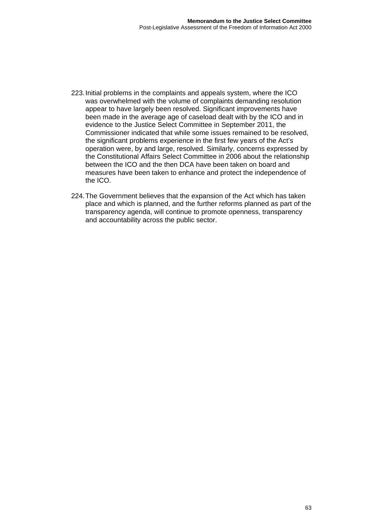- 223. Initial problems in the complaints and appeals system, where the ICO was overwhelmed with the volume of complaints demanding resolution appear to have largely been resolved. Significant improvements have been made in the average age of caseload dealt with by the ICO and in evidence to the Justice Select Committee in September 2011, the Commissioner indicated that while some issues remained to be resolved, the significant problems experience in the first few years of the Act's operation were, by and large, resolved. Similarly, concerns expressed by the Constitutional Affairs Select Committee in 2006 about the relationship between the ICO and the then DCA have been taken on board and measures have been taken to enhance and protect the independence of the ICO.
- 224. The Government believes that the expansion of the Act which has taken place and which is planned, and the further reforms planned as part of the transparency agenda, will continue to promote openness, transparency and accountability across the public sector.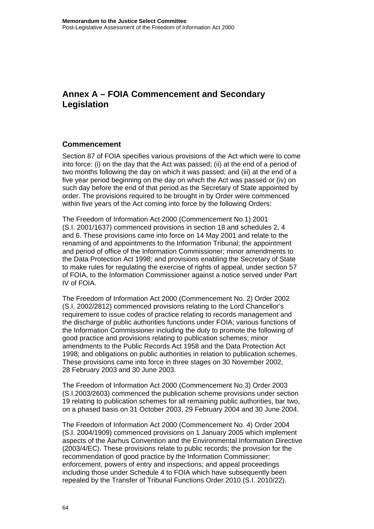# **Annex A – FOIA Commencement and Secondary Legislation**

#### **Commencement**

Section 87 of FOIA specifies various provisions of the Act which were to come into force: (i) on the day that the Act was passed; (ii) at the end of a period of two months following the day on which it was passed; and (iii) at the end of a five year period beginning on the day on which the Act was passed or (iv) on such day before the end of that period as the Secretary of State appointed by order. The provisions required to be brought in by Order were commenced within five years of the Act coming into force by the following Orders:

The Freedom of Information Act 2000 (Commencement No.1) 2001 (S.I. 2001/1637) commenced provisions in section 18 and schedules 2, 4 and 6. These provisions came into force on 14 May 2001 and relate to the renaming of and appointments to the Information Tribunal; the appointment and period of office of the Information Commissioner; minor amendments to the Data Protection Act 1998; and provisions enabling the Secretary of State to make rules for regulating the exercise of rights of appeal, under section 57 of FOIA, to the Information Commissioner against a notice served under Part IV of FOIA.

The Freedom of Information Act 2000 (Commencement No. 2) Order 2002 (S.I. 2002/2812) commenced provisions relating to the Lord Chancellor's requirement to issue codes of practice relating to records management and the discharge of public authorities functions under FOIA; various functions of the Information Commissioner including the duty to promote the following of good practice and provisions relating to publication schemes; minor amendments to the Public Records Act 1958 and the Data Protection Act 1998; and obligations on public authorities in relation to publication schemes. These provisions came into force in three stages on 30 November 2002, 28 February 2003 and 30 June 2003.

The Freedom of Information Act 2000 (Commencement No.3) Order 2003 (S.I.2003/2603) commenced the publication scheme provisions under section 19 relating to publication schemes for all remaining public authorities, bar two, on a phased basis on 31 October 2003, 29 February 2004 and 30 June 2004.

The Freedom of Information Act 2000 (Commencement No. 4) Order 2004 (S.I. 2004/1909) commenced provisions on 1 January 2005 which implement aspects of the Aarhus Convention and the Environmental Information Directive (2003/4/EC). These provisions relate to public records; the provision for the recommendation of good practice by the Information Commissioner; enforcement, powers of entry and inspections; and appeal proceedings including those under Schedule 4 to FOIA which have subsequently been repealed by the Transfer of Tribunal Functions Order 2010 (S.I. 2010/22).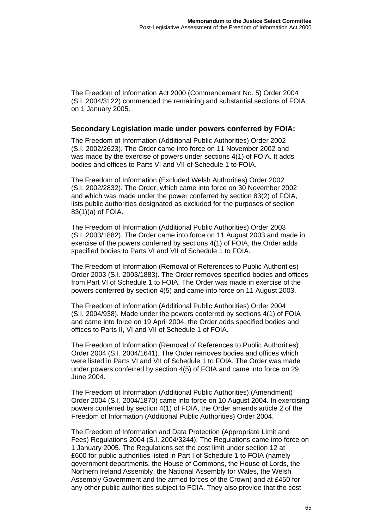The Freedom of Information Act 2000 (Commencement No. 5) Order 2004 (S.I. 2004/3122) commenced the remaining and substantial sections of FOIA on 1 January 2005.

#### **Secondary Legislation made under powers conferred by FOIA:**

[The Freedom of Information \(Additional Public Authorities\) Order 2002](http://www.legislation.gov.uk/uksi/2002/2623/contents/made) (S.I. 2002/2623). The Order came into force on 11 November 2002 and was made by the exercise of powers under sections 4(1) of FOIA. It adds bodies and offices to Parts VI and VII of Schedule 1 to FOIA.

[The Freedom of Information \(Excluded Welsh Authorities\) Order 2002](http://www.legislation.gov.uk/uksi/2002/2832/contents/made) (S.I. 2002/2832). The Order, which came into force on 30 November 2002 and which was made under the power conferred by section 83(2) of FOIA, lists public authorities designated as excluded for the purposes of section 83(1)(a) of FOIA.

[The Freedom of Information \(Additional Public Authorities\) Order 2003](http://www.legislation.gov.uk/uksi/2003/1882/contents/made) (S.I. 2003/1882). The Order came into force on 11 August 2003 and made in exercise of the powers conferred by sections 4(1) of FOIA, the Order adds specified bodies to Parts VI and VII of Schedule 1 to FOIA.

[The Freedom of Information \(Removal of References to Public Authorities\)](http://www.legislation.gov.uk/uksi/2003/1883/contents/made)  [Order 2003 \(S.I. 2003/](http://www.legislation.gov.uk/uksi/2003/1883/contents/made)1883). The Order removes specified bodies and offices from Part VI of Schedule 1 to FOIA. The Order was made in exercise of the powers conferred by section 4(5) and came into force on 11 August 2003.

[The Freedom of Information \(Additional Public Authorities\) Order 2004](http://www.legislation.gov.uk/uksi/2004/938/contents/made) (S.I. 2004/938). Made under the powers conferred by sections 4(1) of FOIA and came into force on 19 April 2004, the Order adds specified bodies and offices to Parts II, VI and VII of Schedule 1 of FOIA.

[The Freedom of Information \(Removal of References to Public Authorities\)](http://www.legislation.gov.uk/uksi/2004/1641/contents/made)  [Order 2004 \(S.I. 2004/](http://www.legislation.gov.uk/uksi/2004/1641/contents/made)1641). The Order removes bodies and offices which were listed in Parts VI and VII of Schedule 1 to FOIA. The Order was made under powers conferred by section 4(5) of FOIA and came into force on 29 June 2004.

The Freedom of Information (Additional Public Authorities) (Amendment) Order 2004 (S.I. 2004/1870) came into force on 10 August 2004. In exercising powers conferred by section 4(1) of FOIA, the Order amends article 2 of the Freedom of Information (Additional Public Authorities) Order 2004.

[The Freedom of Information and Data Protection \(Appropriate Limit and](http://www.legislation.gov.uk/uksi/2004/3244/contents/made)  [Fees\) Regulations 2004](http://www.legislation.gov.uk/uksi/2004/3244/contents/made) (S.I. 2004/3244): The Regulations came into force on 1 January 2005. The Regulations set the cost limit under section 12 at £600 for public authorities listed in Part I of Schedule 1 to FOIA (namely government departments, the House of Commons, the House of Lords, the Northern Ireland Assembly, the National Assembly for Wales, the Welsh Assembly Government and the armed forces of the Crown) and at £450 for any other public authorities subject to FOIA. They also provide that the cost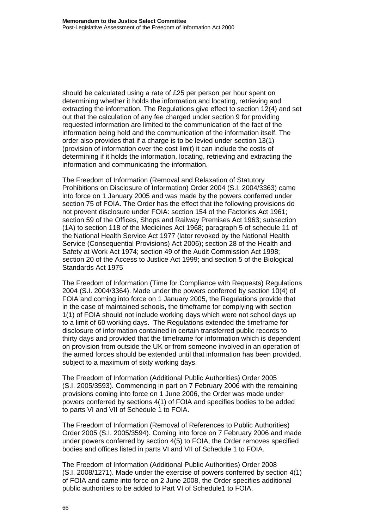should be calculated using a rate of £25 per person per hour spent on determining whether it holds the information and locating, retrieving and extracting the information. The Regulations give effect to section 12(4) and set out that the calculation of any fee charged under section 9 for providing requested information are limited to the communication of the fact of the information being held and the communication of the information itself. The order also provides that if a charge is to be levied under section 13(1) (provision of information over the cost limit) it can include the costs of determining if it holds the information, locating, retrieving and extracting the information and communicating the information.

The Freedom of Information (Removal and Relaxation of Statutory Prohibitions on Disclosure of Information) Order 2004 (S.I. 2004/3363) came into force on 1 January 2005 and was made by the powers conferred under section 75 of FOIA. The Order has the effect that the following provisions do not prevent disclosure under FOIA: section 154 of the Factories Act 1961; section 59 of the Offices, Shops and Railway Premises Act 1963; subsection (1A) to section 118 of the Medicines Act 1968; paragraph 5 of schedule 11 of the National Health Service Act 1977 (later revoked by the National Health Service (Consequential Provisions) Act 2006); section 28 of the Health and Safety at Work Act 1974; section 49 of the Audit Commission Act 1998; section 20 of the Access to Justice Act 1999; and section 5 of the Biological Standards Act 1975

The Freedom of Information (Time for Compliance with Requests) Regulations 2004 (S.I. 2004/3364). Made under the powers conferred by section 10(4) of FOIA and coming into force on 1 January 2005, the Regulations provide that in the case of maintained schools, the timeframe for complying with section 1(1) of FOIA should not include working days which were not school days up to a limit of 60 working days. The Regulations extended the timeframe for disclosure of information contained in certain transferred public records to thirty days and provided that the timeframe for information which is dependent on provision from outside the UK or from someone involved in an operation of the armed forces should be extended until that information has been provided, subject to a maximum of sixty working days.

[The Freedom of Information \(Additional Public Authorities\) Order 2005](http://www.legislation.gov.uk/uksi/2005/3593/contents/made) (S.I. 2005/3593). Commencing in part on 7 February 2006 with the remaining provisions coming into force on 1 June 2006, the Order was made under powers conferred by sections 4(1) of FOIA and specifies bodies to be added to parts VI and VII of Schedule 1 to FOIA.

[The Freedom of Information \(Removal of References to Public Authorities\)](http://www.legislation.gov.uk/uksi/2005/3594/contents/made)  [Order 2005 \(S.I. 2005/](http://www.legislation.gov.uk/uksi/2005/3594/contents/made)3594). Coming into force on 7 February 2006 and made under powers conferred by section 4(5) to FOIA, the Order removes specified bodies and offices listed in parts VI and VII of Schedule 1 to FOIA.

[The Freedom of Information \(Additional Public Authorities\) Order 2008](http://www.legislation.gov.uk/uksi/2008/1271/contents/made) (S.I. 2008/1271). Made under the exercise of powers conferred by section 4(1) of FOIA and came into force on 2 June 2008, the Order specifies additional public authorities to be added to Part VI of Schedule1 to FOIA.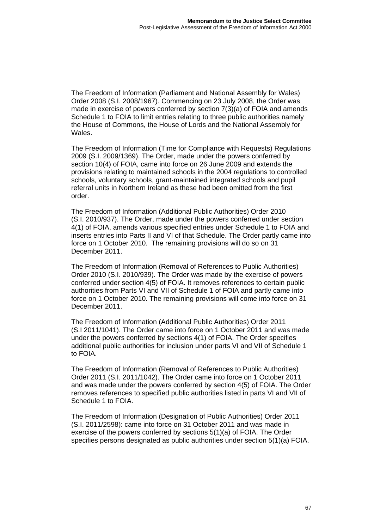[The Freedom of Information \(Parliament and National Assembly for Wales\)](http://www.legislation.gov.uk/uksi/2008/1967/contents/made)  [Order 2008 \(S.I. 2008/](http://www.legislation.gov.uk/uksi/2008/1967/contents/made)1967). Commencing on 23 July 2008, the Order was made in exercise of powers conferred by section 7(3)(a) of FOIA and amends Schedule 1 to FOIA to limit entries relating to three public authorities namely the House of Commons, the House of Lords and the National Assembly for Wales.

The Freedom of Information (Time for Compliance with Requests) Regulations 2009 (S.I. 2009/1369). The Order, made under the powers conferred by section 10(4) of FOIA, came into force on 26 June 2009 and extends the provisions relating to maintained schools in the 2004 regulations to controlled schools, voluntary schools, grant-maintained integrated schools and pupil referral units in Northern Ireland as these had been omitted from the first order.

[The Freedom of Information \(Additional Public Authorities\) Order 2010](http://www.legislation.gov.uk/uksi/2010/937/contents/made) (S.I. 2010/937). The Order, made under the powers conferred under section 4(1) of FOIA, amends various specified entries under Schedule 1 to FOIA and inserts entries into Parts II and VI of that Schedule. The Order partly came into force on 1 October 2010. The remaining provisions will do so on 31 December 2011.

[The Freedom of Information \(Removal of References to Public Authorities\)](http://www.legislation.gov.uk/uksi/2010/939/contents/made)  [Order 2010 \(S.I. 2010/](http://www.legislation.gov.uk/uksi/2010/939/contents/made)939). The Order was made by the exercise of powers conferred under section 4(5) of FOIA. It removes references to certain public authorities from Parts VI and VII of Schedule 1 of FOIA and partly came into force on 1 October 2010. The remaining provisions will come into force on 31 December 2011.

[The Freedom of Information \(Additional Public Authorities\) Order 2011](http://www.legislation.gov.uk/uksi/2011/1041/contents/made) (S.I 2011/1041). The Order came into force on 1 October 2011 and was made under the powers conferred by sections 4(1) of FOIA. The Order specifies additional public authorities for inclusion under parts VI and VII of Schedule 1 to FOIA.

[The Freedom of Information \(Removal of References to Public Authorities\)](http://www.legislation.gov.uk/uksi/2011/2598/contents/made)  [Order 2011 \(S.I. 2011/](http://www.legislation.gov.uk/uksi/2011/2598/contents/made)1042). The Order came into force on 1 October 2011 and was made under the powers conferred by section 4(5) of FOIA. The Order removes references to specified public authorities listed in parts VI and VII of Schedule 1 to FOIA.

[The Freedom of Information \(Designation of Public Authorities\) Order 2011](http://www.legislation.gov.uk/uksi/2011/1042/contents/made)  [\(S.I. 2011](http://www.legislation.gov.uk/uksi/2011/1042/contents/made)/2598): came into force on 31 October 2011 and was made in exercise of the powers conferred by sections 5(1)(a) of FOIA. The Order specifies persons designated as public authorities under section 5(1)(a) FOIA.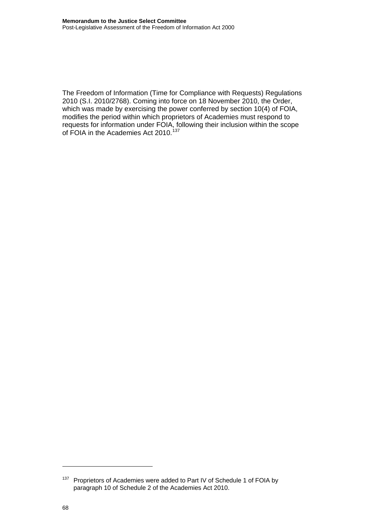The Freedom of Information (Time for Compliance with Requests) Regulations 2010 (S.I. 2010/2768). Coming into force on 18 November 2010, the Order, which was made by exercising the power conferred by section 10(4) of FOIA, modifies the period within which proprietors of Academies must respond to requests for information under FOIA, following their inclusion within the scope of FOIA in the Academies Act 2010.<sup>[137](#page-70-0)</sup>

<span id="page-70-0"></span><sup>&</sup>lt;sup>137</sup> Proprietors of Academies were added to Part IV of Schedule 1 of FOIA by paragraph 10 of Schedule 2 of the Academies Act 2010.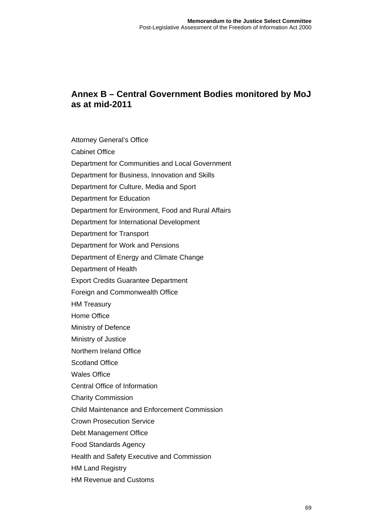# **Annex B – Central Government Bodies monitored by MoJ as at mid-2011**

Attorney General's Office Cabinet Office Department for Communities and Local Government Department for Business, Innovation and Skills Department for Culture, Media and Sport Department for Education Department for Environment, Food and Rural Affairs Department for International Development Department for Transport Department for Work and Pensions Department of Energy and Climate Change Department of Health Export Credits Guarantee Department Foreign and Commonwealth Office HM Treasury Home Office Ministry of Defence Ministry of Justice Northern Ireland Office Scotland Office Wales Office Central Office of Information Charity Commission Child Maintenance and Enforcement Commission Crown Prosecution Service Debt Management Office Food Standards Agency Health and Safety Executive and Commission HM Land Registry HM Revenue and Customs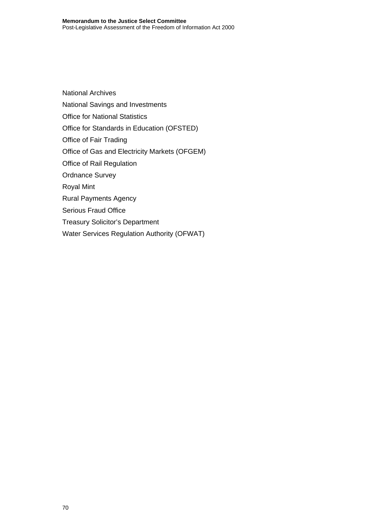National Archives National Savings and Investments Office for National Statistics Office for Standards in Education (OFSTED) Office of Fair Trading Office of Gas and Electricity Markets (OFGEM) Office of Rail Regulation Ordnance Survey Royal Mint Rural Payments Agency Serious Fraud Office Treasury Solicitor's Department

Water Services Regulation Authority (OFWAT)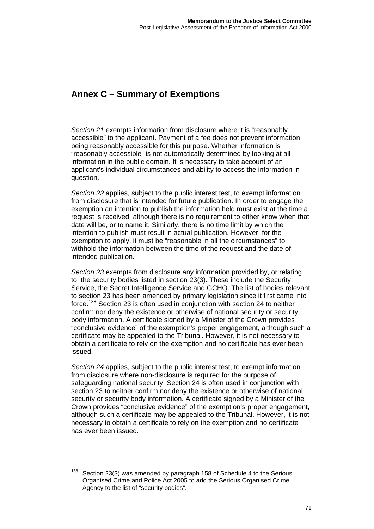## **Annex C – Summary of Exemptions**

*Section 21* exempts information from disclosure where it is "reasonably accessible" to the applicant. Payment of a fee does not prevent information being reasonably accessible for this purpose. Whether information is "reasonably accessible" is not automatically determined by looking at all information in the public domain. It is necessary to take account of an applicant's individual circumstances and ability to access the information in question.

*Section 22* applies, subject to the public interest test, to exempt information from disclosure that is intended for future publication. In order to engage the exemption an intention to publish the information held must exist at the time a request is received, although there is no requirement to either know when that date will be, or to name it. Similarly, there is no time limit by which the intention to publish must result in actual publication. However, for the exemption to apply, it must be "reasonable in all the circumstances" to withhold the information between the time of the request and the date of intended publication.

*Section 23* exempts from disclosure any information provided by, or relating to, the security bodies listed in section 23(3). These include the Security Service, the Secret Intelligence Service and GCHQ. The list of bodies relevant to section 23 has been amended by primary legislation since it first came into force.<sup>[138](#page-73-0)</sup> Section 23 is often used in conjunction with section 24 to neither confirm nor deny the existence or otherwise of national security or security body information. A certificate signed by a Minister of the Crown provides "conclusive evidence" of the exemption's proper engagement, although such a certificate may be appealed to the Tribunal. However, it is not necessary to obtain a certificate to rely on the exemption and no certificate has ever been issued.

*Section 24* applies, subject to the public interest test, to exempt information from disclosure where non-disclosure is required for the purpose of safeguarding national security. Section 24 is often used in conjunction with section 23 to neither confirm nor deny the existence or otherwise of national security or security body information. A certificate signed by a Minister of the Crown provides "conclusive evidence" of the exemption's proper engagement, although such a certificate may be appealed to the Tribunal. However, it is not necessary to obtain a certificate to rely on the exemption and no certificate has ever been issued.

<span id="page-73-0"></span> $138$  Section 23(3) was amended by paragraph 158 of Schedule 4 to the Serious Organised Crime and Police Act 2005 to add the Serious Organised Crime Agency to the list of "security bodies".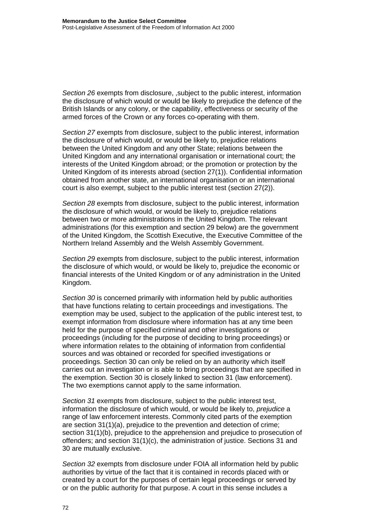*Section 26* exempts from disclosure, ,subject to the public interest, information the disclosure of which would or would be likely to prejudice the defence of the British Islands or any colony, or the capability, effectiveness or security of the armed forces of the Crown or any forces co-operating with them.

*Section 27* exempts from disclosure, subject to the public interest, information the disclosure of which would, or would be likely to, prejudice relations between the United Kingdom and any other State; relations between the United Kingdom and any international organisation or international court; the interests of the United Kingdom abroad; or the promotion or protection by the United Kingdom of its interests abroad (section 27(1)). Confidential information obtained from another state, an international organisation or an international court is also exempt, subject to the public interest test (section 27(2)).

*Section 28* exempts from disclosure, subject to the public interest, information the disclosure of which would, or would be likely to, prejudice relations between two or more administrations in the United Kingdom. The relevant administrations (for this exemption and section 29 below) are the government of the United Kingdom, the Scottish Executive, the Executive Committee of the Northern Ireland Assembly and the Welsh Assembly Government.

*Section 29* exempts from disclosure, subject to the public interest, information the disclosure of which would, or would be likely to, prejudice the economic or financial interests of the United Kingdom or of any administration in the United Kingdom.

*Section 30* is concerned primarily with information held by public authorities that have functions relating to certain proceedings and investigations. The exemption may be used, subject to the application of the public interest test, to exempt information from disclosure where information has at any time been held for the purpose of specified criminal and other investigations or proceedings (including for the purpose of deciding to bring proceedings) or where information relates to the obtaining of information from confidential sources and was obtained or recorded for specified investigations or proceedings. Section 30 can only be relied on by an authority which itself carries out an investigation or is able to bring proceedings that are specified in the exemption. Section 30 is closely linked to section 31 (law enforcement). The two exemptions cannot apply to the same information.

*Section 31* exempts from disclosure, subject to the public interest test, information the disclosure of which would, or would be likely to, *prejudice* a range of law enforcement interests. Commonly cited parts of the exemption are section 31(1)(a), prejudice to the prevention and detection of crime; section 31(1)(b), prejudice to the apprehension and prejudice to prosecution of offenders; and section  $31(1)(c)$ , the administration of justice. Sections 31 and 30 are mutually exclusive.

*Section 32* exempts from disclosure under FOIA all information held by public authorities by virtue of the fact that it is contained in records placed with or created by a court for the purposes of certain legal proceedings or served by or on the public authority for that purpose. A court in this sense includes a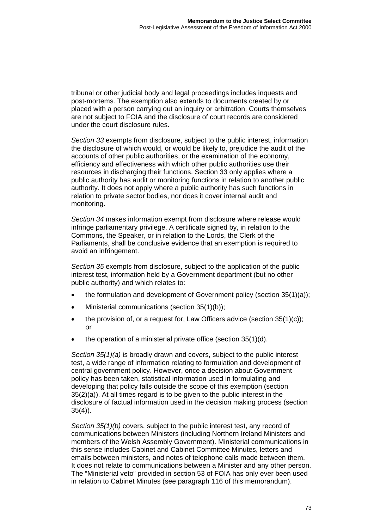tribunal or other judicial body and legal proceedings includes inquests and post-mortems. The exemption also extends to documents created by or placed with a person carrying out an inquiry or arbitration. Courts themselves are not subject to FOIA and the disclosure of court records are considered under the court disclosure rules.

*Section 33* exempts from disclosure, subject to the public interest, information the disclosure of which would, or would be likely to, prejudice the audit of the accounts of other public authorities, or the examination of the economy, efficiency and effectiveness with which other public authorities use their resources in discharging their functions. Section 33 only applies where a public authority has audit or monitoring functions in relation to another public authority. It does not apply where a public authority has such functions in relation to private sector bodies, nor does it cover internal audit and monitoring.

*Section 34* makes information exempt from disclosure where release would infringe parliamentary privilege. A certificate signed by, in relation to the Commons, the Speaker, or in relation to the Lords, the Clerk of the Parliaments, shall be conclusive evidence that an exemption is required to avoid an infringement.

*Section 35* exempts from disclosure, subject to the application of the public interest test, information held by a Government department (but no other public authority) and which relates to:

- the formulation and development of Government policy (section 35(1)(a));
- Ministerial communications (section 35(1)(b));
- the provision of, or a request for, Law Officers advice (section 35(1)(c)); or
- the operation of a ministerial private office (section 35(1)(d).

*Section 35(1)(a)* is broadly drawn and covers, subject to the public interest test, a wide range of information relating to formulation and development of central government policy. However, once a decision about Government policy has been taken, statistical information used in formulating and developing that policy falls outside the scope of this exemption (section 35(2)(a)). At all times regard is to be given to the public interest in the disclosure of factual information used in the decision making process (section  $35(4)$ ).

*Section 35(1)(b)* covers, subject to the public interest test, any record of communications between Ministers (including Northern Ireland Ministers and members of the Welsh Assembly Government). Ministerial communications in this sense includes Cabinet and Cabinet Committee Minutes, letters and emails between ministers, and notes of telephone calls made between them. It does not relate to communications between a Minister and any other person. The "Ministerial veto" provided in section 53 of FOIA has only ever been used in relation to Cabinet Minutes (see paragraph 116 of this memorandum).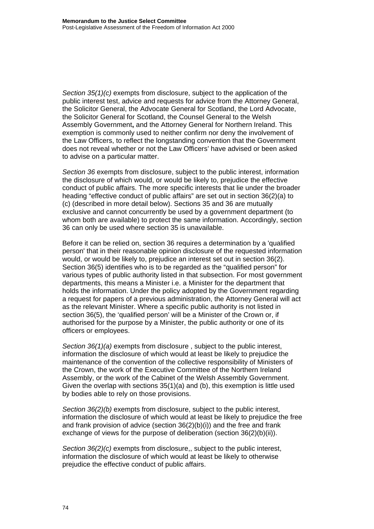*Section 35(1)(c)* exempts from disclosure, subject to the application of the public interest test, advice and requests for advice from the Attorney General, the Solicitor General, the Advocate General for Scotland, the Lord Advocate, the Solicitor General for Scotland, the Counsel General to the Welsh Assembly Government**,** and the Attorney General for Northern Ireland. This exemption is commonly used to neither confirm nor deny the involvement of the Law Officers, to reflect the longstanding convention that the Government does not reveal whether or not the Law Officers' have advised or been asked to advise on a particular matter.

*Section 36* exempts from disclosure, subject to the public interest, information the disclosure of which would, or would be likely to, prejudice the effective conduct of public affairs. The more specific interests that lie under the broader heading "effective conduct of public affairs" are set out in section 36(2)(a) to (c) (described in more detail below). Sections 35 and 36 are mutually exclusive and cannot concurrently be used by a government department (to whom both are available) to protect the same information. Accordingly, section 36 can only be used where section 35 is unavailable.

Before it can be relied on, section 36 requires a determination by a 'qualified person' that in their reasonable opinion disclosure of the requested information would, or would be likely to, prejudice an interest set out in section 36(2). Section 36(5) identifies who is to be regarded as the "qualified person" for various types of public authority listed in that subsection. For most government departments, this means a Minister i.e. a Minister for the department that holds the information. Under the policy adopted by the Government regarding a request for papers of a previous administration, the Attorney General will act as the relevant Minister. Where a specific public authority is not listed in section 36(5), the 'qualified person' will be a Minister of the Crown or, if authorised for the purpose by a Minister, the public authority or one of its officers or employees.

*Section 36(1)(a)* exempts from disclosure , subject to the public interest, information the disclosure of which would at least be likely to prejudice the maintenance of the convention of the collective responsibility of Ministers of the Crown, the work of the Executive Committee of the Northern Ireland Assembly, or the work of the Cabinet of the Welsh Assembly Government. Given the overlap with sections 35(1)(a) and (b), this exemption is little used by bodies able to rely on those provisions.

*Section 36(2)(b)* exempts from disclosure, subject to the public interest, information the disclosure of which would at least be likely to prejudice the free and frank provision of advice (section 36(2)(b)(i)) and the free and frank exchange of views for the purpose of deliberation (section 36(2)(b)(ii)).

*Section 36(2)(c)* exempts from disclosure,, subject to the public interest, information the disclosure of which would at least be likely to otherwise prejudice the effective conduct of public affairs.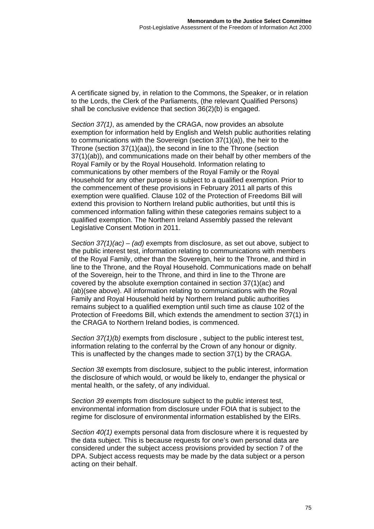A certificate signed by, in relation to the Commons, the Speaker, or in relation to the Lords, the Clerk of the Parliaments, (the relevant Qualified Persons) shall be conclusive evidence that section 36(2)(b) is engaged.

*Section 37(1)*, as amended by the CRAGA, now provides an absolute exemption for information held by English and Welsh public authorities relating to communications with the Sovereign (section 37(1)(a)), the heir to the Throne (section 37(1)(aa)), the second in line to the Throne (section 37(1)(ab)), and communications made on their behalf by other members of the Royal Family or by the Royal Household. Information relating to communications by other members of the Royal Family or the Royal Household for any other purpose is subject to a qualified exemption. Prior to the commencement of these provisions in February 2011 all parts of this exemption were qualified. Clause 102 of the Protection of Freedoms Bill will extend this provision to Northern Ireland public authorities, but until this is commenced information falling within these categories remains subject to a qualified exemption. The Northern Ireland Assembly passed the relevant Legislative Consent Motion in 2011.

*Section 37(1)(ac) – (ad)* exempts from disclosure, as set out above, subject to the public interest test, information relating to communications with members of the Royal Family, other than the Sovereign, heir to the Throne, and third in line to the Throne, and the Royal Household. Communications made on behalf of the Sovereign, heir to the Throne, and third in line to the Throne are covered by the absolute exemption contained in section 37(1)(ac) and (ab)(see above). All information relating to communications with the Royal Family and Royal Household held by Northern Ireland public authorities remains subject to a qualified exemption until such time as clause 102 of the Protection of Freedoms Bill, which extends the amendment to section 37(1) in the CRAGA to Northern Ireland bodies, is commenced.

*Section 37(1)(b)* exempts from disclosure , subject to the public interest test, information relating to the conferral by the Crown of any honour or dignity. This is unaffected by the changes made to section 37(1) by the CRAGA.

*Section 38* exempts from disclosure, subject to the public interest, information the disclosure of which would, or would be likely to, endanger the physical or mental health, or the safety, of any individual.

*Section 39* exempts from disclosure subject to the public interest test, environmental information from disclosure under FOIA that is subject to the regime for disclosure of environmental information established by the EIRs.

*Section 40(1)* exempts personal data from disclosure where it is requested by the data subject. This is because requests for one's own personal data are considered under the subject access provisions provided by section 7 of the DPA. Subject access requests may be made by the data subject or a person acting on their behalf.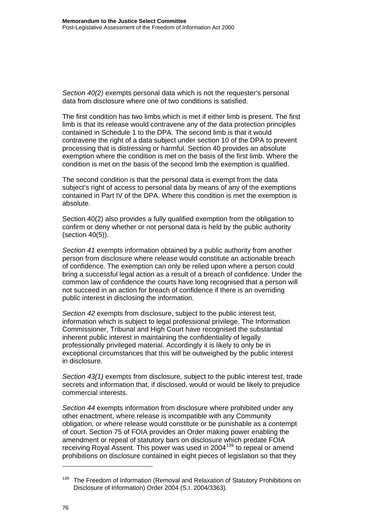*Section 40(2)* exempts personal data which is not the requester's personal data from disclosure where one of two conditions is satisfied.

The first condition has two limbs which is met if either limb is present. The first limb is that its release would contravene any of the data protection principles contained in Schedule 1 to the DPA. The second limb is that it would contravene the right of a data subject under section 10 of the DPA to prevent processing that is distressing or harmful. Section 40 provides an absolute exemption where the condition is met on the basis of the first limb. Where the condition is met on the basis of the second limb the exemption is qualified.

The second condition is that the personal data is exempt from the data subject's right of access to personal data by means of any of the exemptions contained in Part IV of the DPA. Where this condition is met the exemption is absolute.

Section 40(2) also provides a fully qualified exemption from the obligation to confirm or deny whether or not personal data is held by the public authority (section 40(5)).

*Section 41* exempts information obtained by a public authority from another person from disclosure where release would constitute an actionable breach of confidence. The exemption can only be relied upon where a person could bring a successful legal action as a result of a breach of confidence. Under the common law of confidence the courts have long recognised that a person will not succeed in an action for breach of confidence if there is an overriding public interest in disclosing the information.

*Section 42* exempts from disclosure, subject to the public interest test, information which is subject to legal professional privilege. The Information Commissioner, Tribunal and High Court have recognised the substantial inherent public interest in maintaining the confidentiality of legally professionally privileged material. Accordingly it is likely to only be in exceptional circumstances that this will be outweighed by the public interest in disclosure.

*Section 43(1)* exempts from disclosure, subject to the public interest test, trade secrets and information that, if disclosed, would or would be likely to prejudice commercial interests.

*Section 44* exempts information from disclosure where prohibited under any other enactment, where release is incompatible with any Community obligation, or where release would constitute or be punishable as a contempt of court. Section 75 of FOIA provides an Order making power enabling the amendment or repeal of statutory bars on disclosure which predate FOIA receiving Royal Assent. This power was used in 2004[139](#page-78-0) to repeal or amend prohibitions on disclosure contained in eight pieces of legislation so that they

 $\overline{a}$ 

<span id="page-78-0"></span><sup>&</sup>lt;sup>139</sup> The Freedom of Information (Removal and Relaxation of Statutory Prohibitions on Disclosure of Information) Order 2004 (S.I. 2004/3363).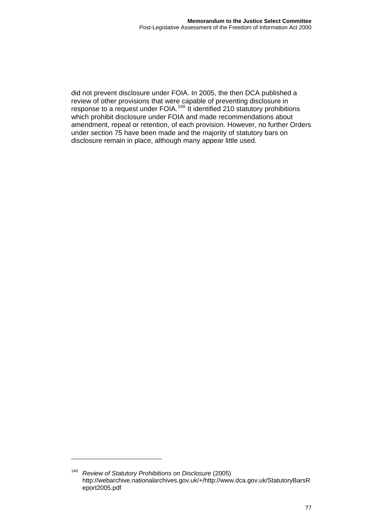did not prevent disclosure under FOIA. In 2005, the then DCA published a review of other provisions that were capable of preventing disclosure in response to a request under FOIA.<sup>[140](#page-79-0)</sup> It identified 210 statutory prohibitions which prohibit disclosure under FOIA and made recommendations about amendment, repeal or retention, of each provision. However, no further Orders under section 75 have been made and the majority of statutory bars on disclosure remain in place, although many appear little used.

<span id="page-79-0"></span><sup>140</sup> *Review of Statutory Prohibitions on Disclosure* (2005) http://webarchive.nationalarchives.gov.uk/+/http://www.dca.gov.uk/StatutoryBarsR eport2005.pdf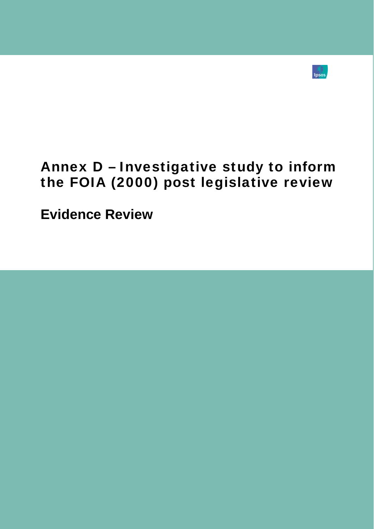

# Annex D – Investigative study to inform the FOIA (2000) post legislative review

**Evidence Review**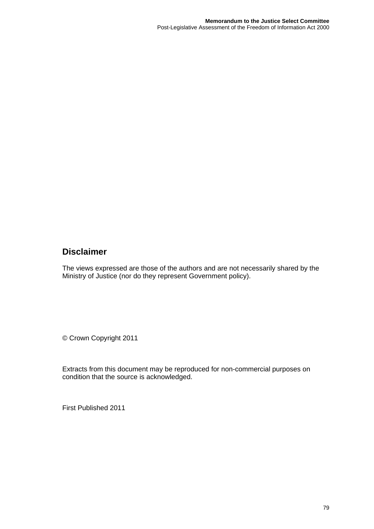## **Disclaimer**

The views expressed are those of the authors and are not necessarily shared by the Ministry of Justice (nor do they represent Government policy).

© Crown Copyright 2011

Extracts from this document may be reproduced for non-commercial purposes on condition that the source is acknowledged.

First Published 2011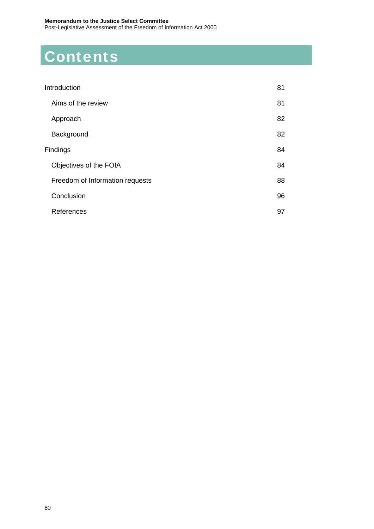# **Contents**

| Introduction                    | 81 |
|---------------------------------|----|
| Aims of the review              | 81 |
| Approach                        | 82 |
| Background                      | 82 |
| Findings                        | 84 |
| Objectives of the FOIA          | 84 |
| Freedom of Information requests | 88 |
| Conclusion                      | 96 |
| References                      | 97 |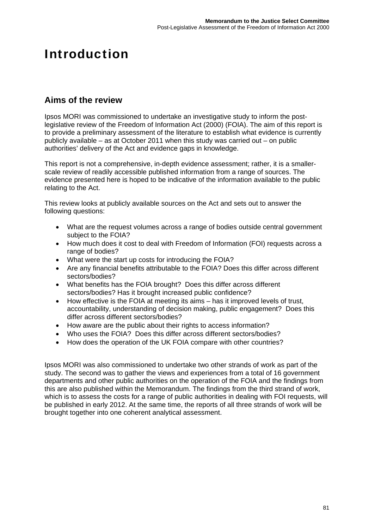## <span id="page-83-0"></span>Introduction

## <span id="page-83-1"></span>**Aims of the review**

Ipsos MORI was commissioned to undertake an investigative study to inform the postlegislative review of the Freedom of Information Act (2000) (FOIA). The aim of this report is to provide a preliminary assessment of the literature to establish what evidence is currently publicly available – as at October 2011 when this study was carried out – on public authorities' delivery of the Act and evidence gaps in knowledge.

This report is not a comprehensive, in-depth evidence assessment; rather, it is a smallerscale review of readily accessible published information from a range of sources. The evidence presented here is hoped to be indicative of the information available to the public relating to the Act.

This review looks at publicly available sources on the Act and sets out to answer the following questions:

- What are the request volumes across a range of bodies outside central government subject to the FOIA?
- How much does it cost to deal with Freedom of Information (FOI) requests across a range of bodies?
- What were the start up costs for introducing the FOIA?
- Are any financial benefits attributable to the FOIA? Does this differ across different sectors/bodies?
- What benefits has the FOIA brought? Does this differ across different sectors/bodies? Has it brought increased public confidence?
- How effective is the FOIA at meeting its aims has it improved levels of trust, accountability, understanding of decision making, public engagement? Does this differ across different sectors/bodies?
- How aware are the public about their rights to access information?
- Who uses the FOIA? Does this differ across different sectors/bodies?
- How does the operation of the UK FOIA compare with other countries?

Ipsos MORI was also commissioned to undertake two other strands of work as part of the study. The second was to gather the views and experiences from a total of 16 government departments and other public authorities on the operation of the FOIA and the findings from this are also published within the Memorandum. The findings from the third strand of work, which is to assess the costs for a range of public authorities in dealing with FOI requests, will be published in early 2012. At the same time, the reports of all three strands of work will be brought together into one coherent analytical assessment.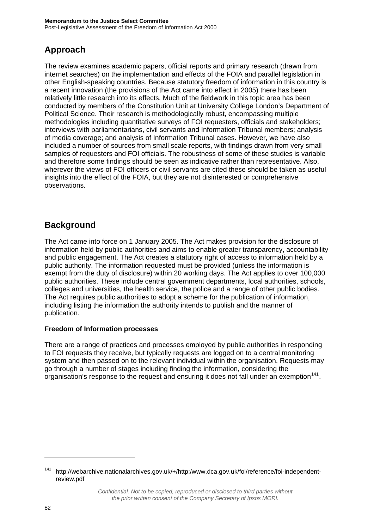## <span id="page-84-0"></span>**Approach**

The review examines academic papers, official reports and primary research (drawn from internet searches) on the implementation and effects of the FOIA and parallel legislation in other English-speaking countries. Because statutory freedom of information in this country is a recent innovation (the provisions of the Act came into effect in 2005) there has been relatively little research into its effects. Much of the fieldwork in this topic area has been conducted by members of the Constitution Unit at University College London's Department of Political Science. Their research is methodologically robust, encompassing multiple methodologies including quantitative surveys of FOI requesters, officials and stakeholders; interviews with parliamentarians, civil servants and Information Tribunal members; analysis of media coverage; and analysis of Information Tribunal cases. However, we have also included a number of sources from small scale reports, with findings drawn from very small samples of requesters and FOI officials. The robustness of some of these studies is variable and therefore some findings should be seen as indicative rather than representative. Also, wherever the views of FOI officers or civil servants are cited these should be taken as useful insights into the effect of the FOIA, but they are not disinterested or comprehensive observations.

## <span id="page-84-1"></span>**Background**

The Act came into force on 1 January 2005. The Act makes provision for the disclosure of information held by public authorities and aims to enable greater transparency, accountability and public engagement. The Act creates a statutory right of access to information held by a public authority. The information requested must be provided (unless the information is exempt from the duty of disclosure) within 20 working days. The Act applies to over 100,000 public authorities. These include central government departments, local authorities, schools, colleges and universities, the health service, the police and a range of other public bodies. The Act requires public authorities to adopt a scheme for the publication of information, including listing the information the authority intends to publish and the manner of publication.

#### **Freedom of Information processes**

There are a range of practices and processes employed by public authorities in responding to FOI requests they receive, but typically requests are logged on to a central monitoring system and then passed on to the relevant individual within the organisation. Requests may go through a number of stages including finding the information, considering the organisation's response to the request and ensuring it does not fall under an exemption<sup>[141](#page-84-2)</sup>.

<span id="page-84-2"></span><sup>141</sup> [http://webarchive.nationalarchives.gov.uk/+/http:/www.dca.gov.uk/foi/reference/foi-independent](http://webarchive.nationalarchives.gov.uk/+/http:/www.dca.gov.uk/foi/reference/foi-independent-review.pdf)[review.pdf](http://webarchive.nationalarchives.gov.uk/+/http:/www.dca.gov.uk/foi/reference/foi-independent-review.pdf) 

*Confidential. Not to be copied, reproduced or disclosed to third parties without the prior written consent of the Company Secretary of Ipsos MORI.*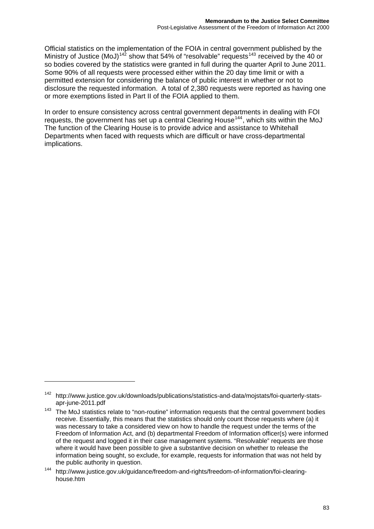Official statistics on the implementation of the FOIA in central government published by the Ministry of Justice (MoJ)<sup>[142](#page-85-0)</sup> show that 54% of "resolvable" requests<sup>[143](#page-85-1)</sup> received by the 40 or so bodies covered by the statistics were granted in full during the quarter April to June 2011. Some 90% of all requests were processed either within the 20 day time limit or with a permitted extension for considering the balance of public interest in whether or not to disclosure the requested information. A total of 2,380 requests were reported as having one or more exemptions listed in Part II of the FOIA applied to them.

In order to ensure consistency across central government departments in dealing with FOI requests, the government has set up a central Clearing House<sup>[144](#page-85-2)</sup>, which sits within the MoJ. The function of the Clearing House is to provide advice and assistance to Whitehall Departments when faced with requests which are difficult or have cross-departmental implications.

<span id="page-85-0"></span><sup>142</sup> [http://www.justice.gov.uk/downloads/publications/statistics-and-data/mojstats/foi-quarterly-stats](http://www.justice.gov.uk/downloads/publications/statistics-and-data/mojstats/foi-quarterly-stats-apr-june-2011.pdf)[apr-june-2011.pdf](http://www.justice.gov.uk/downloads/publications/statistics-and-data/mojstats/foi-quarterly-stats-apr-june-2011.pdf) 

<span id="page-85-1"></span> $143$  The MoJ statistics relate to "non-routine" information requests that the central government bodies receive. Essentially, this means that the statistics should only count those requests where (a) it was necessary to take a considered view on how to handle the request under the terms of the Freedom of Information Act, and (b) departmental Freedom of Information officer(s) were informed of the request and logged it in their case management systems. "Resolvable" requests are those where it would have been possible to give a substantive decision on whether to release the information being sought, so exclude, for example, requests for information that was not held by the public authority in question.

<span id="page-85-2"></span><sup>144</sup> http://www.justice.gov.uk/guidance/freedom-and-rights/freedom-of-information/foi-clearinghouse.htm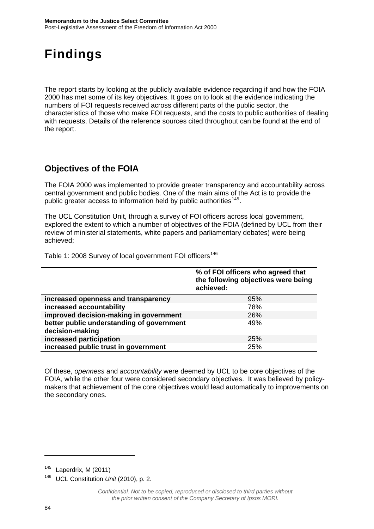## <span id="page-86-0"></span>Findings

The report starts by looking at the publicly available evidence regarding if and how the FOIA 2000 has met some of its key objectives. It goes on to look at the evidence indicating the numbers of FOI requests received across different parts of the public sector, the characteristics of those who make FOI requests, and the costs to public authorities of dealing with requests. Details of the reference sources cited throughout can be found at the end of the report.

## <span id="page-86-1"></span>**Objectives of the FOIA**

The FOIA 2000 was implemented to provide greater transparency and accountability across central government and public bodies. One of the main aims of the Act is to provide the public greater access to information held by public authorities<sup>[145](#page-86-2)</sup>.

The UCL Constitution Unit, through a survey of FOI officers across local government, explored the extent to which a number of objectives of the FOIA (defined by UCL from their review of ministerial statements, white papers and parliamentary debates) were being achieved;

Table 1: 2008 Survey of local government FOI officers<sup>[146](#page-86-3)</sup>

|                                                              | % of FOI officers who agreed that<br>the following objectives were being<br>achieved: |
|--------------------------------------------------------------|---------------------------------------------------------------------------------------|
| increased openness and transparency                          | 95%                                                                                   |
| increased accountability                                     | 78%                                                                                   |
| improved decision-making in government                       | 26%                                                                                   |
| better public understanding of government<br>decision-making | 49%                                                                                   |
| increased participation                                      | 25%                                                                                   |
| increased public trust in government                         | 25%                                                                                   |

Of these, *openness* and *accountability* were deemed by UCL to be core objectives of the FOIA, while the other four were considered secondary objectives. It was believed by policymakers that achievement of the core objectives would lead automatically to improvements on the secondary ones.

<span id="page-86-2"></span> $145$  Laperdrix, M (2011)

<span id="page-86-3"></span><sup>146</sup> UCL Constitution *Unit* (2010), p. 2.

*Confidential. Not to be copied, reproduced or disclosed to third parties without the prior written consent of the Company Secretary of Ipsos MORI.*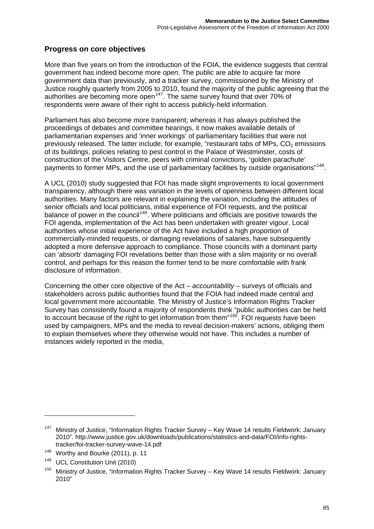#### **Progress on core objectives**

More than five years on from the introduction of the FOIA, the evidence suggests that central government has indeed become more *open*. The public are able to acquire far more government data than previously, and a tracker survey, commissioned by the Ministry of Justice roughly quarterly from 2005 to 2010, found the majority of the public agreeing that the authorities are becoming more open<sup>[147](#page-87-0)</sup>. The same survey found that over 70% of respondents were aware of their right to access publicly-held information.

Parliament has also become more transparent; whereas it has always published the proceedings of debates and committee hearings, it now makes available details of parliamentarian expenses and 'inner workings' of parliamentary facilities that were not previously released. The latter include, for example, "restaurant tabs of MPs,  $CO<sub>2</sub>$  emissions of its buildings, policies relating to pest control in the Palace of Westminster, costs of construction of the Visitors Centre, peers with criminal convictions, 'golden parachute' payments to former MPs, and the use of parliamentary facilities by outside organisations"<sup>[148](#page-87-1)</sup>.

A UCL (2010) study suggested that FOI has made slight improvements to local government transparency, although there was variation in the levels of openness between different local authorities. Many factors are relevant in explaining the variation, including the attitudes of senior officials and local politicians, initial experience of FOI requests, and the political balance of power in the council<sup>[149](#page-87-2)</sup>. Where politicians and officials are positive towards the FOI agenda, implementation of the Act has been undertaken with greater vigour. Local authorities whose initial experience of the Act have included a high proportion of commercially-minded requests, or damaging revelations of salaries, have subsequently adopted a more defensive approach to compliance. Those councils with a dominant party can 'absorb' damaging FOI revelations better than those with a slim majority or no overall control, and perhaps for this reason the former tend to be more comfortable with frank disclosure of information.

Concerning the other core objective of the Act – *accountability* – surveys of officials and stakeholders across public authorities found that the FOIA had indeed made central and local government more accountable. The Ministry of Justice's Information Rights Tracker Survey has consistently found a majority of respondents think "public authorities can be held to account because of the right to get information from them $150$ . FOI requests have been used by campaigners, MPs and the media to reveal decision-makers' actions, obliging them to explain themselves where they otherwise would not have. This includes a number of instances widely reported in the media,

 $\overline{a}$ 

<span id="page-87-0"></span><sup>147</sup> Ministry of Justice, "Information Rights Tracker Survey – Key Wave 14 results Fieldwork: January 2010". http://www.justice.gov.uk/downloads/publications/statistics-and-data/FOI/info-rightstracker/foi-tracker-survey-wave-14.pdf

<span id="page-87-1"></span><sup>&</sup>lt;sup>148</sup> Worthy and Bourke (2011), p. 11

<span id="page-87-2"></span><sup>149</sup> UCL Constitution Unit (2010)

<span id="page-87-3"></span><sup>&</sup>lt;sup>150</sup> Ministry of Justice, "Information Rights Tracker Survey – Key Wave 14 results Fieldwork: January 2010"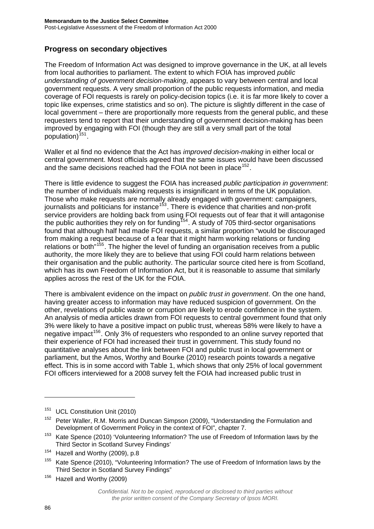#### **Progress on secondary objectives**

The Freedom of Information Act was designed to improve governance in the UK, at all levels from local authorities to parliament. The extent to which FOIA has improved *public understanding of government decision-making*, appears to vary between central and local government requests. A very small proportion of the public requests information, and media coverage of FOI requests is rarely on policy-decision topics (i.e. it is far more likely to cover a topic like expenses, crime statistics and so on). The picture is slightly different in the case of local government – there are proportionally more requests from the general public, and these requesters tend to report that their understanding of government decision-making has been improved by engaging with FOI (though they are still a very small part of the total population) $151$ .

Waller et al find no evidence that the Act has *improved decision-making* in either local or central government. Most officials agreed that the same issues would have been discussed and the same decisions reached had the FOIA not been in place<sup>[152](#page-88-1)</sup>.

There is little evidence to suggest the FOIA has increased *public participation in government*: the number of individuals making requests is insignificant in terms of the UK population. Those who make requests are normally already engaged with government: campaigners, journalists and politicians for instance<sup>[153](#page-88-2)</sup>. There is evidence that charities and non-profit service providers are holding back from using FOI requests out of fear that it will antagonise the public authorities they rely on for funding<sup>[154](#page-88-3)</sup>. A study of 705 third-sector organisations found that although half had made FOI requests, a similar proportion "would be discouraged from making a request because of a fear that it might harm working relations or funding relations or both<sup>"[155](#page-88-4)</sup>. The higher the level of funding an organisation receives from a public authority, the more likely they are to believe that using FOI could harm relations between their organisation and the public authority. The particular source cited here is from Scotland, which has its own Freedom of Information Act, but it is reasonable to assume that similarly applies across the rest of the UK for the FOIA.

There is ambivalent evidence on the impact on *public trust in government*. On the one hand, having greater access to information may have reduced suspicion of government. On the other, revelations of public waste or corruption are likely to erode confidence in the system. An analysis of media articles drawn from FOI requests to central government found that only 3% were likely to have a positive impact on public trust, whereas 58% were likely to have a negative impact<sup>[156](#page-88-5)</sup>. Only 3% of requesters who responded to an online survey reported that their experience of FOI had increased their trust in government. This study found no quantitative analyses about the link between FOI and public trust in local government or parliament, but the Amos, Worthy and Bourke (2010) research points towards a negative effect. This is in some accord with Table 1, which shows that only 25% of local government FOI officers interviewed for a 2008 survey felt the FOIA had increased public trust in

<span id="page-88-0"></span><sup>&</sup>lt;sup>151</sup> UCL Constitution Unit (2010)

<span id="page-88-1"></span><sup>&</sup>lt;sup>152</sup> Peter Waller, R.M. Morris and Duncan Simpson (2009), "Understanding the Formulation and Development of Government Policy in the context of FOI", chapter 7.

<span id="page-88-2"></span><sup>&</sup>lt;sup>153</sup> Kate Spence (2010) 'Volunteering Information? The use of Freedom of Information laws by the Third Sector in Scotland Survey Findings'

<span id="page-88-3"></span><sup>154</sup> Hazell and Worthy (2009), p.8

<span id="page-88-4"></span><sup>&</sup>lt;sup>155</sup> Kate Spence (2010), "Volunteering Information? The use of Freedom of Information laws by the Third Sector in Scotland Survey Findings"

<span id="page-88-5"></span><sup>&</sup>lt;sup>156</sup> Hazell and Worthy (2009)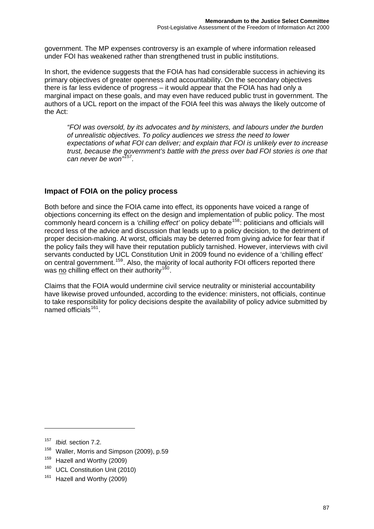government. The MP expenses controversy is an example of where information released under FOI has weakened rather than strengthened trust in public institutions.

In short, the evidence suggests that the FOIA has had considerable success in achieving its primary objectives of greater openness and accountability. On the secondary objectives there is far less evidence of progress – it would appear that the FOIA has had only a marginal impact on these goals, and may even have reduced public trust in government. The authors of a UCL report on the impact of the FOIA feel this was always the likely outcome of the Act:

*"FOI was oversold, by its advocates and by ministers, and labours under the burden of unrealistic objectives. To policy audiences we stress the need to lower expectations of what FOI can deliver; and explain that FOI is unlikely ever to increase trust, because the government's battle with the press over bad FOI stories is one that can never be won"[157](#page-89-0).* 

#### **Impact of FOIA on the policy process**

Both before and since the FOIA came into effect, its opponents have voiced a range of objections concerning its effect on the design and implementation of public policy. The most commonly heard concern is a *'chilling effect'* on policy debate<sup>[158](#page-89-1)</sup>: politicians and officials will record less of the advice and discussion that leads up to a policy decision, to the detriment of proper decision-making. At worst, officials may be deterred from giving advice for fear that if the policy fails they will have their reputation publicly tarnished. However, interviews with civil servants conducted by UCL Constitution Unit in 2009 found no evidence of a 'chilling effect' on central government.<sup>[159](#page-89-2)</sup>. Also, the majority of local authority FOI officers reported there was no chilling effect on their authority<sup>160</sup>.

Claims that the FOIA would undermine civil service neutrality or ministerial accountability have likewise proved unfounded, according to the evidence: ministers, not officials, continue to take responsibility for policy decisions despite the availability of policy advice submitted by named officials<sup>[161](#page-89-3)</sup>.

-

<span id="page-89-1"></span><sup>158</sup> Waller, Morris and Simpson (2009), p.59

<sup>160</sup> UCL Constitution Unit (2010)

<span id="page-89-0"></span><sup>157</sup> *Ibid.* section 7.2.

<span id="page-89-2"></span><sup>&</sup>lt;sup>159</sup> Hazell and Worthy (2009)

<span id="page-89-3"></span><sup>&</sup>lt;sup>161</sup> Hazell and Worthy (2009)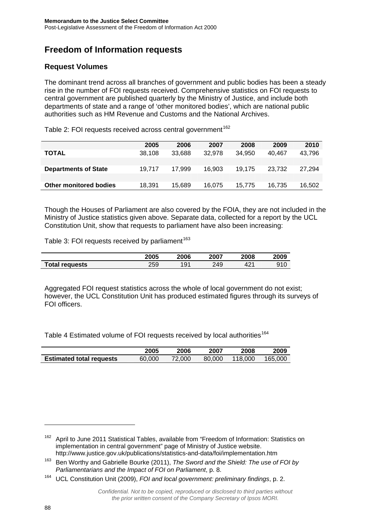## <span id="page-90-0"></span>**Freedom of Information requests**

### **Request Volumes**

The dominant trend across all branches of government and public bodies has been a steady rise in the number of FOI requests received. Comprehensive statistics on FOI requests to central government are published quarterly by the Ministry of Justice, and include both departments of state and a range of 'other monitored bodies', which are national public authorities such as HM Revenue and Customs and the National Archives.

Table 2: FOI requests received across central government<sup>[162](#page-90-1)</sup>

|                               | 2005   | 2006   | 2007   | 2008   | 2009   | 2010   |
|-------------------------------|--------|--------|--------|--------|--------|--------|
| <b>TOTAL</b>                  | 38.108 | 33.688 | 32.978 | 34.950 | 40.467 | 43,796 |
|                               |        |        |        |        |        |        |
| <b>Departments of State</b>   | 19.717 | 17.999 | 16.903 | 19.175 | 23.732 | 27.294 |
|                               |        |        |        |        |        |        |
| <b>Other monitored bodies</b> | 18,391 | 15.689 | 16.075 | 15.775 | 16.735 | 16,502 |
|                               |        |        |        |        |        |        |

Though the Houses of Parliament are also covered by the FOIA, they are not included in the Ministry of Justice statistics given above. Separate data, collected for a report by the UCL Constitution Unit, show that requests to parliament have also been increasing:

Table 3: FOI requests received by parliament<sup>[163](#page-90-2)</sup>

|                       | 2005 | 2006                | 2007 | 2008            | 2009 |
|-----------------------|------|---------------------|------|-----------------|------|
| <b>Total requests</b> | 259  | Q <sub>1</sub><br>◡ | 249  | 42 <sup>4</sup> | 910  |

Aggregated FOI request statistics across the whole of local government do not exist; however, the UCL Constitution Unit has produced estimated figures through its surveys of FOI officers.

Table 4 Estimated volume of FOI requests received by local authorities<sup>[164](#page-90-3)</sup>

|                                 | 2005   | 2006   | 2007   | 2008    | 2009    |
|---------------------------------|--------|--------|--------|---------|---------|
| <b>Estimated total requests</b> | 60.000 | 72,000 | 80,000 | 118,000 | 165.000 |

<span id="page-90-1"></span><sup>&</sup>lt;sup>162</sup> April to June 2011 Statistical Tables, available from "Freedom of Information: Statistics on implementation in central government" page of Ministry of Justice website. http://www.justice.gov.uk/publications/statistics-and-data/foi/implementation.htm

<span id="page-90-2"></span><sup>163</sup> Ben Worthy and Gabrielle Bourke (2011), *The Sword and the Shield: The use of FOI by Parliamentarians and the Impact of FOI on Parliament*, p. 8.

<span id="page-90-3"></span><sup>164</sup> UCL Constitution Unit (2009), *FOI and local government: preliminary findings*, p. 2.

*Confidential. Not to be copied, reproduced or disclosed to third parties without the prior written consent of the Company Secretary of Ipsos MORI.*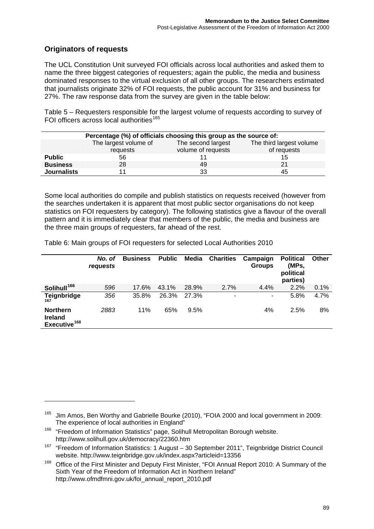### **Originators of requests**

-

The UCL Constitution Unit surveyed FOI officials across local authorities and asked them to name the three biggest categories of requesters; again the public, the media and business dominated responses to the virtual exclusion of all other groups. The researchers estimated that journalists originate 32% of FOI requests, the public account for 31% and business for 27%. The raw response data from the survey are given in the table below:

Table 5 – Requesters responsible for the largest volume of requests according to survey of FOI officers across local authorities<sup>[165](#page-91-0)</sup>

|                    | Percentage (%) of officials choosing this group as the source of:                                                        |    |    |  |  |  |  |  |
|--------------------|--------------------------------------------------------------------------------------------------------------------------|----|----|--|--|--|--|--|
|                    | The largest volume of<br>The third largest volume<br>The second largest<br>volume of requests<br>of requests<br>requests |    |    |  |  |  |  |  |
| <b>Public</b>      | 56                                                                                                                       |    | 15 |  |  |  |  |  |
| <b>Business</b>    | 28                                                                                                                       | 49 | 21 |  |  |  |  |  |
| <b>Journalists</b> |                                                                                                                          | 33 | 45 |  |  |  |  |  |

Some local authorities do compile and publish statistics on requests received (however from the searches undertaken it is apparent that most public sector organisations do not keep statistics on FOI requesters by category). The following statistics give a flavour of the overall pattern and it is immediately clear that members of the public, the media and business are the three main groups of requesters, far ahead of the rest.

Table 6: Main groups of FOI requesters for selected Local Authorities 2010

|                                                               | No. of<br>requests | <b>Business</b> | <b>Public</b> | Media | <b>Charities</b> | Campaign<br><b>Groups</b> | <b>Political</b><br>(MPs,<br>political<br>parties) | <b>Other</b> |
|---------------------------------------------------------------|--------------------|-----------------|---------------|-------|------------------|---------------------------|----------------------------------------------------|--------------|
| Solihull <sup>166</sup>                                       | 596                | 17.6%           | 43.1%         | 28.9% | 2.7%             | 4.4%                      | 2.2%                                               | 0.1%         |
| Teignbridge<br>167                                            | 356                | 35.8%           | 26.3%         | 27.3% | ۰                | ۰                         | 5.8%                                               | 4.7%         |
| <b>Northern</b><br><b>Ireland</b><br>Executive <sup>168</sup> | 2883               | 11%             | 65%           | 9.5%  |                  | 4%                        | 2.5%                                               | 8%           |

<span id="page-91-0"></span><sup>&</sup>lt;sup>165</sup> Jim Amos, Ben Worthy and Gabrielle Bourke (2010), "FOIA 2000 and local government in 2009: The experience of local authorities in England"

<span id="page-91-1"></span><sup>&</sup>lt;sup>166</sup> "Freedom of Information Statistics" page, Solihull Metropolitan Borough website. http://www.solihull.gov.uk/democracy/22360.htm

<span id="page-91-2"></span><sup>&</sup>lt;sup>167</sup> "Freedom of Information Statistics: 1 August - 30 September 2011", Teignbridge District Council website. http://www.teignbridge.gov.uk/index.aspx?articleid=13356

<span id="page-91-3"></span><sup>&</sup>lt;sup>168</sup> Office of the First Minister and Deputy First Minister, "FOI Annual Report 2010: A Summary of the Sixth Year of the Freedom of Information Act in Northern Ireland" http://www.ofmdfmni.gov.uk/foi\_annual\_report\_2010.pdf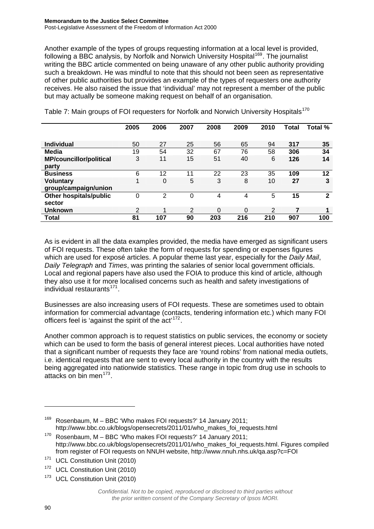Another example of the types of groups requesting information at a local level is provided, following a BBC analysis, by Norfolk and Norwich University Hospital<sup>[169](#page-92-0)</sup>. The journalist writing the BBC article commented on being unaware of any other public authority providing such a breakdown. He was mindful to note that this should not been seen as representative of other public authorities but provides an example of the types of requesters one authority receives. He also raised the issue that 'individual' may not represent a member of the public but may actually be someone making request on behalf of an organisation.

|                                | 2005           | 2006 | 2007 | 2008 | 2009 | 2010           | Total | Total %      |
|--------------------------------|----------------|------|------|------|------|----------------|-------|--------------|
| <b>Individual</b>              | 50             | 27   | 25   | 56   | 65   | 94             | 317   | 35           |
| <b>Media</b>                   | 19             | 54   | 32   | 67   | 76   | 58             | 306   | 34           |
| <b>MP/councillor/political</b> | 3              | 11   | 15   | 51   | 40   | 6              | 126   | 14           |
| party                          |                |      |      |      |      |                |       |              |
| <b>Business</b>                | 6              | 12   | 11   | 22   | 23   | 35             | 109   | 12           |
| <b>Voluntary</b>               | 1              | 0    | 5    | 3    | 8    | 10             | 27    | 3            |
| group/campaign/union           |                |      |      |      |      |                |       |              |
| Other hospitals/public         | 0              | 2    | 0    | 4    | 4    | 5              | 15    | $\mathbf{2}$ |
| sector                         |                |      |      |      |      |                |       |              |
| <b>Unknown</b>                 | $\overline{2}$ | 1    | 2    | 0    | 0    | $\overline{2}$ | 7     | 1            |
| <b>Total</b>                   | 81             | 107  | 90   | 203  | 216  | 210            | 907   | 100          |

Table 7: Main groups of FOI requesters for Norfolk and Norwich University Hospitals<sup>[170](#page-92-1)</sup>

As is evident in all the data examples provided, the media have emerged as significant users of FOI requests. These often take the form of requests for spending or expenses figures which are used for exposé articles. A popular theme last year, especially for the *Daily Mail*, *Daily Telegraph* and *Times*, was printing the salaries of senior local government officials. Local and regional papers have also used the FOIA to produce this kind of article, although they also use it for more localised concerns such as health and safety investigations of  $individual restaurants<sup>171</sup>$  $individual restaurants<sup>171</sup>$  $individual restaurants<sup>171</sup>$ .

Businesses are also increasing users of FOI requests. These are sometimes used to obtain information for commercial advantage (contacts, tendering information etc.) which many FOI officers feel is 'against the spirit of the act'<sup>[172](#page-92-3)</sup>.

Another common approach is to request statistics on public services, the economy or society which can be used to form the basis of general interest pieces. Local authorities have noted that a significant number of requests they face are 'round robins' from national media outlets, i.e. identical requests that are sent to every local authority in the country with the results being aggregated into nationwide statistics. These range in topic from drug use in schools to attacks on bin men<sup>[173](#page-92-4)</sup>.

<span id="page-92-0"></span><sup>169</sup> Rosenbaum, M – BBC 'Who makes FOI requests?' 14 January 2011; http://www.bbc.co.uk/blogs/opensecrets/2011/01/who\_makes\_foi\_requests.html

<span id="page-92-1"></span> $170$  Rosenbaum, M – BBC 'Who makes FOI requests?' 14 January 2011; http://www.bbc.co.uk/blogs/opensecrets/2011/01/who\_makes\_foi\_requests.html. Figures compiled from register of FOI requests on NNUH website, http://www.nnuh.nhs.uk/qa.asp?c=FOI

<span id="page-92-2"></span><sup>&</sup>lt;sup>171</sup> UCL Constitution Unit (2010)

<span id="page-92-3"></span><sup>&</sup>lt;sup>172</sup> UCL Constitution Unit (2010)

<span id="page-92-4"></span><sup>&</sup>lt;sup>173</sup> UCL Constitution Unit (2010)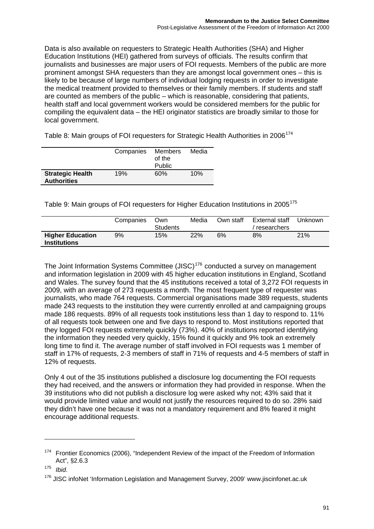Data is also available on requesters to Strategic Health Authorities (SHA) and Higher Education Institutions (HEI) gathered from surveys of officials. The results confirm that journalists and businesses are major users of FOI requests. Members of the public are more prominent amongst SHA requesters than they are amongst local government ones – this is likely to be because of large numbers of individual lodging requests in order to investigate the medical treatment provided to themselves or their family members. If students and staff are counted as members of the public – which is reasonable, considering that patients, health staff and local government workers would be considered members for the public for compiling the equivalent data – the HEI originator statistics are broadly similar to those for local government.

Table 8: Main groups of FOI requesters for Strategic Health Authorities in 2006<sup>[174](#page-93-0)</sup>

|                                               | Companies | Members<br>of the<br>Public | Media |
|-----------------------------------------------|-----------|-----------------------------|-------|
| <b>Strategic Health</b><br><b>Authorities</b> | 19%       | 60%                         | 10%   |

Table 9: Main groups of FOI requesters for Higher Education Institutions in 2005<sup>[175](#page-93-1)</sup>

|                                                | Companies | Own<br><b>Students</b> | Media | Own staff | External staff<br>researchers | Unknown |
|------------------------------------------------|-----------|------------------------|-------|-----------|-------------------------------|---------|
| <b>Higher Education</b><br><b>Institutions</b> | 9%        | 15%                    | 22%   | 6%        | 8%                            | 21%     |

The Joint Information Systems Committee (JISC)<sup>[176](#page-93-2)</sup> conducted a survey on management and information legislation in 2009 with 45 higher education institutions in England, Scotland and Wales. The survey found that the 45 institutions received a total of 3,272 FOI requests in 2009, with an average of 273 requests a month. The most frequent type of requester was journalists, who made 764 requests. Commercial organisations made 389 requests, students made 243 requests to the institution they were currently enrolled at and campaigning groups made 186 requests. 89% of all requests took institutions less than 1 day to respond to. 11% of all requests took between one and five days to respond to. Most institutions reported that they logged FOI requests extremely quickly (73%). 40% of institutions reported identifying the information they needed very quickly, 15% found it quickly and 9% took an extremely long time to find it. The average number of staff involved in FOI requests was 1 member of staff in 17% of requests, 2-3 members of staff in 71% of requests and 4-5 members of staff in 12% of requests.

Only 4 out of the 35 institutions published a disclosure log documenting the FOI requests they had received, and the answers or information they had provided in response. When the 39 institutions who did not publish a disclosure log were asked why not; 43% said that it would provide limited value and would not justify the resources required to do so. 28% said they didn't have one because it was not a mandatory requirement and 8% feared it might encourage additional requests.

 $\overline{a}$ 

<span id="page-93-0"></span> $174$  Frontier Economics (2006), "Independent Review of the impact of the Freedom of Information Act",  $\S$ 2.6.3<br><sup>175</sup> *Ihid* 

<span id="page-93-1"></span>

<span id="page-93-2"></span><sup>&</sup>lt;sup>176</sup> JISC infoNet 'Information Legislation and Management Survey, 2009' www.jiscinfonet.ac.uk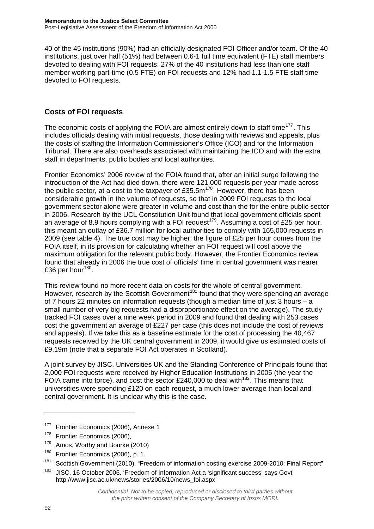40 of the 45 institutions (90%) had an officially designated FOI Officer and/or team. Of the 40 institutions, just over half (51%) had between 0.6-1 full time equivalent (FTE) staff members devoted to dealing with FOI requests. 27% of the 40 institutions had less than one staff member working part-time (0.5 FTE) on FOI requests and 12% had 1.1-1.5 FTE staff time devoted to FOI requests.

### **Costs of FOI requests**

The economic costs of applying the FOIA are almost entirely down to staff time<sup>[177](#page-94-0)</sup>. This includes officials dealing with initial requests, those dealing with reviews and appeals, plus the costs of staffing the Information Commissioner's Office (ICO) and for the Information Tribunal. There are also overheads associated with maintaining the ICO and with the extra staff in departments, public bodies and local authorities.

Frontier Economics' 2006 review of the FOIA found that, after an initial surge following the introduction of the Act had died down, there were 121,000 requests per year made across the public sector, at a cost to the taxpayer of  $£35.5m^{178}$  $£35.5m^{178}$  $£35.5m^{178}$ . However, there has been considerable growth in the volume of requests, so that in 2009 FOI requests to the local government sector alone were greater in volume and cost than the for the entire public sector in 2006. Research by the UCL Constitution Unit found that local government officials spent an average of 8.9 hours complying with a FOI request<sup>[179](#page-94-2)</sup>. Assuming a cost of £25 per hour, this meant an outlay of £36.7 million for local authorities to comply with 165,000 requests in 2009 (see table 4). The true cost may be higher: the figure of £25 per hour comes from the FOIA itself, in its provision for calculating whether an FOI request will cost above the maximum obligation for the relevant public body. However, the Frontier Economics review found that already in 2006 the true cost of officials' time in central government was nearer £36 per hour $180$ .

This review found no more recent data on costs for the whole of central government. However, research by the Scottish Government<sup>[181](#page-94-4)</sup> found that they were spending an average of 7 hours 22 minutes on information requests (though a median time of just 3 hours – a small number of very big requests had a disproportionate effect on the average). The study tracked FOI cases over a nine week period in 2009 and found that dealing with 253 cases cost the government an average of £227 per case (this does not include the cost of reviews and appeals). If we take this as a baseline estimate for the cost of processing the 40,467 requests received by the UK central government in 2009, it would give us estimated costs of £9.19m (note that a separate FOI Act operates in Scotland).

A joint survey by JISC, Universities UK and the Standing Conference of Principals found that 2,000 FOI requests were received by Higher Education Institutions in 2005 (the year the FOIA came into force), and cost the sector £240,000 to deal with  $182$ . This means that universities were spending £120 on each request, a much lower average than local and central government. It is unclear why this is the case.

 $\overline{a}$ 

<span id="page-94-0"></span><sup>&</sup>lt;sup>177</sup> Frontier Economics (2006), Annexe 1

<span id="page-94-1"></span><sup>&</sup>lt;sup>178</sup> Frontier Economics (2006),

<span id="page-94-2"></span><sup>&</sup>lt;sup>179</sup> Amos, Worthy and Bourke (2010)

<span id="page-94-3"></span><sup>&</sup>lt;sup>180</sup> Frontier Economics (2006), p. 1.

<span id="page-94-4"></span><sup>&</sup>lt;sup>181</sup> Scottish Government (2010), "Freedom of information costing exercise 2009-2010: Final Report"

<span id="page-94-5"></span><sup>&</sup>lt;sup>182</sup> JISC, 16 October 2006. 'Freedom of Information Act a 'significant success' says Govt' http://www.jisc.ac.uk/news/stories/2006/10/news\_foi.aspx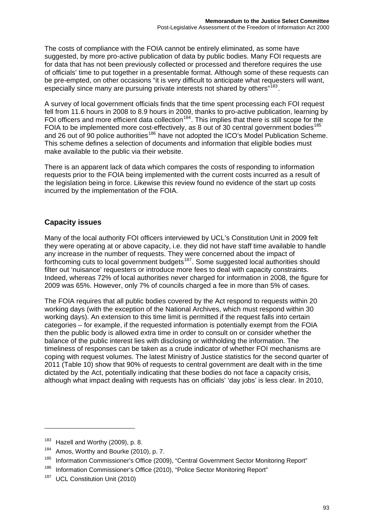The costs of compliance with the FOIA cannot be entirely eliminated, as some have suggested, by more pro-active publication of data by public bodies. Many FOI requests are for data that has not been previously collected or processed and therefore requires the use of officials' time to put together in a presentable format. Although some of these requests can be pre-empted, on other occasions "it is very difficult to anticipate what requesters will want, especially since many are pursuing private interests not shared by others"<sup>[183](#page-95-0)</sup>.

A survey of local government officials finds that the time spent processing each FOI request fell from 11.6 hours in 2008 to 8.9 hours in 2009, thanks to pro-active publication, learning by FOI officers and more efficient data collection<sup>[184](#page-95-1)</sup>. This implies that there is still scope for the FOIA to be implemented more cost-effectively, as 8 out of 30 central government bodies<sup>[185](#page-95-2)</sup> and 26 out of 90 police authorities<sup>[186](#page-95-3)</sup> have not adopted the ICO's Model Publication Scheme. This scheme defines a selection of documents and information that eligible bodies must make available to the public via their website.

There is an apparent lack of data which compares the costs of responding to information requests prior to the FOIA being implemented with the current costs incurred as a result of the legislation being in force. Likewise this review found no evidence of the start up costs incurred by the implementation of the FOIA.

### **Capacity issues**

Many of the local authority FOI officers interviewed by UCL's Constitution Unit in 2009 felt they were operating at or above capacity, i.e. they did not have staff time available to handle any increase in the number of requests. They were concerned about the impact of forthcoming cuts to local government budgets<sup>[187](#page-95-4)</sup>. Some suggested local authorities should filter out 'nuisance' requesters or introduce more fees to deal with capacity constraints. Indeed, whereas 72% of local authorities never charged for information in 2008, the figure for 2009 was 65%. However, only 7% of councils charged a fee in more than 5% of cases.

The FOIA requires that all public bodies covered by the Act respond to requests within 20 working days (with the exception of the National Archives, which must respond within 30 working days). An extension to this time limit is permitted if the request falls into certain categories – for example, if the requested information is potentially exempt from the FOIA then the public body is allowed extra time in order to consult on or consider whether the balance of the public interest lies with disclosing or withholding the information. The timeliness of responses can be taken as a crude indicator of whether FOI mechanisms are coping with request volumes. The latest Ministry of Justice statistics for the second quarter of 2011 (Table 10) show that 90% of requests to central government are dealt with in the time dictated by the Act, potentially indicating that these bodies do not face a capacity crisis, although what impact dealing with requests has on officials' 'day jobs' is less clear. In 2010,

<span id="page-95-0"></span> $183$  Hazell and Worthy (2009), p. 8.

<span id="page-95-1"></span><sup>&</sup>lt;sup>184</sup> Amos, Worthy and Bourke (2010), p. 7.

<span id="page-95-2"></span><sup>&</sup>lt;sup>185</sup> Information Commissioner's Office (2009), "Central Government Sector Monitoring Report"

<span id="page-95-3"></span><sup>&</sup>lt;sup>186</sup> Information Commissioner's Office (2010), "Police Sector Monitoring Report"

<span id="page-95-4"></span><sup>&</sup>lt;sup>187</sup> UCL Constitution Unit (2010)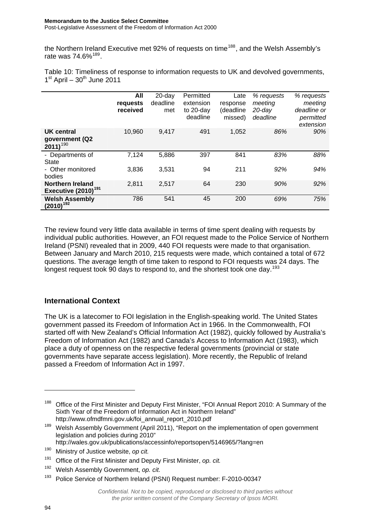#### **Memorandum to the Justice Select Committee**  Post-Legislative Assessment of the Freedom of Information Act 2000

the Northern Ireland Executive met 92% of requests on time<sup>[188](#page-96-0)</sup>, and the Welsh Assembly's rate was 74.6%<sup>[189](#page-96-1)</sup>.

Table 10: Timeliness of response to information requests to UK and devolved governments,  $1<sup>st</sup>$  April –  $30<sup>th</sup>$  June 2011

|                                                            | All<br>requests<br>received | $20$ -day<br>deadline<br>met | Permitted<br>extension<br>to 20-day<br>deadline | Late<br>response<br>(deadline<br>missed) | % requests<br>meeting<br>$20$ -day<br>deadline | % requests<br>meeting<br>deadline or<br>permitted<br>extension |
|------------------------------------------------------------|-----------------------------|------------------------------|-------------------------------------------------|------------------------------------------|------------------------------------------------|----------------------------------------------------------------|
| UK central<br>government (Q2<br>$2011$ <sup>190</sup>      | 10,960                      | 9.417                        | 491                                             | 1,052                                    | 86%                                            | 90%                                                            |
| - Departments of<br><b>State</b>                           | 7,124                       | 5,886                        | 397                                             | 841                                      | 83%                                            | 88%                                                            |
| - Other monitored<br>bodies                                | 3,836                       | 3,531                        | 94                                              | 211                                      | 92%                                            | 94%                                                            |
| <b>Northern Ireland</b><br>Executive (2010) <sup>191</sup> | 2,811                       | 2,517                        | 64                                              | 230                                      | 90%                                            | 92%                                                            |
| <b>Welsh Assembly</b><br>$(2010)^{192}$                    | 786                         | 541                          | 45                                              | 200                                      | 69%                                            | 75%                                                            |

The review found very little data available in terms of time spent dealing with requests by individual public authorities. However, an FOI request made to the Police Service of Northern Ireland (PSNI) revealed that in 2009, 440 FOI requests were made to that organisation. Between January and March 2010, 215 requests were made, which contained a total of 672 questions. The average length of time taken to respond to FOI requests was 24 days. The longest request took 90 days to respond to, and the shortest took one day.<sup>[193](#page-96-5)</sup>

#### **International Context**

The UK is a latecomer to FOI legislation in the English-speaking world. The United States government passed its Freedom of Information Act in 1966. In the Commonwealth, FOI started off with New Zealand's Official Information Act (1982), quickly followed by Australia's Freedom of Information Act (1982) and Canada's Access to Information Act (1983), which place a duty of openness on the respective federal governments (provincial or state governments have separate access legislation). More recently, the Republic of Ireland passed a Freedom of Information Act in 1997.

 $\overline{a}$ 

<span id="page-96-0"></span><sup>&</sup>lt;sup>188</sup> Office of the First Minister and Deputy First Minister, "FOI Annual Report 2010: A Summary of the Sixth Year of the Freedom of Information Act in Northern Ireland" http://www.ofmdfmni.gov.uk/foi\_annual\_report\_2010.pdf

<span id="page-96-1"></span> $189$  Welsh Assembly Government (April 2011), "Report on the implementation of open government legislation and policies during 2010"

http://wales.gov.uk/publications/accessinfo/reportsopen/5146965/?lang=en

<span id="page-96-2"></span><sup>190</sup> Ministry of Justice website, *op cit.*

<span id="page-96-3"></span><sup>191</sup> Office of the First Minister and Deputy First Minister, *op. cit.*

<span id="page-96-4"></span><sup>192</sup> Welsh Assembly Government, *op. cit.*

<span id="page-96-5"></span><sup>&</sup>lt;sup>193</sup> Police Service of Northern Ireland (PSNI) Request number: F-2010-00347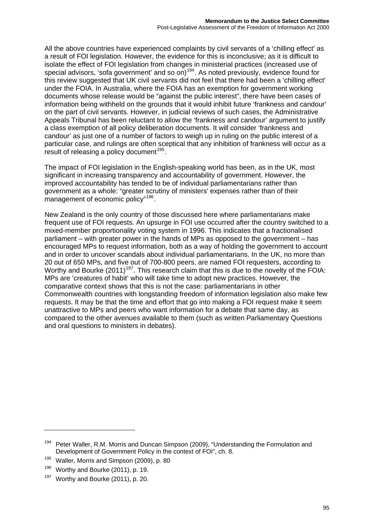All the above countries have experienced complaints by civil servants of a 'chilling effect' as a result of FOI legislation. However, the evidence for this is inconclusive; as it is difficult to isolate the effect of FOI legislation from changes in ministerial practices (increased use of special advisors, 'sofa government' and so on)<sup>[194](#page-97-0)</sup>. As noted previously, evidence found for this review suggested that UK civil servants did not feel that there had been a 'chilling effect' under the FOIA. In Australia, where the FOIA has an exemption for government working documents whose release would be "against the public interest", there have been cases of information being withheld on the grounds that it would inhibit future 'frankness and candour' on the part of civil servants. However, in judicial reviews of such cases, the Administrative Appeals Tribunal has been reluctant to allow the 'frankness and candour' argument to justify a class exemption of all policy deliberation documents. It will consider 'frankness and candour' as just one of a number of factors to weigh up in ruling on the public interest of a particular case, and rulings are often sceptical that any inhibition of frankness will occur as a result of releasing a policy document<sup>[195](#page-97-1)</sup>.

The impact of FOI legislation in the English-speaking world has been, as in the UK, most significant in increasing transparency and accountability of government. However, the improved accountability has tended to be of individual parliamentarians rather than government as a whole: "greater scrutiny of ministers' expenses rather than of their management of economic policy"<sup>[196](#page-97-2)</sup>.

New Zealand is the only country of those discussed here where parliamentarians make frequent use of FOI requests. An upsurge in FOI use occurred after the country switched to a mixed-member proportionality voting system in 1996. This indicates that a fractionalised parliament – with greater power in the hands of MPs as opposed to the government – has encouraged MPs to request information, both as a way of holding the government to account and in order to uncover scandals about individual parliamentarians. In the UK, no more than 20 out of 650 MPs, and five out of 700-800 peers, are named FOI requesters, according to Worthy and Bourke (2011)<sup>[197](#page-97-3)</sup>. This research claim that this is due to the novelty of the FOIA: MPs are 'creatures of habit' who will take time to adopt new practices. However, the comparative context shows that this is not the case: parliamentarians in other Commonwealth countries with longstanding freedom of information legislation also make few requests. It may be that the time and effort that go into making a FOI request make it seem unattractive to MPs and peers who want information for a debate that same day, as compared to the other avenues available to them (such as written Parliamentary Questions and oral questions to ministers in debates).

<span id="page-97-0"></span><sup>&</sup>lt;sup>194</sup> Peter Waller, R.M. Morris and Duncan Simpson (2009), "Understanding the Formulation and Development of Government Policy in the context of FOI", ch. 8.

<span id="page-97-1"></span><sup>&</sup>lt;sup>195</sup> Waller, Morris and Simpson (2009), p. 80

<span id="page-97-2"></span> $196$  Worthy and Bourke (2011), p. 19.

<span id="page-97-3"></span> $197$  Worthy and Bourke (2011), p. 20.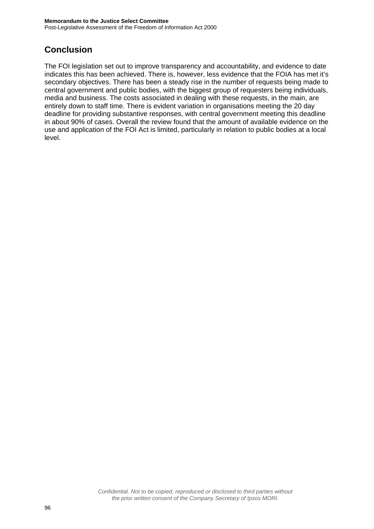## <span id="page-98-0"></span>**Conclusion**

The FOI legislation set out to improve transparency and accountability, and evidence to date indicates this has been achieved. There is, however, less evidence that the FOIA has met it's secondary objectives. There has been a steady rise in the number of requests being made to central government and public bodies, with the biggest group of requesters being individuals, media and business. The costs associated in dealing with these requests, in the main, are entirely down to staff time. There is evident variation in organisations meeting the 20 day deadline for providing substantive responses, with central government meeting this deadline in about 90% of cases. Overall the review found that the amount of available evidence on the use and application of the FOI Act is limited, particularly in relation to public bodies at a local level.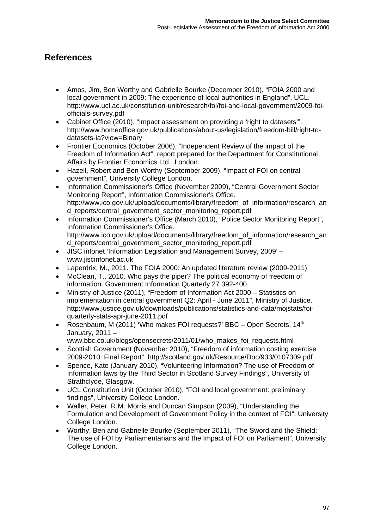## <span id="page-99-0"></span>**References**

- Amos, Jim, Ben Worthy and Gabrielle Bourke (December 2010), "FOIA 2000 and local government in 2009: The experience of local authorities in England", UCL. [http://www.ucl.ac.uk/constitution-unit/research/foi/foi-and-local-government/2009-foi](http://www.ucl.ac.uk/constitution-unit/research/foi/foi-and-local-government/2009-foi-officials-survey.pdf)[officials-survey.pdf](http://www.ucl.ac.uk/constitution-unit/research/foi/foi-and-local-government/2009-foi-officials-survey.pdf)
- Cabinet Office (2010), "Impact assessment on providing a 'right to datasets'". [http://www.homeoffice.gov.uk/publications/about-us/legislation/freedom-bill/right-to](http://www.homeoffice.gov.uk/publications/about-us/legislation/freedom-bill/right-to-datasets-ia?view=Binary)[datasets-ia?view=Binary](http://www.homeoffice.gov.uk/publications/about-us/legislation/freedom-bill/right-to-datasets-ia?view=Binary)
- Frontier Economics (October 2006), "Independent Review of the impact of the Freedom of Information Act", report prepared for the Department for Constitutional Affairs by Frontier Economics Ltd., London.
- Hazell, Robert and Ben Worthy (September 2009), "Impact of FOI on central government", University College London.
- Information Commissioner's Office (November 2009), "Central Government Sector Monitoring Report", Information Commissioner's Office. [http://www.ico.gov.uk/upload/documents/library/freedom\\_of\\_information/research\\_an](http://www.ico.gov.uk/upload/documents/library/freedom_of_information/research_and_reports/central_government_sector_monitoring_report.pdf) [d\\_reports/central\\_government\\_sector\\_monitoring\\_report.pdf](http://www.ico.gov.uk/upload/documents/library/freedom_of_information/research_and_reports/central_government_sector_monitoring_report.pdf)
- Information Commissioner's Office (March 2010), "Police Sector Monitoring Report", Information Commissioner's Office. [http://www.ico.gov.uk/upload/documents/library/freedom\\_of\\_information/research\\_an](http://www.ico.gov.uk/upload/documents/library/freedom_of_information/research_and_reports/central_government_sector_monitoring_report.pdf) [d\\_reports/central\\_government\\_sector\\_monitoring\\_report.pdf](http://www.ico.gov.uk/upload/documents/library/freedom_of_information/research_and_reports/central_government_sector_monitoring_report.pdf)
- JISC infonet 'Information Legislation and Management Survey, 2009' [www.jiscinfonet.ac.uk](http://www.jiscinfonet.ac.uk/)
- Laperdrix, M., 2011. The FOIA 2000: An updated literature review (2009-2011)
- McClean, T., 2010. Who pays the piper? The political economy of freedom of information. Government Information Quarterly 27 392-400.
- Ministry of Justice (2011), "Freedom of Information Act 2000 Statistics on implementation in central government Q2: April - June 2011", Ministry of Justice. [http://www.justice.gov.uk/downloads/publications/statistics-and-data/mojstats/foi](http://www.justice.gov.uk/downloads/publications/statistics-and-data/mojstats/foi-quarterly-stats-apr-june-2011.pdf)[quarterly-stats-apr-june-2011.pdf](http://www.justice.gov.uk/downloads/publications/statistics-and-data/mojstats/foi-quarterly-stats-apr-june-2011.pdf)
- Rosenbaum, M (2011) 'Who makes FOI requests?' BBC Open Secrets, 14<sup>th</sup> January, 2011 –

www.bbc.co.uk/blogs/opensecrets/2011/01/who\_makes\_foi\_requests.html

- Scottish Government (November 2010), "Freedom of information costing exercise 2009-2010: Final Report".<http://scotland.gov.uk/Resource/Doc/933/0107309.pdf>
- Spence, Kate (January 2010), "Volunteering Information? The use of Freedom of Information laws by the Third Sector in Scotland Survey Findings", University of Strathclyde, Glasgow.
- UCL Constitution Unit (October 2010), "FOI and local government: preliminary findings", University College London.
- Waller, Peter, R.M. Morris and Duncan Simpson (2009), "Understanding the Formulation and Development of Government Policy in the context of FOI", University College London.
- Worthy, Ben and Gabrielle Bourke (September 2011), "The Sword and the Shield: The use of FOI by Parliamentarians and the Impact of FOI on Parliament", University College London.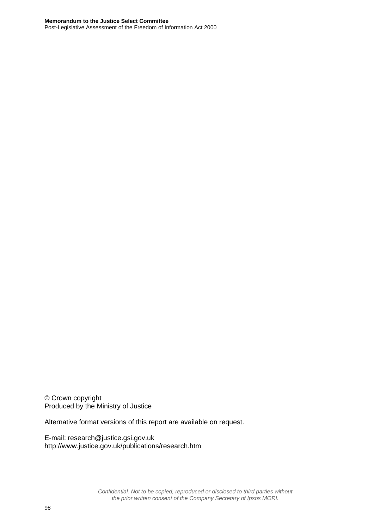#### **Memorandum to the Justice Select Committee**

Post-Legislative Assessment of the Freedom of Information Act 2000

© Crown copyright Produced by the Ministry of Justice

Alternative format versions of this report are available on request.

E-mail: [research@justice.gsi.gov.uk](mailto:research@justice.gsi.gov.uk)  <http://www.justice.gov.uk/publications/research.htm>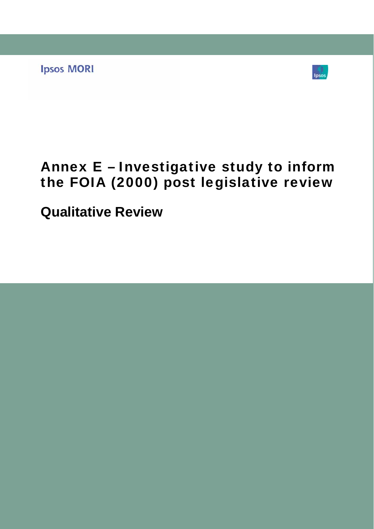**Ipsos MORI** 



## Annex E – Investigative study to inform the FOIA (2000) post legislative review

**Qualitative Review**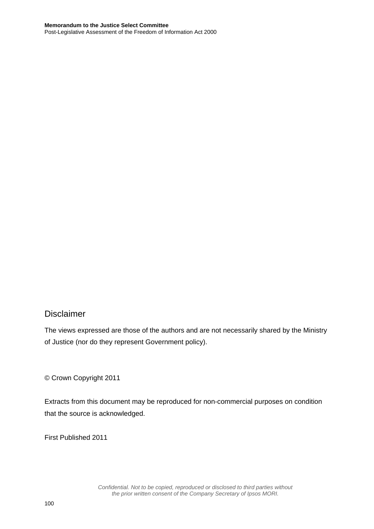### Disclaimer

The views expressed are those of the authors and are not necessarily shared by the Ministry of Justice (nor do they represent Government policy).

© Crown Copyright 2011

Extracts from this document may be reproduced for non-commercial purposes on condition that the source is acknowledged.

First Published 2011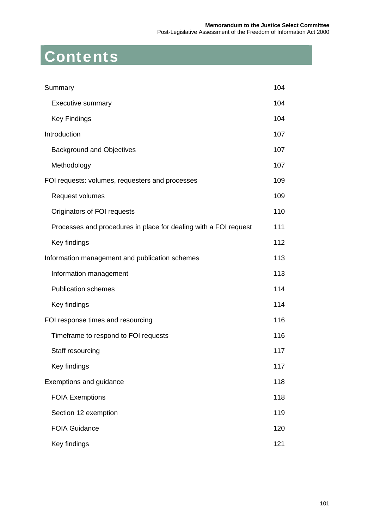#### **Memorandum to the Justice Select Committee**  Post-Legislative Assessment of the Freedom of Information Act 2000

# Contents

| Summary                                                          | 104 |
|------------------------------------------------------------------|-----|
| <b>Executive summary</b>                                         | 104 |
| <b>Key Findings</b>                                              | 104 |
| Introduction                                                     | 107 |
| <b>Background and Objectives</b>                                 | 107 |
| Methodology                                                      | 107 |
| FOI requests: volumes, requesters and processes                  | 109 |
| Request volumes                                                  | 109 |
| Originators of FOI requests                                      | 110 |
| Processes and procedures in place for dealing with a FOI request | 111 |
| Key findings                                                     | 112 |
| Information management and publication schemes                   | 113 |
| Information management                                           | 113 |
| <b>Publication schemes</b>                                       | 114 |
| Key findings                                                     | 114 |
| FOI response times and resourcing                                | 116 |
| Timeframe to respond to FOI requests                             | 116 |
| Staff resourcing                                                 | 117 |
| Key findings                                                     | 117 |
| Exemptions and guidance                                          | 118 |
| <b>FOIA Exemptions</b>                                           | 118 |
| Section 12 exemption                                             | 119 |
| <b>FOIA Guidance</b>                                             | 120 |
| Key findings                                                     | 121 |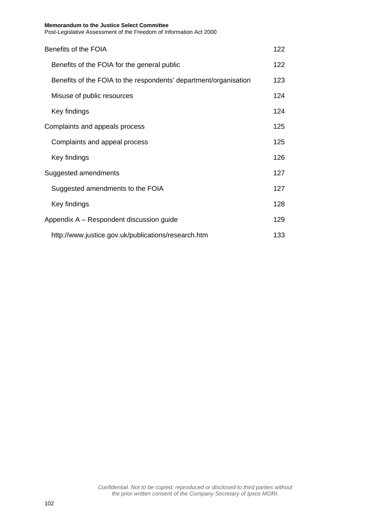| Benefits of the FOIA                                             | 122 |
|------------------------------------------------------------------|-----|
| Benefits of the FOIA for the general public                      | 122 |
| Benefits of the FOIA to the respondents' department/organisation | 123 |
| Misuse of public resources                                       | 124 |
| Key findings                                                     | 124 |
| Complaints and appeals process                                   | 125 |
| Complaints and appeal process                                    | 125 |
| Key findings                                                     | 126 |
| Suggested amendments                                             | 127 |
| Suggested amendments to the FOIA                                 | 127 |
| Key findings                                                     | 128 |
| Appendix A - Respondent discussion guide                         | 129 |
| http://www.justice.gov.uk/publications/research.htm              | 133 |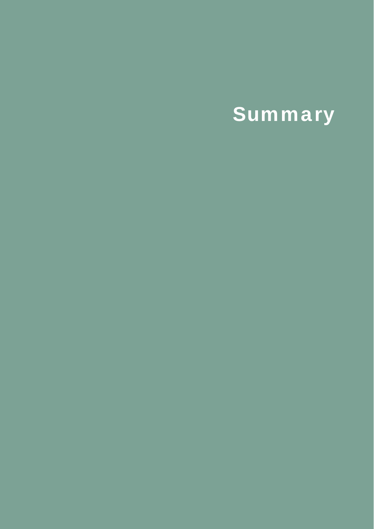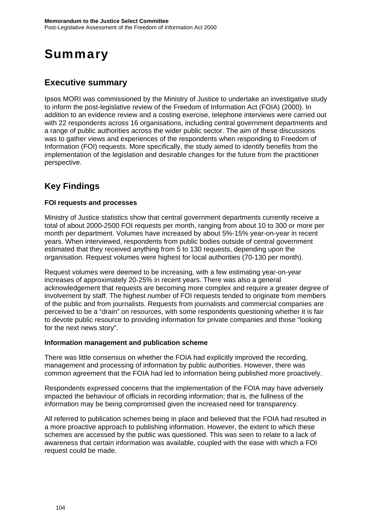## <span id="page-106-0"></span>**Summary**

## <span id="page-106-1"></span>**Executive summary**

Ipsos MORI was commissioned by the Ministry of Justice to undertake an investigative study to inform the post-legislative review of the Freedom of Information Act (FOIA) (2000). In addition to an evidence review and a costing exercise, telephone interviews were carried out with 22 respondents across 16 organisations, including central government departments and a range of public authorities across the wider public sector. The aim of these discussions was to gather views and experiences of the respondents when responding to Freedom of Information (FOI) requests. More specifically, the study aimed to identify benefits from the implementation of the legislation and desirable changes for the future from the practitioner perspective.

## <span id="page-106-2"></span>**Key Findings**

#### **FOI requests and processes**

Ministry of Justice statistics show that central government departments currently receive a total of about 2000-2500 FOI requests per month, ranging from about 10 to 300 or more per month per department. Volumes have increased by about 5%-15% year-on-year in recent years. When interviewed, respondents from public bodies outside of central government estimated that they received anything from 5 to 130 requests, depending upon the organisation. Request volumes were highest for local authorities (70-130 per month).

Request volumes were deemed to be increasing, with a few estimating year-on-year increases of approximately 20-25% in recent years. There was also a general acknowledgement that requests are becoming more complex and require a greater degree of involvement by staff. The highest number of FOI requests tended to originate from members of the public and from journalists. Requests from journalists and commercial companies are perceived to be a "drain" on resources, with some respondents questioning whether it is fair to devote public resource to providing information for private companies and those "looking for the next news story".

#### **Information management and publication scheme**

There was little consensus on whether the FOIA had explicitly improved the recording, management and processing of information by public authorities. However, there was common agreement that the FOIA had led to information being published more proactively.

Respondents expressed concerns that the implementation of the FOIA may have adversely impacted the behaviour of officials in recording information; that is, the fullness of the information may be being compromised given the increased need for transparency.

All referred to publication schemes being in place and believed that the FOIA had resulted in a more proactive approach to publishing information. However, the extent to which these schemes are accessed by the public was questioned. This was seen to relate to a lack of awareness that certain information was available, coupled with the ease with which a FOI request could be made.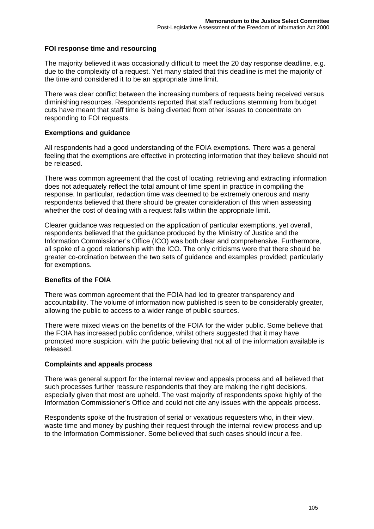#### **FOI response time and resourcing**

The majority believed it was occasionally difficult to meet the 20 day response deadline, e.g. due to the complexity of a request. Yet many stated that this deadline is met the majority of the time and considered it to be an appropriate time limit.

There was clear conflict between the increasing numbers of requests being received versus diminishing resources. Respondents reported that staff reductions stemming from budget cuts have meant that staff time is being diverted from other issues to concentrate on responding to FOI requests.

#### **Exemptions and guidance**

All respondents had a good understanding of the FOIA exemptions. There was a general feeling that the exemptions are effective in protecting information that they believe should not be released.

There was common agreement that the cost of locating, retrieving and extracting information does not adequately reflect the total amount of time spent in practice in compiling the response. In particular, redaction time was deemed to be extremely onerous and many respondents believed that there should be greater consideration of this when assessing whether the cost of dealing with a request falls within the appropriate limit.

Clearer guidance was requested on the application of particular exemptions, yet overall, respondents believed that the guidance produced by the Ministry of Justice and the Information Commissioner's Office (ICO) was both clear and comprehensive. Furthermore, all spoke of a good relationship with the ICO. The only criticisms were that there should be greater co-ordination between the two sets of guidance and examples provided; particularly for exemptions.

#### **Benefits of the FOIA**

There was common agreement that the FOIA had led to greater transparency and accountability. The volume of information now published is seen to be considerably greater, allowing the public to access to a wider range of public sources.

There were mixed views on the benefits of the FOIA for the wider public. Some believe that the FOIA has increased public confidence, whilst others suggested that it may have prompted more suspicion, with the public believing that not all of the information available is released.

#### **Complaints and appeals process**

There was general support for the internal review and appeals process and all believed that such processes further reassure respondents that they are making the right decisions, especially given that most are upheld. The vast majority of respondents spoke highly of the Information Commissioner's Office and could not cite any issues with the appeals process.

Respondents spoke of the frustration of serial or vexatious requesters who, in their view, waste time and money by pushing their request through the internal review process and up to the Information Commissioner. Some believed that such cases should incur a fee.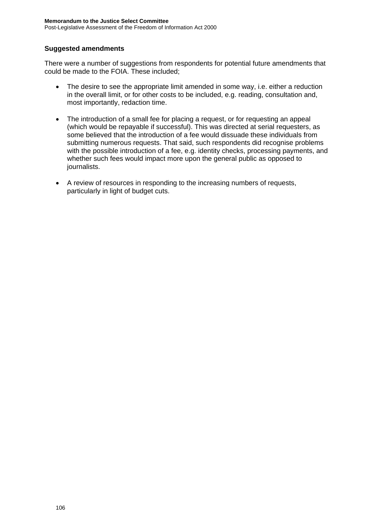#### **Suggested amendments**

There were a number of suggestions from respondents for potential future amendments that could be made to the FOIA. These included;

- The desire to see the appropriate limit amended in some way, i.e. either a reduction in the overall limit, or for other costs to be included, e.g. reading, consultation and, most importantly, redaction time.
- The introduction of a small fee for placing a request, or for requesting an appeal (which would be repayable if successful). This was directed at serial requesters, as some believed that the introduction of a fee would dissuade these individuals from submitting numerous requests. That said, such respondents did recognise problems with the possible introduction of a fee, e.g. identity checks, processing payments, and whether such fees would impact more upon the general public as opposed to journalists.
- A review of resources in responding to the increasing numbers of requests, particularly in light of budget cuts.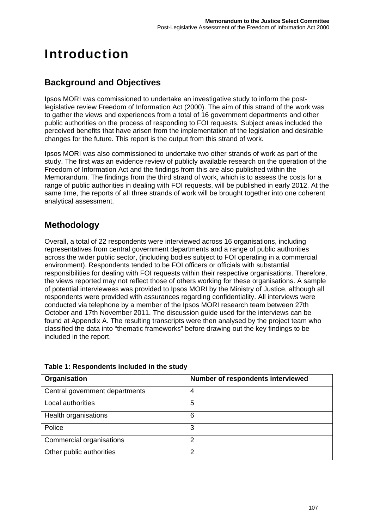# Introduction

#### **Background and Objectives**

Ipsos MORI was commissioned to undertake an investigative study to inform the postlegislative review Freedom of Information Act (2000). The aim of this strand of the work was to gather the views and experiences from a total of 16 government departments and other public authorities on the process of responding to FOI requests. Subject areas included the perceived benefits that have arisen from the implementation of the legislation and desirable changes for the future. This report is the output from this strand of work.

Ipsos MORI was also commissioned to undertake two other strands of work as part of the study. The first was an evidence review of publicly available research on the operation of the Freedom of Information Act and the findings from this are also published within the Memorandum. The findings from the third strand of work, which is to assess the costs for a range of public authorities in dealing with FOI requests, will be published in early 2012. At the same time, the reports of all three strands of work will be brought together into one coherent analytical assessment.

#### **Methodology**

Overall, a total of 22 respondents were interviewed across 16 organisations, including representatives from central government departments and a range of public authorities across the wider public sector, (including bodies subject to FOI operating in a commercial environment). Respondents tended to be FOI officers or officials with substantial responsibilities for dealing with FOI requests within their respective organisations. Therefore, the views reported may not reflect those of others working for these organisations. A sample of potential interviewees was provided to Ipsos MORI by the Ministry of Justice, although all respondents were provided with assurances regarding confidentiality. All interviews were conducted via telephone by a member of the Ipsos MORI research team between 27th October and 17th November 2011. The discussion guide used for the interviews can be found at Appendix A. The resulting transcripts were then analysed by the project team who classified the data into "thematic frameworks" before drawing out the key findings to be included in the report.

| Organisation                   | Number of respondents interviewed |
|--------------------------------|-----------------------------------|
| Central government departments | 4                                 |
| Local authorities              | 5                                 |
| Health organisations           | 6                                 |
| Police                         | 3                                 |
| Commercial organisations       | 2                                 |
| Other public authorities       | 2                                 |

**Table 1: Respondents included in the study**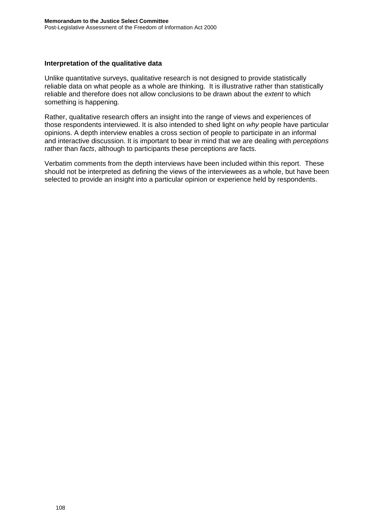#### **Interpretation of the qualitative data**

Unlike quantitative surveys, qualitative research is not designed to provide statistically reliable data on what people as a whole are thinking. It is illustrative rather than statistically reliable and therefore does not allow conclusions to be drawn about the *extent* to which something is happening.

Rather, qualitative research offers an insight into the range of views and experiences of those respondents interviewed. It is also intended to shed light on *why* people have particular opinions. A depth interview enables a cross section of people to participate in an informal and interactive discussion. It is important to bear in mind that we are dealing with *perceptions* rather than *facts*, although to participants these perceptions *are* facts.

Verbatim comments from the depth interviews have been included within this report. These should not be interpreted as defining the views of the interviewees as a whole, but have been selected to provide an insight into a particular opinion or experience held by respondents.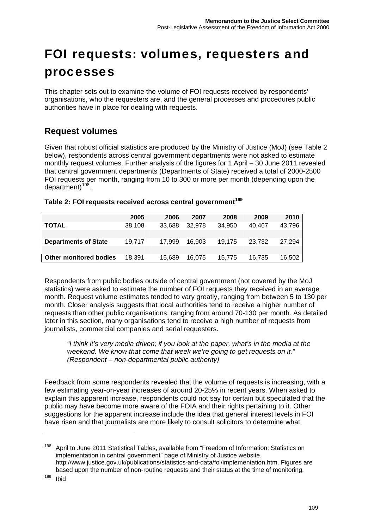# FOI requests: volumes, requesters and processes

This chapter sets out to examine the volume of FOI requests received by respondents' organisations, who the requesters are, and the general processes and procedures public authorities have in place for dealing with requests.

#### **Request volumes**

Given that robust official statistics are produced by the Ministry of Justice (MoJ) (see Table 2 below), respondents across central government departments were not asked to estimate monthly request volumes. Further analysis of the figures for 1 April – 30 June 2011 revealed that central government departments (Departments of State) received a total of 2000-2500 FOI requests per month, ranging from 10 to 300 or more per month (depending upon the department)<sup>[198](#page-111-0)</sup>.

#### **Table 2: FOI requests received across central government[199](#page-111-1)**

|                               | 2005   | 2006   | 2007   | 2008   | 2009   | 2010   |
|-------------------------------|--------|--------|--------|--------|--------|--------|
| <b>TOTAL</b>                  | 38.108 | 33.688 | 32.978 | 34.950 | 40.467 | 43.796 |
|                               |        |        |        |        |        |        |
| <b>Departments of State</b>   | 19.717 | 17.999 | 16.903 | 19.175 | 23.732 | 27.294 |
|                               |        |        |        |        |        |        |
| <b>Other monitored bodies</b> | 18,391 | 15,689 | 16.075 | 15.775 | 16.735 | 16,502 |

Respondents from public bodies outside of central government (not covered by the MoJ statistics) were asked to estimate the number of FOI requests they received in an average month. Request volume estimates tended to vary greatly, ranging from between 5 to 130 per month. Closer analysis suggests that local authorities tend to receive a higher number of requests than other public organisations, ranging from around 70-130 per month. As detailed later in this section, many organisations tend to receive a high number of requests from journalists, commercial companies and serial requesters.

*"I think it's very media driven; if you look at the paper, what's in the media at the weekend. We know that come that week we're going to get requests on it." (Respondent – non-departmental public authority)* 

Feedback from some respondents revealed that the volume of requests is increasing, with a few estimating year-on-year increases of around 20-25% in recent years. When asked to explain this apparent increase, respondents could not say for certain but speculated that the public may have become more aware of the FOIA and their rights pertaining to it. Other suggestions for the apparent increase include the idea that general interest levels in FOI have risen and that journalists are more likely to consult solicitors to determine what

<span id="page-111-1"></span><span id="page-111-0"></span><sup>&</sup>lt;sup>198</sup> April to June 2011 Statistical Tables, available from "Freedom of Information: Statistics on implementation in central government" page of Ministry of Justice website. [http://www.justice.gov.uk/publications/statistics-and-data/foi/implementation.htm.](http://www.justice.gov.uk/publications/statistics-and-data/foi/implementation.htm) Figures are based upon the number of non-routine requests and their status at the time of monitoring.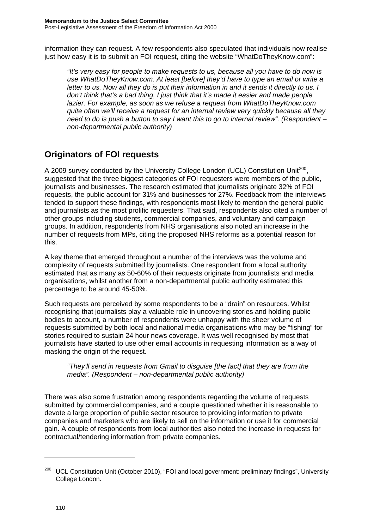information they can request. A few respondents also speculated that individuals now realise just how easy it is to submit an FOI request, citing the website "WhatDoTheyKnow.com":

*"It's very easy for people to make requests to us, because all you have to do now is use WhatDoTheyKnow.com. At least [before] they'd have to type an email or write a letter to us. Now all they do is put their information in and it sends it directly to us. I don't think that's a bad thing, I just think that it's made it easier and made people lazier. For example, as soon as we refuse a request from WhatDoTheyKnow.com quite often we'll receive a request for an internal review very quickly because all they need to do is push a button to say I want this to go to internal review". (Respondent – non-departmental public authority)* 

#### **Originators of FOI requests**

A [200](#page-112-0)9 survey conducted by the University College London (UCL) Constitution Unit<sup>200</sup> suggested that the three biggest categories of FOI requesters were members of the public, journalists and businesses. The research estimated that journalists originate 32% of FOI requests, the public account for 31% and businesses for 27%. Feedback from the interviews tended to support these findings, with respondents most likely to mention the general public and journalists as the most prolific requesters. That said, respondents also cited a number of other groups including students, commercial companies, and voluntary and campaign groups. In addition, respondents from NHS organisations also noted an increase in the number of requests from MPs, citing the proposed NHS reforms as a potential reason for this.

A key theme that emerged throughout a number of the interviews was the volume and complexity of requests submitted by journalists. One respondent from a local authority estimated that as many as 50-60% of their requests originate from journalists and media organisations, whilst another from a non-departmental public authority estimated this percentage to be around 45-50%.

Such requests are perceived by some respondents to be a "drain" on resources. Whilst recognising that journalists play a valuable role in uncovering stories and holding public bodies to account, a number of respondents were unhappy with the sheer volume of requests submitted by both local and national media organisations who may be "fishing" for stories required to sustain 24 hour news coverage. It was well recognised by most that journalists have started to use other email accounts in requesting information as a way of masking the origin of the request.

*"They'll send in requests from Gmail to disguise [the fact] that they are from the media". (Respondent – non-departmental public authority)* 

There was also some frustration among respondents regarding the volume of requests submitted by commercial companies, and a couple questioned whether it is reasonable to devote a large proportion of public sector resource to providing information to private companies and marketers who are likely to sell on the information or use it for commercial gain. A couple of respondents from local authorities also noted the increase in requests for contractual/tendering information from private companies.

<span id="page-112-0"></span><sup>&</sup>lt;sup>200</sup> UCL Constitution Unit (October 2010), "FOI and local government: preliminary findings", University College London.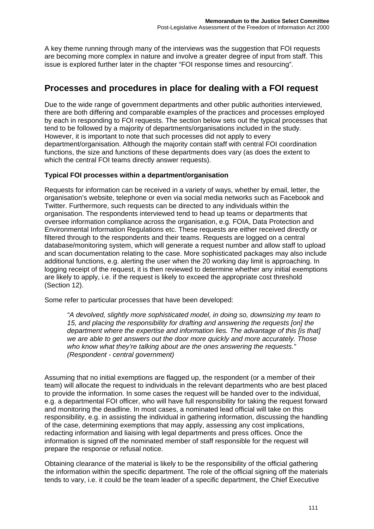A key theme running through many of the interviews was the suggestion that FOI requests are becoming more complex in nature and involve a greater degree of input from staff. This issue is explored further later in the chapter "FOI response times and resourcing".

#### **Processes and procedures in place for dealing with a FOI request**

Due to the wide range of government departments and other public authorities interviewed, there are both differing and comparable examples of the practices and processes employed by each in responding to FOI requests. The section below sets out the typical processes that tend to be followed by a majority of departments/organisations included in the study. However, it is important to note that such processes did not apply to every department/organisation. Although the majority contain staff with central FOI coordination functions, the size and functions of these departments does vary (as does the extent to which the central FOI teams directly answer requests).

#### **Typical FOI processes within a department/organisation**

Requests for information can be received in a variety of ways, whether by email, letter, the organisation's website, telephone or even via social media networks such as Facebook and Twitter. Furthermore, such requests can be directed to any individuals within the organisation. The respondents interviewed tend to head up teams or departments that oversee information compliance across the organisation, e.g. FOIA, Data Protection and Environmental Information Regulations etc. These requests are either received directly or filtered through to the respondents and their teams. Requests are logged on a central database/monitoring system, which will generate a request number and allow staff to upload and scan documentation relating to the case. More sophisticated packages may also include additional functions, e.g. alerting the user when the 20 working day limit is approaching. In logging receipt of the request, it is then reviewed to determine whether any initial exemptions are likely to apply, i.e. if the request is likely to exceed the appropriate cost threshold (Section 12).

Some refer to particular processes that have been developed:

*"A devolved, slightly more sophisticated model, in doing so, downsizing my team to 15, and placing the responsibility for drafting and answering the requests [on] the department where the expertise and information lies. The advantage of this [is that] we are able to get answers out the door more quickly and more accurately. Those who know what they're talking about are the ones answering the requests." (Respondent - central government)* 

Assuming that no initial exemptions are flagged up, the respondent (or a member of their team) will allocate the request to individuals in the relevant departments who are best placed to provide the information. In some cases the request will be handed over to the individual, e.g. a departmental FOI officer, who will have full responsibility for taking the request forward and monitoring the deadline. In most cases, a nominated lead official will take on this responsibility, e.g. in assisting the individual in gathering information, discussing the handling of the case, determining exemptions that may apply, assessing any cost implications, redacting information and liaising with legal departments and press offices. Once the information is signed off the nominated member of staff responsible for the request will prepare the response or refusal notice.

Obtaining clearance of the material is likely to be the responsibility of the official gathering the information within the specific department. The role of the official signing off the materials tends to vary, i.e. it could be the team leader of a specific department, the Chief Executive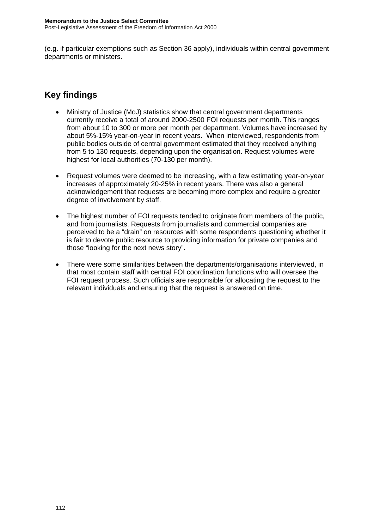(e.g. if particular exemptions such as Section 36 apply), individuals within central government departments or ministers.

- Ministry of Justice (MoJ) statistics show that central government departments currently receive a total of around 2000-2500 FOI requests per month. This ranges from about 10 to 300 or more per month per department. Volumes have increased by about 5%-15% year-on-year in recent years. When interviewed, respondents from public bodies outside of central government estimated that they received anything from 5 to 130 requests, depending upon the organisation. Request volumes were highest for local authorities (70-130 per month).
- Request volumes were deemed to be increasing, with a few estimating year-on-year increases of approximately 20-25% in recent years. There was also a general acknowledgement that requests are becoming more complex and require a greater degree of involvement by staff.
- The highest number of FOI requests tended to originate from members of the public, and from journalists. Requests from journalists and commercial companies are perceived to be a "drain" on resources with some respondents questioning whether it is fair to devote public resource to providing information for private companies and those "looking for the next news story".
- There were some similarities between the departments/organisations interviewed, in that most contain staff with central FOI coordination functions who will oversee the FOI request process. Such officials are responsible for allocating the request to the relevant individuals and ensuring that the request is answered on time.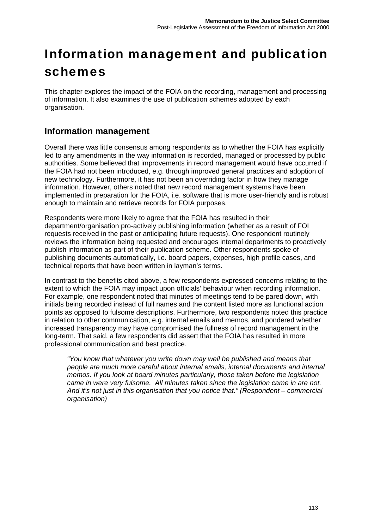# Information management and publication schemes

This chapter explores the impact of the FOIA on the recording, management and processing of information. It also examines the use of publication schemes adopted by each organisation.

#### **Information management**

Overall there was little consensus among respondents as to whether the FOIA has explicitly led to any amendments in the way information is recorded, managed or processed by public authorities. Some believed that improvements in record management would have occurred if the FOIA had not been introduced, e.g. through improved general practices and adoption of new technology. Furthermore, it has not been an overriding factor in how they manage information. However, others noted that new record management systems have been implemented in preparation for the FOIA, i.e. software that is more user-friendly and is robust enough to maintain and retrieve records for FOIA purposes.

Respondents were more likely to agree that the FOIA has resulted in their department/organisation pro-actively publishing information (whether as a result of FOI requests received in the past or anticipating future requests). One respondent routinely reviews the information being requested and encourages internal departments to proactively publish information as part of their publication scheme. Other respondents spoke of publishing documents automatically, i.e. board papers, expenses, high profile cases, and technical reports that have been written in layman's terms.

In contrast to the benefits cited above, a few respondents expressed concerns relating to the extent to which the FOIA may impact upon officials' behaviour when recording information. For example, one respondent noted that minutes of meetings tend to be pared down, with initials being recorded instead of full names and the content listed more as functional action points as opposed to fulsome descriptions. Furthermore, two respondents noted this practice in relation to other communication, e.g. internal emails and memos, and pondered whether increased transparency may have compromised the fullness of record management in the long-term. That said, a few respondents did assert that the FOIA has resulted in more professional communication and best practice.

*"You know that whatever you write down may well be published and means that people are much more careful about internal emails, internal documents and internal memos. If you look at board minutes particularly, those taken before the legislation came in were very fulsome. All minutes taken since the legislation came in are not. And it's not just in this organisation that you notice that." (Respondent – commercial organisation)*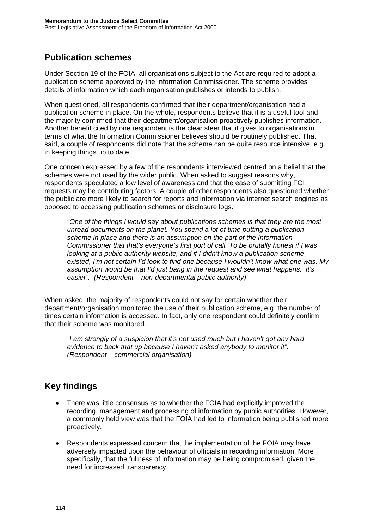#### **Publication schemes**

Under Section 19 of the FOIA, all organisations subject to the Act are required to adopt a publication scheme approved by the Information Commissioner. The scheme provides details of information which each organisation publishes or intends to publish.

When questioned, all respondents confirmed that their department/organisation had a publication scheme in place. On the whole, respondents believe that it is a useful tool and the majority confirmed that their department/organisation proactively publishes information. Another benefit cited by one respondent is the clear steer that it gives to organisations in terms of what the Information Commissioner believes should be routinely published. That said, a couple of respondents did note that the scheme can be quite resource intensive, e.g. in keeping things up to date.

One concern expressed by a few of the respondents interviewed centred on a belief that the schemes were not used by the wider public. When asked to suggest reasons why, respondents speculated a low level of awareness and that the ease of submitting FOI requests may be contributing factors. A couple of other respondents also questioned whether the public are more likely to search for reports and information via internet search engines as opposed to accessing publication schemes or disclosure logs.

*"One of the things I would say about publications schemes is that they are the most unread documents on the planet. You spend a lot of time putting a publication scheme in place and there is an assumption on the part of the Information Commissioner that that's everyone's first port of call. To be brutally honest if I was looking at a public authority website, and if I didn't know a publication scheme existed, I'm not certain I'd look to find one because I wouldn't know what one was. My assumption would be that I'd just bang in the request and see what happens. It's easier". (Respondent – non-departmental public authority)* 

When asked, the majority of respondents could not say for certain whether their department/organisation monitored the use of their publication scheme, e.g. the number of times certain information is accessed. In fact, only one respondent could definitely confirm that their scheme was monitored.

*"I am strongly of a suspicion that it's not used much but I haven't got any hard evidence to back that up because I haven't asked anybody to monitor it". (Respondent – commercial organisation)* 

- There was little consensus as to whether the FOIA had explicitly improved the recording, management and processing of information by public authorities. However, a commonly held view was that the FOIA had led to information being published more proactively.
- Respondents expressed concern that the implementation of the FOIA may have adversely impacted upon the behaviour of officials in recording information. More specifically, that the fullness of information may be being compromised, given the need for increased transparency.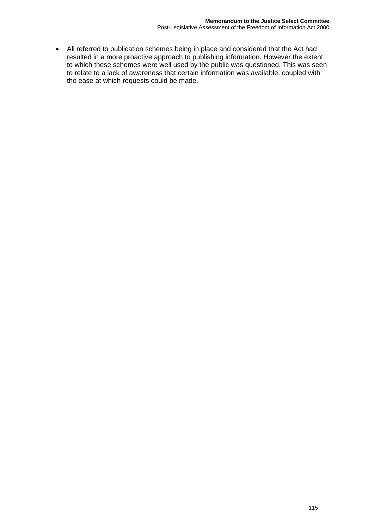All referred to publication schemes being in place and considered that the Act had resulted in a more proactive approach to publishing information. However the extent to which these schemes were well used by the public was questioned. This was seen to relate to a lack of awareness that certain information was available, coupled with the ease at which requests could be made.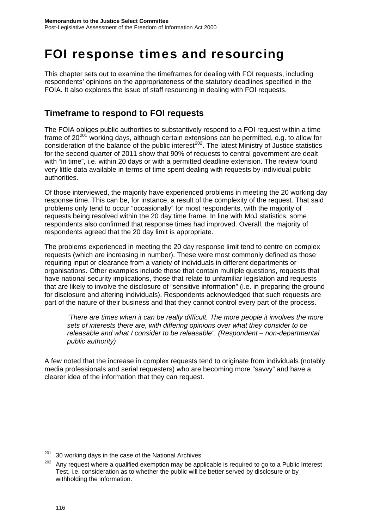# FOI response times and resourcing

This chapter sets out to examine the timeframes for dealing with FOI requests, including respondents' opinions on the appropriateness of the statutory deadlines specified in the FOIA. It also explores the issue of staff resourcing in dealing with FOI requests.

#### **Timeframe to respond to FOI requests**

The FOIA obliges public authorities to substantively respond to a FOI request within a time frame of  $20^{201}$  $20^{201}$  $20^{201}$  working days, although certain extensions can be permitted, e.g. to allow for  $\frac{1}{2}$  consideration of the balance of the public interest<sup>[202](#page-118-1)</sup>. The latest Ministry of Justice statistics for the second quarter of 2011 show that 90% of requests to central government are dealt with "in time", i.e. within 20 days or with a permitted deadline extension. The review found very little data available in terms of time spent dealing with requests by individual public authorities.

Of those interviewed, the majority have experienced problems in meeting the 20 working day response time. This can be, for instance, a result of the complexity of the request. That said problems only tend to occur "occasionally" for most respondents, with the majority of requests being resolved within the 20 day time frame. In line with MoJ statistics, some respondents also confirmed that response times had improved. Overall, the majority of respondents agreed that the 20 day limit is appropriate.

The problems experienced in meeting the 20 day response limit tend to centre on complex requests (which are increasing in number). These were most commonly defined as those requiring input or clearance from a variety of individuals in different departments or organisations. Other examples include those that contain multiple questions, requests that have national security implications, those that relate to unfamiliar legislation and requests that are likely to involve the disclosure of "sensitive information" (i.e. in preparing the ground for disclosure and altering individuals). Respondents acknowledged that such requests are part of the nature of their business and that they cannot control every part of the process.

*"There are times when it can be really difficult. The more people it involves the more sets of interests there are, with differing opinions over what they consider to be releasable and what I consider to be releasable". (Respondent – non-departmental public authority)* 

A few noted that the increase in complex requests tend to originate from individuals (notably media professionals and serial requesters) who are becoming more "savvy" and have a clearer idea of the information that they can request.

<span id="page-118-0"></span> $201$  30 working days in the case of the National Archives

<span id="page-118-1"></span> $202$  Any request where a qualified exemption may be applicable is required to go to a Public Interest Test, i.e. consideration as to whether the public will be better served by disclosure or by withholding the information.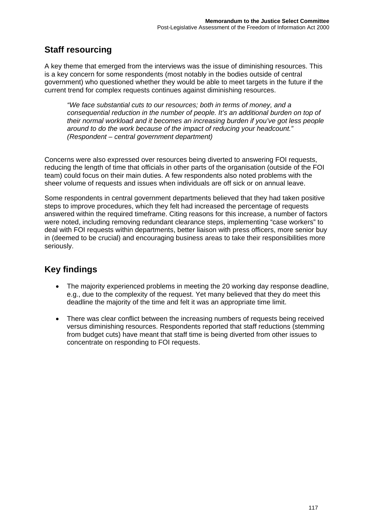### **Staff resourcing**

A key theme that emerged from the interviews was the issue of diminishing resources. This is a key concern for some respondents (most notably in the bodies outside of central government) who questioned whether they would be able to meet targets in the future if the current trend for complex requests continues against diminishing resources.

*"We face substantial cuts to our resources; both in terms of money, and a consequential reduction in the number of people. It's an additional burden on top of their normal workload and it becomes an increasing burden if you've got less people around to do the work because of the impact of reducing your headcount." (Respondent – central government department)* 

Concerns were also expressed over resources being diverted to answering FOI requests, reducing the length of time that officials in other parts of the organisation (outside of the FOI team) could focus on their main duties. A few respondents also noted problems with the sheer volume of requests and issues when individuals are off sick or on annual leave.

Some respondents in central government departments believed that they had taken positive steps to improve procedures, which they felt had increased the percentage of requests answered within the required timeframe. Citing reasons for this increase, a number of factors were noted, including removing redundant clearance steps, implementing "case workers" to deal with FOI requests within departments, better liaison with press officers, more senior buy in (deemed to be crucial) and encouraging business areas to take their responsibilities more seriously.

- The majority experienced problems in meeting the 20 working day response deadline, e.g., due to the complexity of the request. Yet many believed that they do meet this deadline the majority of the time and felt it was an appropriate time limit.
- There was clear conflict between the increasing numbers of requests being received versus diminishing resources. Respondents reported that staff reductions (stemming from budget cuts) have meant that staff time is being diverted from other issues to concentrate on responding to FOI requests.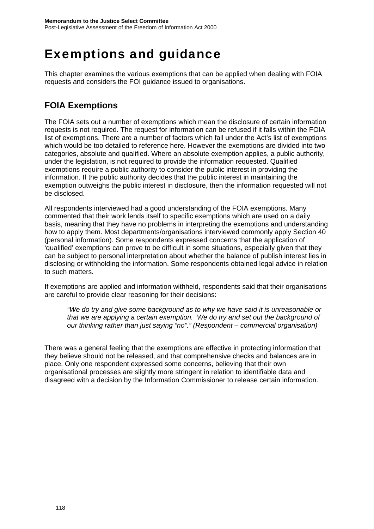## Exemptions and guidance

This chapter examines the various exemptions that can be applied when dealing with FOIA requests and considers the FOI guidance issued to organisations.

### **FOIA Exemptions**

The FOIA sets out a number of exemptions which mean the disclosure of certain information requests is not required. The request for information can be refused if it falls within the FOIA list of exemptions. There are a number of factors which fall under the Act's list of exemptions which would be too detailed to reference here. However the exemptions are divided into two categories, absolute and qualified. Where an absolute exemption applies, a public authority, under the legislation, is not required to provide the information requested. Qualified exemptions require a public authority to consider the public interest in providing the information. If the public authority decides that the public interest in maintaining the exemption outweighs the public interest in disclosure, then the information requested will not be disclosed.

All respondents interviewed had a good understanding of the FOIA exemptions. Many commented that their work lends itself to specific exemptions which are used on a daily basis, meaning that they have no problems in interpreting the exemptions and understanding how to apply them. Most departments/organisations interviewed commonly apply Section 40 (personal information). Some respondents expressed concerns that the application of 'qualified' exemptions can prove to be difficult in some situations, especially given that they can be subject to personal interpretation about whether the balance of publish interest lies in disclosing or withholding the information. Some respondents obtained legal advice in relation to such matters.

If exemptions are applied and information withheld, respondents said that their organisations are careful to provide clear reasoning for their decisions:

*"We do try and give some background as to why we have said it is unreasonable or that we are applying a certain exemption. We do try and set out the background of our thinking rather than just saying "no"." (Respondent – commercial organisation)* 

There was a general feeling that the exemptions are effective in protecting information that they believe should not be released, and that comprehensive checks and balances are in place. Only one respondent expressed some concerns, believing that their own organisational processes are slightly more stringent in relation to identifiable data and disagreed with a decision by the Information Commissioner to release certain information.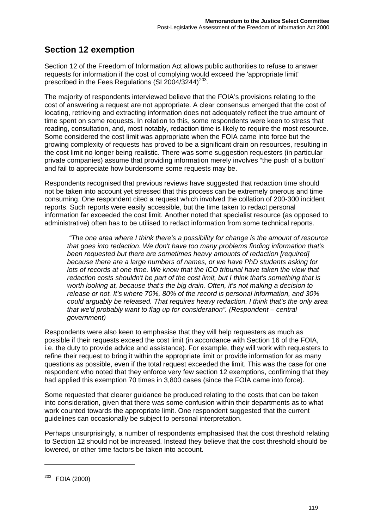### **Section 12 exemption**

Section 12 of the Freedom of Information Act allows public authorities to refuse to answer requests for information if the cost of complying would exceed the 'appropriate limit' prescribed in the Fees Regulations (SI 2004/3244)<sup>[203](#page-121-0)</sup>.

The majority of respondents interviewed believe that the FOIA's provisions relating to the cost of answering a request are not appropriate. A clear consensus emerged that the cost of locating, retrieving and extracting information does not adequately reflect the true amount of time spent on some requests. In relation to this, some respondents were keen to stress that reading, consultation, and, most notably, redaction time is likely to require the most resource. Some considered the cost limit was appropriate when the FOIA came into force but the growing complexity of requests has proved to be a significant drain on resources, resulting in the cost limit no longer being realistic. There was some suggestion requesters (in particular private companies) assume that providing information merely involves "the push of a button" and fail to appreciate how burdensome some requests may be.

Respondents recognised that previous reviews have suggested that redaction time should not be taken into account yet stressed that this process can be extremely onerous and time consuming. One respondent cited a request which involved the collation of 200-300 incident reports. Such reports were easily accessible, but the time taken to redact personal information far exceeded the cost limit. Another noted that specialist resource (as opposed to administrative) often has to be utilised to redact information from some technical reports.

*"The one area where I think there's a possibility for change is the amount of resource that goes into redaction. We don't have too many problems finding information that's been requested but there are sometimes heavy amounts of redaction [required] because there are a large numbers of names, or we have PhD students asking for lots of records at one time. We know that the ICO tribunal have taken the view that redaction costs shouldn't be part of the cost limit, but I think that's something that is worth looking at, because that's the big drain. Often, it's not making a decision to release or not. It's where 70%, 80% of the record is personal information, and 30% could arguably be released. That requires heavy redaction. I think that's the only area that we'd probably want to flag up for consideration". (Respondent – central government)* 

Respondents were also keen to emphasise that they will help requesters as much as possible if their requests exceed the cost limit (in accordance with Section 16 of the FOIA, i.e. the duty to provide advice and assistance). For example, they will work with requesters to refine their request to bring it within the appropriate limit or provide information for as many questions as possible, even if the total request exceeded the limit. This was the case for one respondent who noted that they enforce very few section 12 exemptions, confirming that they had applied this exemption 70 times in 3,800 cases (since the FOIA came into force).

Some requested that clearer guidance be produced relating to the costs that can be taken into consideration, given that there was some confusion within their departments as to what work counted towards the appropriate limit. One respondent suggested that the current guidelines can occasionally be subject to personal interpretation.

Perhaps unsurprisingly, a number of respondents emphasised that the cost threshold relating to Section 12 should not be increased. Instead they believe that the cost threshold should be lowered, or other time factors be taken into account.

<span id="page-121-0"></span><sup>203</sup> FOIA (2000)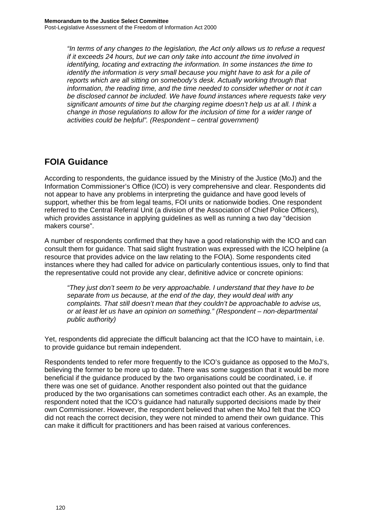*"In terms of any changes to the legislation, the Act only allows us to refuse a request if it exceeds 24 hours, but we can only take into account the time involved in identifying, locating and extracting the information. In some instances the time to identify the information is very small because you might have to ask for a pile of reports which are all sitting on somebody's desk. Actually working through that information, the reading time, and the time needed to consider whether or not it can be disclosed cannot be included. We have found instances where requests take very significant amounts of time but the charging regime doesn't help us at all. I think a change in those regulations to allow for the inclusion of time for a wider range of activities could be helpful". (Respondent – central government)* 

#### **FOIA Guidance**

According to respondents, the guidance issued by the Ministry of the Justice (MoJ) and the Information Commissioner's Office (ICO) is very comprehensive and clear. Respondents did not appear to have any problems in interpreting the guidance and have good levels of support, whether this be from legal teams, FOI units or nationwide bodies. One respondent referred to the Central Referral Unit (a division of the Association of Chief Police Officers), which provides assistance in applying quidelines as well as running a two day "decision makers course".

A number of respondents confirmed that they have a good relationship with the ICO and can consult them for guidance. That said slight frustration was expressed with the ICO helpline (a resource that provides advice on the law relating to the FOIA). Some respondents cited instances where they had called for advice on particularly contentious issues, only to find that the representative could not provide any clear, definitive advice or concrete opinions:

*"They just don't seem to be very approachable. I understand that they have to be separate from us because, at the end of the day, they would deal with any complaints. That still doesn't mean that they couldn't be approachable to advise us, or at least let us have an opinion on something." (Respondent – non-departmental public authority)* 

Yet, respondents did appreciate the difficult balancing act that the ICO have to maintain, i.e. to provide guidance but remain independent.

Respondents tended to refer more frequently to the ICO's guidance as opposed to the MoJ's, believing the former to be more up to date. There was some suggestion that it would be more beneficial if the guidance produced by the two organisations could be coordinated, i.e. if there was one set of guidance. Another respondent also pointed out that the guidance produced by the two organisations can sometimes contradict each other. As an example, the respondent noted that the ICO's guidance had naturally supported decisions made by their own Commissioner. However, the respondent believed that when the MoJ felt that the ICO did not reach the correct decision, they were not minded to amend their own guidance. This can make it difficult for practitioners and has been raised at various conferences.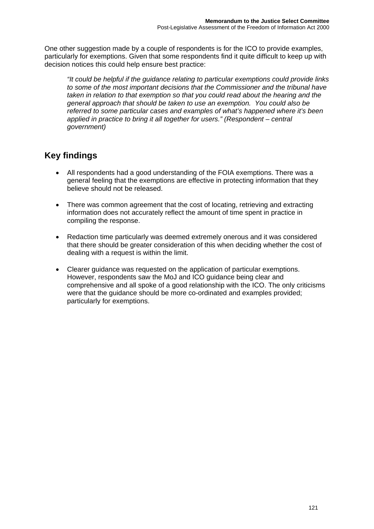One other suggestion made by a couple of respondents is for the ICO to provide examples, particularly for exemptions. Given that some respondents find it quite difficult to keep up with decision notices this could help ensure best practice:

*"It could be helpful if the guidance relating to particular exemptions could provide links to some of the most important decisions that the Commissioner and the tribunal have taken in relation to that exemption so that you could read about the hearing and the general approach that should be taken to use an exemption. You could also be referred to some particular cases and examples of what's happened where it's been applied in practice to bring it all together for users." (Respondent – central government)* 

- All respondents had a good understanding of the FOIA exemptions. There was a general feeling that the exemptions are effective in protecting information that they believe should not be released.
- There was common agreement that the cost of locating, retrieving and extracting information does not accurately reflect the amount of time spent in practice in compiling the response.
- Redaction time particularly was deemed extremely onerous and it was considered that there should be greater consideration of this when deciding whether the cost of dealing with a request is within the limit.
- Clearer guidance was requested on the application of particular exemptions. However, respondents saw the MoJ and ICO guidance being clear and comprehensive and all spoke of a good relationship with the ICO. The only criticisms were that the guidance should be more co-ordinated and examples provided; particularly for exemptions.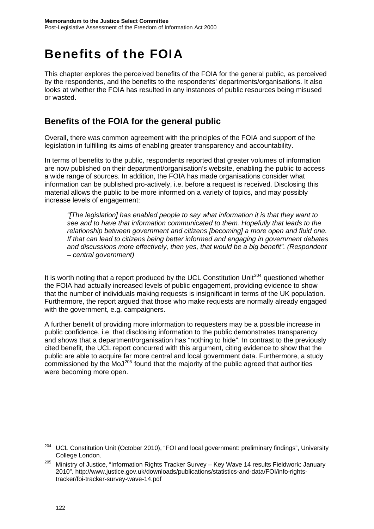# Benefits of the FOIA

This chapter explores the perceived benefits of the FOIA for the general public, as perceived by the respondents, and the benefits to the respondents' departments/organisations. It also looks at whether the FOIA has resulted in any instances of public resources being misused or wasted.

#### **Benefits of the FOIA for the general public**

Overall, there was common agreement with the principles of the FOIA and support of the legislation in fulfilling its aims of enabling greater transparency and accountability.

In terms of benefits to the public, respondents reported that greater volumes of information are now published on their department/organisation's website, enabling the public to access a wide range of sources. In addition, the FOIA has made organisations consider what information can be published pro-actively, i.e. before a request is received. Disclosing this material allows the public to be more informed on a variety of topics, and may possibly increase levels of engagement:

*"[The legislation] has enabled people to say what information it is that they want to see and to have that information communicated to them. Hopefully that leads to the relationship between government and citizens [becoming] a more open and fluid one. If that can lead to citizens being better informed and engaging in government debates and discussions more effectively, then yes, that would be a big benefit". (Respondent – central government)*

It is worth noting that a report produced by the UCL Constitution Unit<sup>[204](#page-124-0)</sup> questioned whether the FOIA had actually increased levels of public engagement, providing evidence to show that the number of individuals making requests is insignificant in terms of the UK population. Furthermore, the report argued that those who make requests are normally already engaged with the government, e.g. campaigners.

A further benefit of providing more information to requesters may be a possible increase in public confidence, i.e. that disclosing information to the public demonstrates transparency and shows that a department/organisation has "nothing to hide". In contrast to the previously cited benefit, the UCL report concurred with this argument, citing evidence to show that the public are able to acquire far more central and local government data. Furthermore, a study commissioned by the MoJ[205](#page-124-1) found that the majority of the public agreed that authorities were becoming more open.

<span id="page-124-0"></span><sup>&</sup>lt;sup>204</sup> UCL Constitution Unit (October 2010), "FOI and local government: preliminary findings", University College London.

<span id="page-124-1"></span><sup>&</sup>lt;sup>205</sup> Ministry of Justice, "Information Rights Tracker Survey - Key Wave 14 results Fieldwork: January 2010". http://www.justice.gov.uk/downloads/publications/statistics-and-data/FOI/info-rightstracker/foi-tracker-survey-wave-14.pdf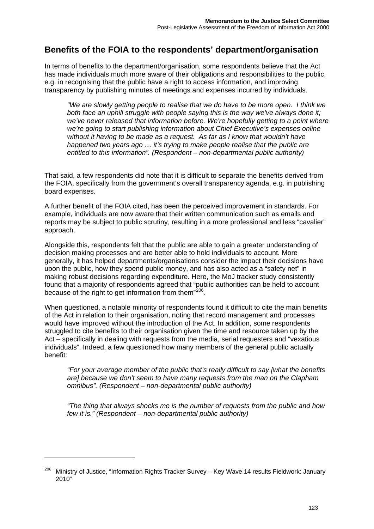#### **Benefits of the FOIA to the respondents' department/organisation**

In terms of benefits to the department/organisation, some respondents believe that the Act has made individuals much more aware of their obligations and responsibilities to the public, e.g. in recognising that the public have a right to access information, and improving transparency by publishing minutes of meetings and expenses incurred by individuals.

*"We are slowly getting people to realise that we do have to be more open. I think we both face an uphill struggle with people saying this is the way we've always done it; we've never released that information before. We're hopefully getting to a point where we're going to start publishing information about Chief Executive's expenses online without it having to be made as a request. As far as I know that wouldn't have happened two years ago … it's trying to make people realise that the public are entitled to this information". (Respondent – non-departmental public authority)* 

That said, a few respondents did note that it is difficult to separate the benefits derived from the FOIA, specifically from the government's overall transparency agenda, e.g. in publishing board expenses.

A further benefit of the FOIA cited, has been the perceived improvement in standards. For example, individuals are now aware that their written communication such as emails and reports may be subject to public scrutiny, resulting in a more professional and less "cavalier" approach.

Alongside this, respondents felt that the public are able to gain a greater understanding of decision making processes and are better able to hold individuals to account. More generally, it has helped departments/organisations consider the impact their decisions have upon the public, how they spend public money, and has also acted as a "safety net" in making robust decisions regarding expenditure. Here, the MoJ tracker study consistently found that a majority of respondents agreed that "public authorities can be held to account because of the right to get information from them"<sup>[206](#page-125-0)</sup>.

When questioned, a notable minority of respondents found it difficult to cite the main benefits of the Act in relation to their organisation, noting that record management and processes would have improved without the introduction of the Act. In addition, some respondents struggled to cite benefits to their organisation given the time and resource taken up by the Act – specifically in dealing with requests from the media, serial requesters and "vexatious individuals". Indeed, a few questioned how many members of the general public actually benefit:

*"For your average member of the public that's really difficult to say [what the benefits are] because we don't seem to have many requests from the man on the Clapham omnibus". (Respondent – non-departmental public authority)* 

*"The thing that always shocks me is the number of requests from the public and how few it is." (Respondent – non-departmental public authority)* 

<span id="page-125-0"></span><sup>206</sup> Ministry of Justice, "Information Rights Tracker Survey – Key Wave 14 results Fieldwork: January 2010"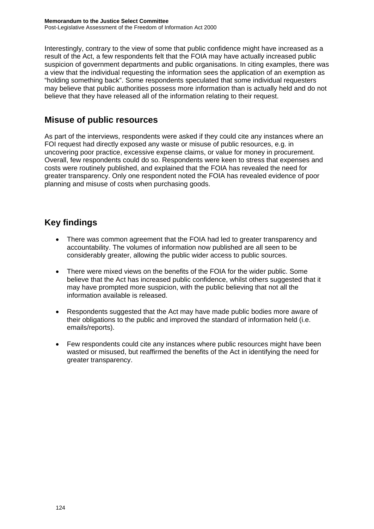Interestingly, contrary to the view of some that public confidence might have increased as a result of the Act, a few respondents felt that the FOIA may have actually increased public suspicion of government departments and public organisations. In citing examples, there was a view that the individual requesting the information sees the application of an exemption as "holding something back". Some respondents speculated that some individual requesters may believe that public authorities possess more information than is actually held and do not believe that they have released all of the information relating to their request.

#### **Misuse of public resources**

As part of the interviews, respondents were asked if they could cite any instances where an FOI request had directly exposed any waste or misuse of public resources, e.g. in uncovering poor practice, excessive expense claims, or value for money in procurement. Overall, few respondents could do so. Respondents were keen to stress that expenses and costs were routinely published, and explained that the FOIA has revealed the need for greater transparency. Only one respondent noted the FOIA has revealed evidence of poor planning and misuse of costs when purchasing goods.

- There was common agreement that the FOIA had led to greater transparency and accountability. The volumes of information now published are all seen to be considerably greater, allowing the public wider access to public sources.
- There were mixed views on the benefits of the FOIA for the wider public. Some believe that the Act has increased public confidence, whilst others suggested that it may have prompted more suspicion, with the public believing that not all the information available is released.
- Respondents suggested that the Act may have made public bodies more aware of their obligations to the public and improved the standard of information held (i.e. emails/reports).
- Few respondents could cite any instances where public resources might have been wasted or misused, but reaffirmed the benefits of the Act in identifying the need for greater transparency.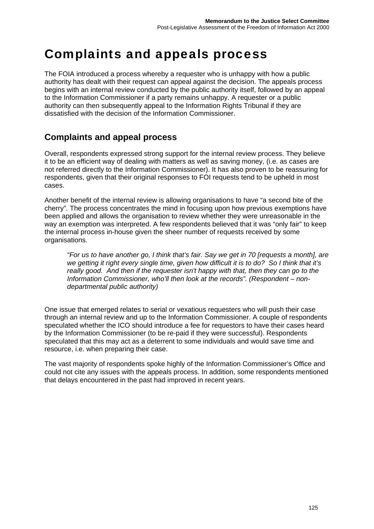# Complaints and appeals process

The FOIA introduced a process whereby a requester who is unhappy with how a public authority has dealt with their request can appeal against the decision. The appeals process begins with an internal review conducted by the public authority itself, followed by an appeal to the Information Commissioner if a party remains unhappy. A requester or a public authority can then subsequently appeal to the Information Rights Tribunal if they are dissatisfied with the decision of the Information Commissioner.

#### **Complaints and appeal process**

Overall, respondents expressed strong support for the internal review process. They believe it to be an efficient way of dealing with matters as well as saving money, (i.e. as cases are not referred directly to the Information Commissioner). It has also proven to be reassuring for respondents, given that their original responses to FOI requests tend to be upheld in most cases.

Another benefit of the internal review is allowing organisations to have "a second bite of the cherry". The process concentrates the mind in focusing upon how previous exemptions have been applied and allows the organisation to review whether they were unreasonable in the way an exemption was interpreted. A few respondents believed that it was "only fair" to keep the internal process in-house given the sheer number of requests received by some organisations.

*"For us to have another go, I think that's fair. Say we get in 70 [requests a month], are we getting it right every single time, given how difficult it is to do? So I think that it's really good. And then if the requester isn't happy with that, then they can go to the Information Commissioner, who'll then look at the records". (Respondent – nondepartmental public authority)* 

One issue that emerged relates to serial or vexatious requesters who will push their case through an internal review and up to the Information Commissioner. A couple of respondents speculated whether the ICO should introduce a fee for requestors to have their cases heard by the Information Commissioner (to be re-paid if they were successful). Respondents speculated that this may act as a deterrent to some individuals and would save time and resource, i.e. when preparing their case.

The vast majority of respondents spoke highly of the Information Commissioner's Office and could not cite any issues with the appeals process. In addition, some respondents mentioned that delays encountered in the past had improved in recent years.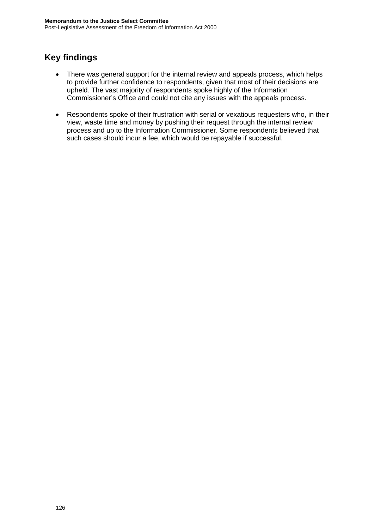- There was general support for the internal review and appeals process, which helps to provide further confidence to respondents, given that most of their decisions are upheld. The vast majority of respondents spoke highly of the Information Commissioner's Office and could not cite any issues with the appeals process.
- Respondents spoke of their frustration with serial or vexatious requesters who, in their view, waste time and money by pushing their request through the internal review process and up to the Information Commissioner. Some respondents believed that such cases should incur a fee, which would be repayable if successful.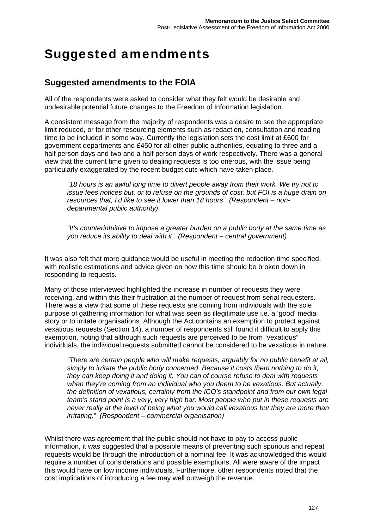# Suggested amendments

#### **Suggested amendments to the FOIA**

All of the respondents were asked to consider what they felt would be desirable and undesirable potential future changes to the Freedom of Information legislation.

A consistent message from the majority of respondents was a desire to see the appropriate limit reduced, or for other resourcing elements such as redaction, consultation and reading time to be included in some way. Currently the legislation sets the cost limit at £600 for government departments and £450 for all other public authorities, equating to three and a half person days and two and a half person days of work respectively. There was a general view that the current time given to dealing requests is too onerous, with the issue being particularly exaggerated by the recent budget cuts which have taken place.

*"18 hours is an awful long time to divert people away from their work. We try not to issue fees notices but, or to refuse on the grounds of cost, but FOI is a huge drain on resources that, I'd like to see it lower than 18 hours". (Respondent – nondepartmental public authority)* 

*"It's counterintuitive to impose a greater burden on a public body at the same time as you reduce its ability to deal with it". (Respondent – central government)* 

It was also felt that more guidance would be useful in meeting the redaction time specified, with realistic estimations and advice given on how this time should be broken down in responding to requests.

Many of those interviewed highlighted the increase in number of requests they were receiving, and within this their frustration at the number of request from serial requesters. There was a view that some of these requests are coming from individuals with the sole purpose of gathering information for what was seen as illegitimate use i.e. a 'good' media story or to irritate organisations. Although the Act contains an exemption to protect against vexatious requests (Section 14), a number of respondents still found it difficult to apply this exemption, noting that although such requests are perceived to be from "vexatious" individuals, the individual requests submitted cannot be considered to be vexatious in nature.

*"There are certain people who will make requests, arguably for no public benefit at all, simply to irritate the public body concerned. Because it costs them nothing to do it, they can keep doing it and doing it. You can of course refuse to deal with requests when they're coming from an individual who you deem to be vexatious. But actually, the definition of vexatious, certainly from the ICO's standpoint and from our own legal team's stand point is a very, very high bar. Most people who put in these requests are never really at the level of being what you would call vexatious but they are more than irritating." (Respondent – commercial organisation)* 

Whilst there was agreement that the public should not have to pay to access public information, it was suggested that a possible means of preventing such spurious and repeat requests would be through the introduction of a nominal fee. It was acknowledged this would require a number of considerations and possible exemptions. All were aware of the impact this would have on low income individuals. Furthermore, other respondents noted that the cost implications of introducing a fee may well outweigh the revenue.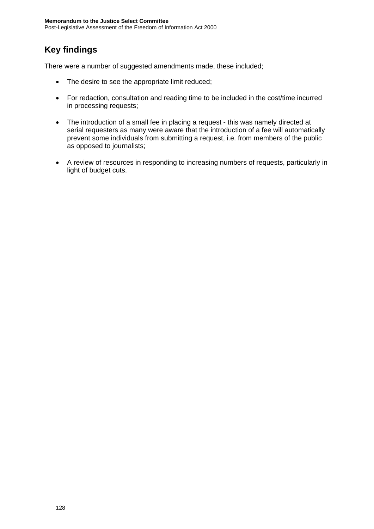### **Key findings**

There were a number of suggested amendments made, these included;

- The desire to see the appropriate limit reduced;
- For redaction, consultation and reading time to be included in the cost/time incurred in processing requests;
- The introduction of a small fee in placing a request this was namely directed at serial requesters as many were aware that the introduction of a fee will automatically prevent some individuals from submitting a request, i.e. from members of the public as opposed to journalists;
- A review of resources in responding to increasing numbers of requests, particularly in light of budget cuts.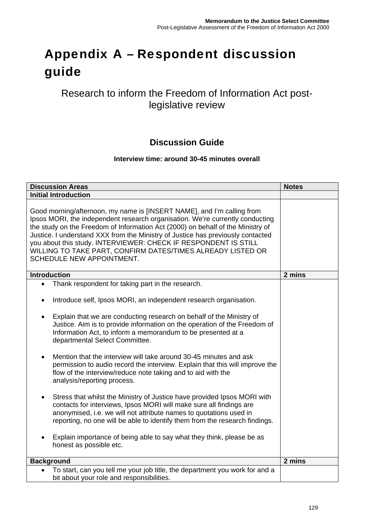# Appendix A – Respondent discussion guide

### Research to inform the Freedom of Information Act postlegislative review

#### **Discussion Guide**

#### **Interview time: around 30-45 minutes overall**

| <b>Discussion Areas</b>                                                                                                                                                                                                                                                                                                                                                                                                                                                                                                                                                                                                                                                                                                                                                                                                                                                                                                                                                                                                                                                              | <b>Notes</b> |
|--------------------------------------------------------------------------------------------------------------------------------------------------------------------------------------------------------------------------------------------------------------------------------------------------------------------------------------------------------------------------------------------------------------------------------------------------------------------------------------------------------------------------------------------------------------------------------------------------------------------------------------------------------------------------------------------------------------------------------------------------------------------------------------------------------------------------------------------------------------------------------------------------------------------------------------------------------------------------------------------------------------------------------------------------------------------------------------|--------------|
| <b>Initial Introduction</b>                                                                                                                                                                                                                                                                                                                                                                                                                                                                                                                                                                                                                                                                                                                                                                                                                                                                                                                                                                                                                                                          |              |
| Good morning/afternoon, my name is [INSERT NAME], and I'm calling from<br>Ipsos MORI, the independent research organisation. We're currently conducting<br>the study on the Freedom of Information Act (2000) on behalf of the Ministry of<br>Justice. I understand XXX from the Ministry of Justice has previously contacted<br>you about this study. INTERVIEWER: CHECK IF RESPONDENT IS STILL<br>WILLING TO TAKE PART, CONFIRM DATES/TIMES ALREADY LISTED OR<br>SCHEDULE NEW APPOINTMENT.                                                                                                                                                                                                                                                                                                                                                                                                                                                                                                                                                                                         |              |
| <b>Introduction</b>                                                                                                                                                                                                                                                                                                                                                                                                                                                                                                                                                                                                                                                                                                                                                                                                                                                                                                                                                                                                                                                                  | 2 mins       |
| Thank respondent for taking part in the research.<br>$\bullet$<br>Introduce self, Ipsos MORI, an independent research organisation.<br>$\bullet$<br>Explain that we are conducting research on behalf of the Ministry of<br>Justice. Aim is to provide information on the operation of the Freedom of<br>Information Act, to inform a memorandum to be presented at a<br>departmental Select Committee.<br>Mention that the interview will take around 30-45 minutes and ask<br>permission to audio record the interview. Explain that this will improve the<br>flow of the interview/reduce note taking and to aid with the<br>analysis/reporting process.<br>Stress that whilst the Ministry of Justice have provided Ipsos MORI with<br>$\bullet$<br>contacts for interviews, Ipsos MORI will make sure all findings are<br>anonymised, i.e. we will not attribute names to quotations used in<br>reporting, no one will be able to identify them from the research findings.<br>Explain importance of being able to say what they think, please be as<br>honest as possible etc. |              |
| <b>Background</b>                                                                                                                                                                                                                                                                                                                                                                                                                                                                                                                                                                                                                                                                                                                                                                                                                                                                                                                                                                                                                                                                    | 2 mins       |
| To start, can you tell me your job title, the department you work for and a<br>bit about your role and responsibilities.                                                                                                                                                                                                                                                                                                                                                                                                                                                                                                                                                                                                                                                                                                                                                                                                                                                                                                                                                             |              |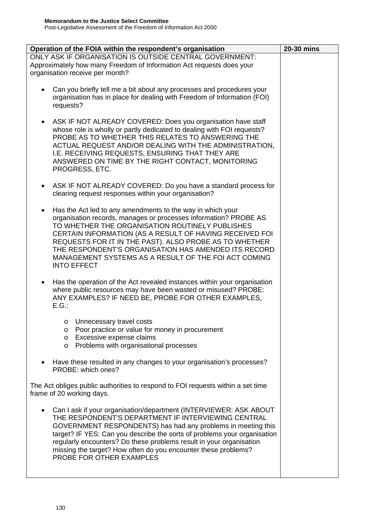| Operation of the FOIA within the respondent's organisation                                                                                                                                                                                                                                                                                                                                                                                                | 20-30 mins |
|-----------------------------------------------------------------------------------------------------------------------------------------------------------------------------------------------------------------------------------------------------------------------------------------------------------------------------------------------------------------------------------------------------------------------------------------------------------|------------|
| ONLY ASK IF ORGANISATION IS OUTSIDE CENTRAL GOVERNMENT:<br>Approximately how many Freedom of Information Act requests does your<br>organisation receive per month?                                                                                                                                                                                                                                                                                        |            |
| Can you briefly tell me a bit about any processes and procedures your<br>organisation has in place for dealing with Freedom of Information (FOI)<br>requests?                                                                                                                                                                                                                                                                                             |            |
| ASK IF NOT ALREADY COVERED: Does you organisation have staff<br>$\bullet$<br>whose role is wholly or partly dedicated to dealing with FOI requests?<br>PROBE AS TO WHETHER THIS RELATES TO ANSWERING THE<br>ACTUAL REQUEST AND/OR DEALING WITH THE ADMINISTRATION,<br>I.E. RECEIVING REQUESTS, ENSURING THAT THEY ARE<br>ANSWERED ON TIME BY THE RIGHT CONTACT, MONITORING<br>PROGRESS, ETC.                                                              |            |
| ASK IF NOT ALREADY COVERED: Do you have a standard process for<br>٠<br>clearing request responses within your organisation?                                                                                                                                                                                                                                                                                                                               |            |
| Has the Act led to any amendments to the way in which your<br>$\bullet$<br>organisation records, manages or processes information? PROBE AS<br>TO WHETHER THE ORGANISATION ROUTINELY PUBLISHES<br>CERTAIN INFORMATION (AS A RESULT OF HAVING RECEIVED FOI<br>REQUESTS FOR IT IN THE PAST). ALSO PROBE AS TO WHETHER<br>THE RESPONDENT'S ORGANISATION HAS AMENDED ITS RECORD<br>MANAGEMENT SYSTEMS AS A RESULT OF THE FOI ACT COMING<br><b>INTO EFFECT</b> |            |
| Has the operation of the Act revealed instances within your organisation<br>$\bullet$<br>where public resources may have been wasted or misused? PROBE:<br>ANY EXAMPLES? IF NEED BE, PROBE FOR OTHER EXAMPLES,<br>E.G.                                                                                                                                                                                                                                    |            |
| Unnecessary travel costs<br>O<br>Poor practice or value for money in procurement<br>O<br>Excessive expense claims<br>O<br>Problems with organisational processes<br>O                                                                                                                                                                                                                                                                                     |            |
| Have these resulted in any changes to your organisation's processes?<br>PROBE: which ones?                                                                                                                                                                                                                                                                                                                                                                |            |
| The Act obliges public authorities to respond to FOI requests within a set time<br>frame of 20 working days.                                                                                                                                                                                                                                                                                                                                              |            |
| Can I ask if your organisation/department (INTERVIEWER: ASK ABOUT<br>$\bullet$<br>THE RESPONDENT'S DEPARTMENT IF INTERVIEWING CENTRAL<br>GOVERNMENT RESPONDENTS) has had any problems in meeting this<br>target? IF YES: Can you describe the sorts of problems your organisation<br>regularly encounters? Do these problems result in your organisation<br>missing the target? How often do you encounter these problems?<br>PROBE FOR OTHER EXAMPLES    |            |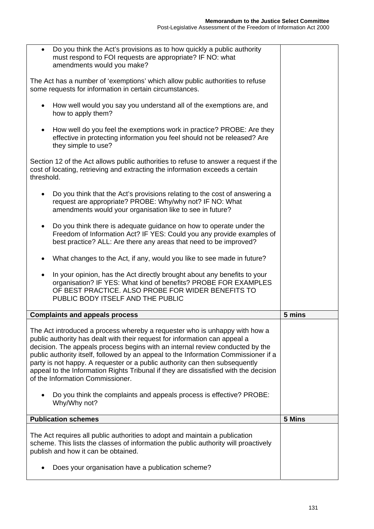$\overline{\phantom{0}}$ 

| Do you think the Act's provisions as to how quickly a public authority<br>must respond to FOI requests are appropriate? IF NO: what<br>amendments would you make?                                                                                                                                                                                                                                                                                                                                                                                                                                                                   |        |
|-------------------------------------------------------------------------------------------------------------------------------------------------------------------------------------------------------------------------------------------------------------------------------------------------------------------------------------------------------------------------------------------------------------------------------------------------------------------------------------------------------------------------------------------------------------------------------------------------------------------------------------|--------|
| The Act has a number of 'exemptions' which allow public authorities to refuse<br>some requests for information in certain circumstances.                                                                                                                                                                                                                                                                                                                                                                                                                                                                                            |        |
| How well would you say you understand all of the exemptions are, and<br>$\bullet$<br>how to apply them?                                                                                                                                                                                                                                                                                                                                                                                                                                                                                                                             |        |
| How well do you feel the exemptions work in practice? PROBE: Are they<br>effective in protecting information you feel should not be released? Are<br>they simple to use?                                                                                                                                                                                                                                                                                                                                                                                                                                                            |        |
| Section 12 of the Act allows public authorities to refuse to answer a request if the<br>cost of locating, retrieving and extracting the information exceeds a certain<br>threshold.                                                                                                                                                                                                                                                                                                                                                                                                                                                 |        |
| Do you think that the Act's provisions relating to the cost of answering a<br>request are appropriate? PROBE: Why/why not? IF NO: What<br>amendments would your organisation like to see in future?                                                                                                                                                                                                                                                                                                                                                                                                                                 |        |
| Do you think there is adequate guidance on how to operate under the<br>$\bullet$<br>Freedom of Information Act? IF YES: Could you any provide examples of<br>best practice? ALL: Are there any areas that need to be improved?                                                                                                                                                                                                                                                                                                                                                                                                      |        |
| What changes to the Act, if any, would you like to see made in future?                                                                                                                                                                                                                                                                                                                                                                                                                                                                                                                                                              |        |
| In your opinion, has the Act directly brought about any benefits to your<br>$\bullet$                                                                                                                                                                                                                                                                                                                                                                                                                                                                                                                                               |        |
| organisation? IF YES: What kind of benefits? PROBE FOR EXAMPLES<br>OF BEST PRACTICE. ALSO PROBE FOR WIDER BENEFITS TO<br>PUBLIC BODY ITSELF AND THE PUBLIC                                                                                                                                                                                                                                                                                                                                                                                                                                                                          |        |
| <b>Complaints and appeals process</b>                                                                                                                                                                                                                                                                                                                                                                                                                                                                                                                                                                                               | 5 mins |
| The Act introduced a process whereby a requester who is unhappy with how a<br>public authority has dealt with their request for information can appeal a<br>decision. The appeals process begins with an internal review conducted by the<br>public authority itself, followed by an appeal to the Information Commissioner if a<br>party is not happy. A requester or a public authority can then subsequently<br>appeal to the Information Rights Tribunal if they are dissatisfied with the decision<br>of the Information Commissioner.<br>Do you think the complaints and appeals process is effective? PROBE:<br>Why/Why not? |        |
| <b>Publication schemes</b>                                                                                                                                                                                                                                                                                                                                                                                                                                                                                                                                                                                                          | 5 Mins |
| The Act requires all public authorities to adopt and maintain a publication<br>scheme. This lists the classes of information the public authority will proactively<br>publish and how it can be obtained.                                                                                                                                                                                                                                                                                                                                                                                                                           |        |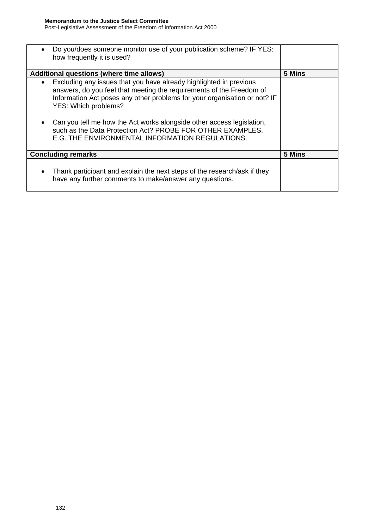| Do you/does someone monitor use of your publication scheme? IF YES:<br>how frequently it is used?                                                                                                                                                                                                                                                                                      |        |
|----------------------------------------------------------------------------------------------------------------------------------------------------------------------------------------------------------------------------------------------------------------------------------------------------------------------------------------------------------------------------------------|--------|
| Additional questions (where time allows)                                                                                                                                                                                                                                                                                                                                               | 5 Mins |
| Excluding any issues that you have already highlighted in previous<br>answers, do you feel that meeting the requirements of the Freedom of<br>Information Act poses any other problems for your organisation or not? IF<br>YES: Which problems?<br>Can you tell me how the Act works alongside other access legislation,<br>such as the Data Protection Act? PROBE FOR OTHER EXAMPLES, |        |
| E.G. THE ENVIRONMENTAL INFORMATION REGULATIONS.                                                                                                                                                                                                                                                                                                                                        |        |
| <b>Concluding remarks</b>                                                                                                                                                                                                                                                                                                                                                              | 5 Mins |
| Thank participant and explain the next steps of the research/ask if they<br>$\bullet$<br>have any further comments to make/answer any questions.                                                                                                                                                                                                                                       |        |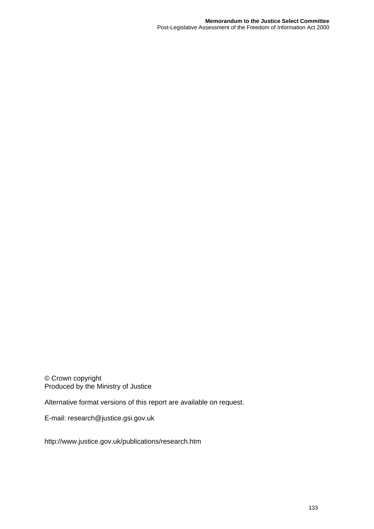© Crown copyright Produced by the Ministry of Justice

Alternative format versions of this report are available on request.

E-mail: research@justice.gsi.gov.uk

http://www.justice.gov.uk/publications/research.htm